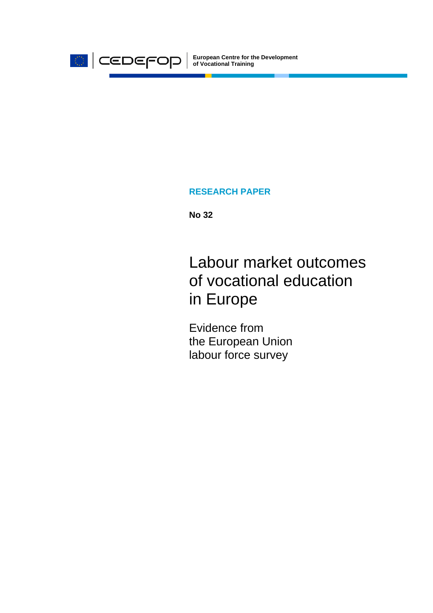

**European Centre for the Development of Vocational Training**

#### **RESEARCH PAPER**

**No 32** 

Labour market outcomes of vocational education in Europe

Evidence from the European Union labour force survey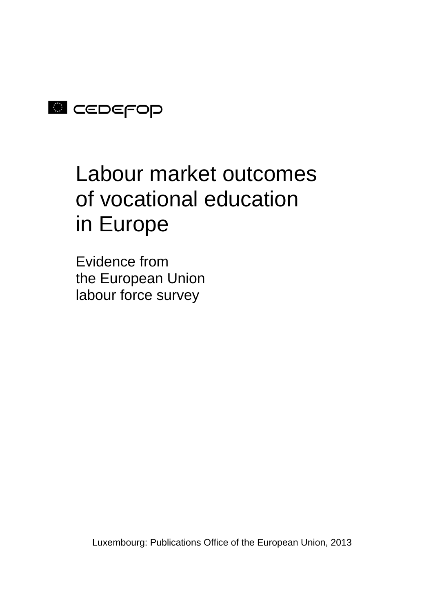

# Labour market outcomes of vocational education in Europe

Evidence from the European Union labour force survey

Luxembourg: Publications Office of the European Union, 2013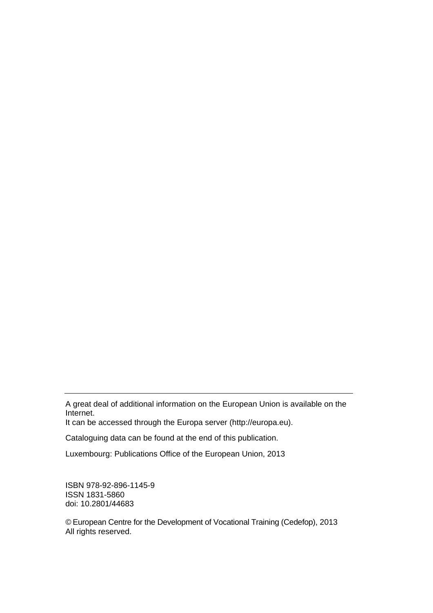A great deal of additional information on the European Union is available on the Internet.

It can be accessed through the Europa server (http://europa.eu).

Cataloguing data can be found at the end of this publication.

Luxembourg: Publications Office of the European Union, 2013

ISBN 978-92-896-1145-9 ISSN 1831-5860 doi: 10.2801/44683

© European Centre for the Development of Vocational Training (Cedefop), 2013 All rights reserved.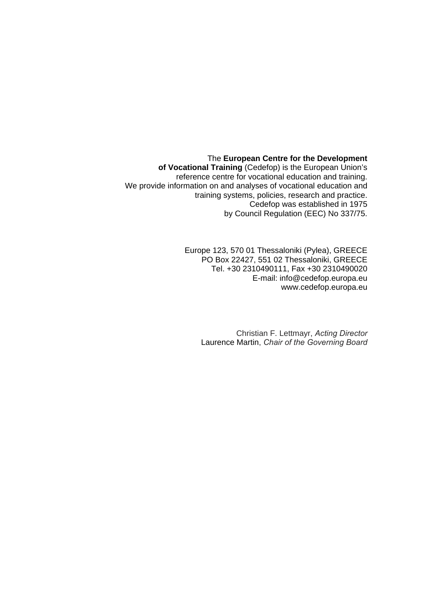The **European Centre for the Development of Vocational Training** (Cedefop) is the European Union's reference centre for vocational education and training. We provide information on and analyses of vocational education and training systems, policies, research and practice. Cedefop was established in 1975 by Council Regulation (EEC) No 337/75.

> Europe 123, 570 01 Thessaloniki (Pylea), GREECE PO Box 22427, 551 02 Thessaloniki, GREECE Tel. +30 2310490111, Fax +30 2310490020 E-mail: info@cedefop.europa.eu www.cedefop.europa.eu

Christian F. Lettmayr, *Acting Director*  Laurence Martin, *Chair of the Governing Board*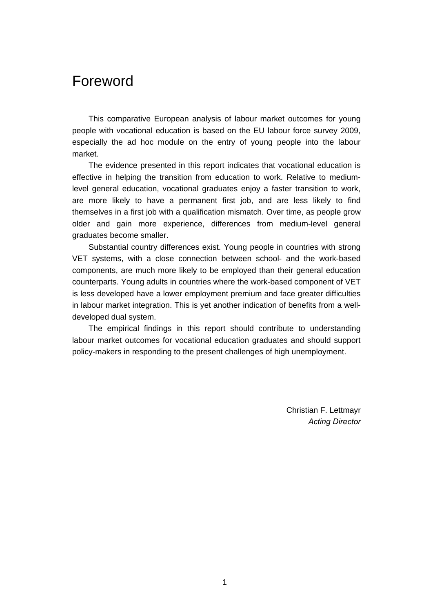### Foreword

This comparative European analysis of labour market outcomes for young people with vocational education is based on the EU labour force survey 2009, especially the ad hoc module on the entry of young people into the labour market.

The evidence presented in this report indicates that vocational education is effective in helping the transition from education to work. Relative to mediumlevel general education, vocational graduates enjoy a faster transition to work, are more likely to have a permanent first job, and are less likely to find themselves in a first job with a qualification mismatch. Over time, as people grow older and gain more experience, differences from medium-level general graduates become smaller.

Substantial country differences exist. Young people in countries with strong VET systems, with a close connection between school- and the work-based components, are much more likely to be employed than their general education counterparts. Young adults in countries where the work-based component of VET is less developed have a lower employment premium and face greater difficulties in labour market integration. This is yet another indication of benefits from a welldeveloped dual system.

The empirical findings in this report should contribute to understanding labour market outcomes for vocational education graduates and should support policy-makers in responding to the present challenges of high unemployment.

> Christian F. Lettmayr *Acting Director*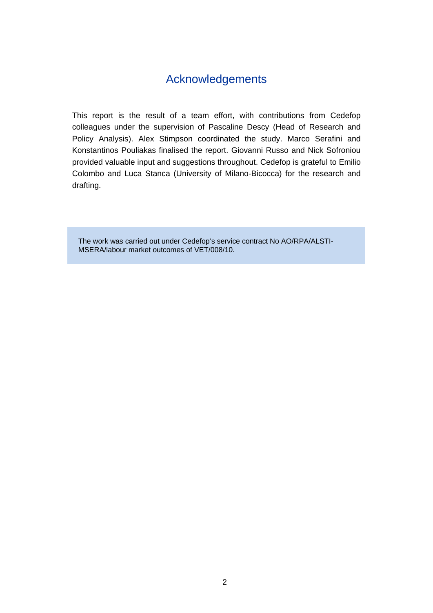#### Acknowledgements

This report is the result of a team effort, with contributions from Cedefop colleagues under the supervision of Pascaline Descy (Head of Research and Policy Analysis). Alex Stimpson coordinated the study. Marco Serafini and Konstantinos Pouliakas finalised the report. Giovanni Russo and Nick Sofroniou provided valuable input and suggestions throughout. Cedefop is grateful to Emilio Colombo and Luca Stanca (University of Milano-Bicocca) for the research and drafting.

The work was carried out under Cedefop's service contract No AO/RPA/ALSTI-MSERA/labour market outcomes of VET/008/10.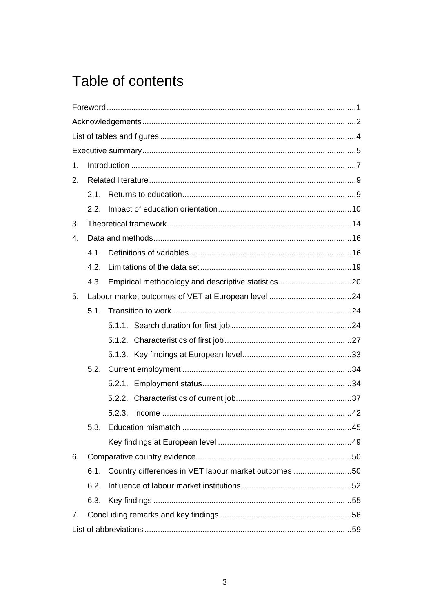# Table of contents

| 1. |      |                                                      |  |
|----|------|------------------------------------------------------|--|
| 2. |      |                                                      |  |
|    | 2.1. |                                                      |  |
|    | 2.2. |                                                      |  |
| 3. |      |                                                      |  |
| 4. |      |                                                      |  |
|    | 4.1. |                                                      |  |
|    | 4.2. |                                                      |  |
|    | 4.3. |                                                      |  |
| 5. |      |                                                      |  |
|    | 5.1. |                                                      |  |
|    |      |                                                      |  |
|    |      |                                                      |  |
|    |      |                                                      |  |
|    | 5.2. |                                                      |  |
|    |      |                                                      |  |
|    |      |                                                      |  |
|    |      |                                                      |  |
|    | 5.3. |                                                      |  |
|    |      |                                                      |  |
| 6. |      |                                                      |  |
|    | 6.1. | Country differences in VET labour market outcomes 50 |  |
|    | 6.2. |                                                      |  |
|    | 6.3. |                                                      |  |
| 7. |      |                                                      |  |
|    |      |                                                      |  |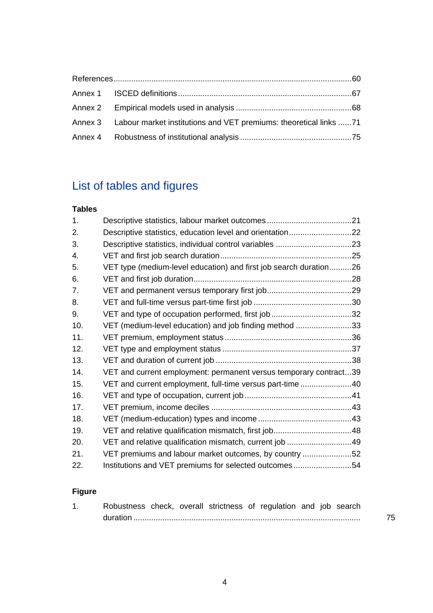| Annex 3 Labour market institutions and VET premiums: theoretical links 71 |  |
|---------------------------------------------------------------------------|--|
|                                                                           |  |

## List of tables and figures

#### **Tables**

| 1.  |                                                                   |  |
|-----|-------------------------------------------------------------------|--|
| 2.  | Descriptive statistics, education level and orientation22         |  |
| 3.  |                                                                   |  |
| 4.  |                                                                   |  |
| 5.  | VET type (medium-level education) and first job search duration26 |  |
| 6.  |                                                                   |  |
| 7.  |                                                                   |  |
| 8.  |                                                                   |  |
| 9.  |                                                                   |  |
| 10. | VET (medium-level education) and job finding method 33            |  |
| 11. |                                                                   |  |
| 12. |                                                                   |  |
| 13. |                                                                   |  |
| 14. | VET and current employment: permanent versus temporary contract39 |  |
| 15. | VET and current employment, full-time versus part-time40          |  |
| 16. |                                                                   |  |
| 17. |                                                                   |  |
| 18. |                                                                   |  |
| 19. |                                                                   |  |
| 20. | VET and relative qualification mismatch, current job 49           |  |
| 21. | VET premiums and labour market outcomes, by country 52            |  |
| 22. | Institutions and VET premiums for selected outcomes54             |  |
|     |                                                                   |  |

### **Figure**

| Robustness check, overall strictness of regulation and job search |  |  |  |  |  |
|-------------------------------------------------------------------|--|--|--|--|--|
|                                                                   |  |  |  |  |  |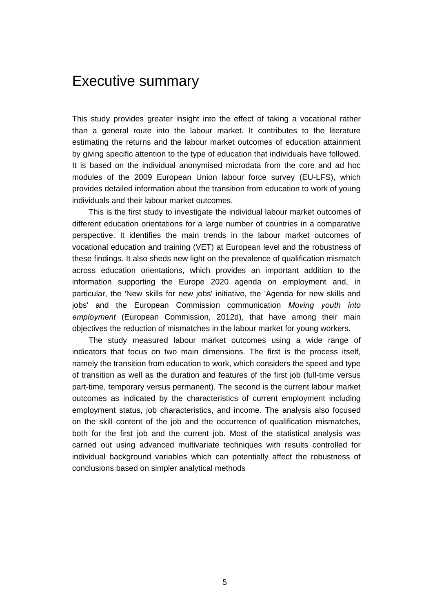### Executive summary

This study provides greater insight into the effect of taking a vocational rather than a general route into the labour market. It contributes to the literature estimating the returns and the labour market outcomes of education attainment by giving specific attention to the type of education that individuals have followed. It is based on the individual anonymised microdata from the core and ad hoc modules of the 2009 European Union labour force survey (EU-LFS), which provides detailed information about the transition from education to work of young individuals and their labour market outcomes.

This is the first study to investigate the individual labour market outcomes of different education orientations for a large number of countries in a comparative perspective. It identifies the main trends in the labour market outcomes of vocational education and training (VET) at European level and the robustness of these findings. It also sheds new light on the prevalence of qualification mismatch across education orientations, which provides an important addition to the information supporting the Europe 2020 agenda on employment and, in particular, the 'New skills for new jobs' initiative, the 'Agenda for new skills and jobs' and the European Commission communication *Moving youth into employment* (European Commission, 2012d), that have among their main objectives the reduction of mismatches in the labour market for young workers.

The study measured labour market outcomes using a wide range of indicators that focus on two main dimensions. The first is the process itself, namely the transition from education to work, which considers the speed and type of transition as well as the duration and features of the first job (full-time versus part-time, temporary versus permanent). The second is the current labour market outcomes as indicated by the characteristics of current employment including employment status, job characteristics, and income. The analysis also focused on the skill content of the job and the occurrence of qualification mismatches, both for the first job and the current job. Most of the statistical analysis was carried out using advanced multivariate techniques with results controlled for individual background variables which can potentially affect the robustness of conclusions based on simpler analytical methods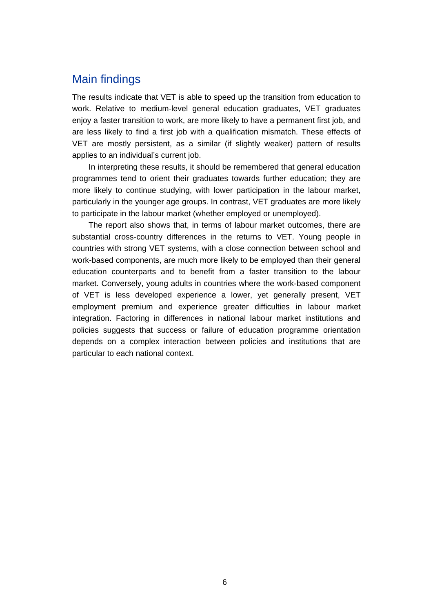#### Main findings

The results indicate that VET is able to speed up the transition from education to work. Relative to medium-level general education graduates, VET graduates enjoy a faster transition to work, are more likely to have a permanent first job, and are less likely to find a first job with a qualification mismatch. These effects of VET are mostly persistent, as a similar (if slightly weaker) pattern of results applies to an individual's current job.

In interpreting these results, it should be remembered that general education programmes tend to orient their graduates towards further education; they are more likely to continue studying, with lower participation in the labour market, particularly in the younger age groups. In contrast, VET graduates are more likely to participate in the labour market (whether employed or unemployed).

The report also shows that, in terms of labour market outcomes, there are substantial cross-country differences in the returns to VET. Young people in countries with strong VET systems, with a close connection between school and work-based components, are much more likely to be employed than their general education counterparts and to benefit from a faster transition to the labour market. Conversely, young adults in countries where the work-based component of VET is less developed experience a lower, yet generally present, VET employment premium and experience greater difficulties in labour market integration. Factoring in differences in national labour market institutions and policies suggests that success or failure of education programme orientation depends on a complex interaction between policies and institutions that are particular to each national context.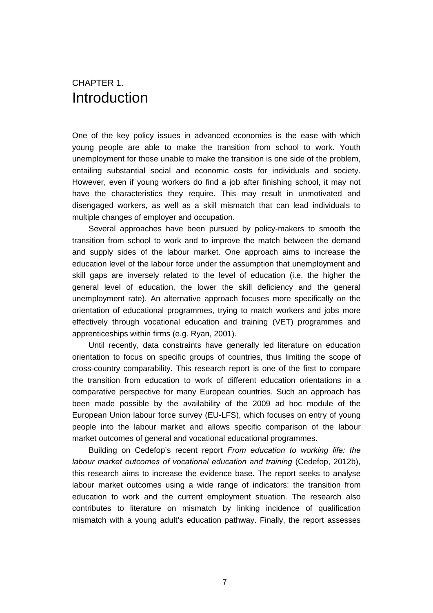#### CHAPTER 1. Introduction

One of the key policy issues in advanced economies is the ease with which young people are able to make the transition from school to work. Youth unemployment for those unable to make the transition is one side of the problem, entailing substantial social and economic costs for individuals and society. However, even if young workers do find a job after finishing school, it may not have the characteristics they require. This may result in unmotivated and disengaged workers, as well as a skill mismatch that can lead individuals to multiple changes of employer and occupation.

Several approaches have been pursued by policy-makers to smooth the transition from school to work and to improve the match between the demand and supply sides of the labour market. One approach aims to increase the education level of the labour force under the assumption that unemployment and skill gaps are inversely related to the level of education (i.e. the higher the general level of education, the lower the skill deficiency and the general unemployment rate). An alternative approach focuses more specifically on the orientation of educational programmes, trying to match workers and jobs more effectively through vocational education and training (VET) programmes and apprenticeships within firms (e.g. Ryan, 2001).

Until recently, data constraints have generally led literature on education orientation to focus on specific groups of countries, thus limiting the scope of cross-country comparability. This research report is one of the first to compare the transition from education to work of different education orientations in a comparative perspective for many European countries. Such an approach has been made possible by the availability of the 2009 ad hoc module of the European Union labour force survey (EU-LFS), which focuses on entry of young people into the labour market and allows specific comparison of the labour market outcomes of general and vocational educational programmes.

Building on Cedefop's recent report *From education to working life: the labour market outcomes of vocational education and training* (Cedefop, 2012b), this research aims to increase the evidence base. The report seeks to analyse labour market outcomes using a wide range of indicators: the transition from education to work and the current employment situation. The research also contributes to literature on mismatch by linking incidence of qualification mismatch with a young adult's education pathway. Finally, the report assesses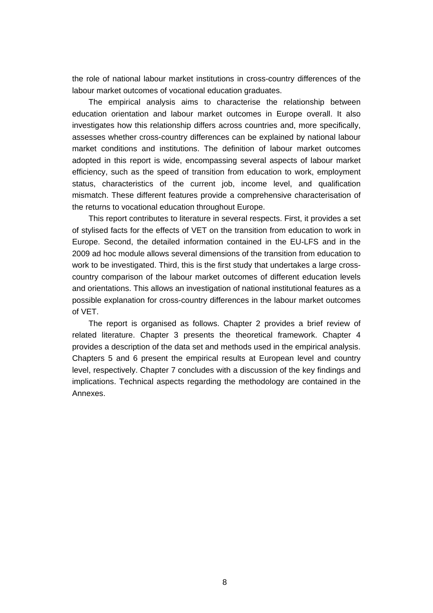the role of national labour market institutions in cross-country differences of the labour market outcomes of vocational education graduates.

The empirical analysis aims to characterise the relationship between education orientation and labour market outcomes in Europe overall. It also investigates how this relationship differs across countries and, more specifically, assesses whether cross-country differences can be explained by national labour market conditions and institutions. The definition of labour market outcomes adopted in this report is wide, encompassing several aspects of labour market efficiency, such as the speed of transition from education to work, employment status, characteristics of the current job, income level, and qualification mismatch. These different features provide a comprehensive characterisation of the returns to vocational education throughout Europe.

This report contributes to literature in several respects. First, it provides a set of stylised facts for the effects of VET on the transition from education to work in Europe. Second, the detailed information contained in the EU-LFS and in the 2009 ad hoc module allows several dimensions of the transition from education to work to be investigated. Third, this is the first study that undertakes a large crosscountry comparison of the labour market outcomes of different education levels and orientations. This allows an investigation of national institutional features as a possible explanation for cross-country differences in the labour market outcomes of VET.

The report is organised as follows. Chapter 2 provides a brief review of related literature. Chapter 3 presents the theoretical framework. Chapter 4 provides a description of the data set and methods used in the empirical analysis. Chapters 5 and 6 present the empirical results at European level and country level, respectively. Chapter 7 concludes with a discussion of the key findings and implications. Technical aspects regarding the methodology are contained in the Annexes.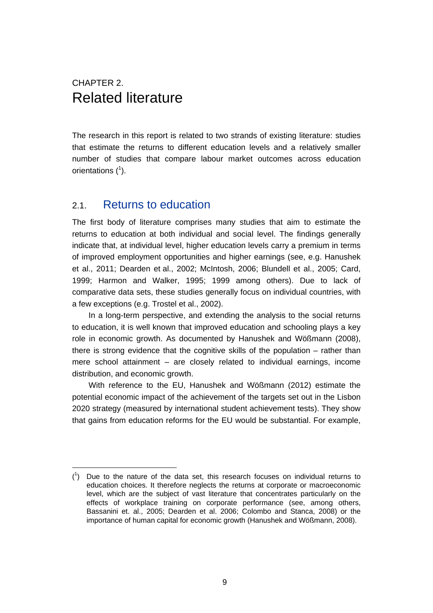### CHAPTER 2. Related literature

The research in this report is related to two strands of existing literature: studies that estimate the returns to different education levels and a relatively smaller number of studies that compare labour market outcomes across education orientations  $(^1)$ .

#### 2.1. Returns to education

The first body of literature comprises many studies that aim to estimate the returns to education at both individual and social level. The findings generally indicate that, at individual level, higher education levels carry a premium in terms of improved employment opportunities and higher earnings (see, e.g. Hanushek et al., 2011; Dearden et al., 2002; McIntosh, 2006; Blundell et al., 2005; Card, 1999; Harmon and Walker, 1995; 1999 among others). Due to lack of comparative data sets, these studies generally focus on individual countries, with a few exceptions (e.g. Trostel et al., 2002).

In a long-term perspective, and extending the analysis to the social returns to education, it is well known that improved education and schooling plays a key role in economic growth. As documented by Hanushek and Wößmann (2008), there is strong evidence that the cognitive skills of the population – rather than mere school attainment – are closely related to individual earnings, income distribution, and economic growth.

With reference to the EU, Hanushek and Wößmann (2012) estimate the potential economic impact of the achievement of the targets set out in the Lisbon 2020 strategy (measured by international student achievement tests). They show that gains from education reforms for the EU would be substantial. For example,

 $(1)$  Due to the nature of the data set, this research focuses on individual returns to education choices. It therefore neglects the returns at corporate or macroeconomic level, which are the subject of vast literature that concentrates particularly on the effects of workplace training on corporate performance (see, among others, Bassanini et. al., 2005; Dearden et al. 2006; Colombo and Stanca, 2008) or the importance of human capital for economic growth (Hanushek and Wößmann, 2008).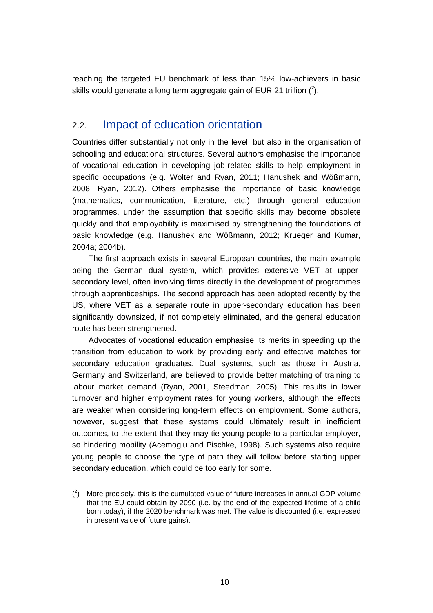reaching the targeted EU benchmark of less than 15% low-achievers in basic skills would generate a long term aggregate gain of EUR 21 trillion  $(^2)$ .

#### 2.2. Impact of education orientation

Countries differ substantially not only in the level, but also in the organisation of schooling and educational structures. Several authors emphasise the importance of vocational education in developing job-related skills to help employment in specific occupations (e.g. Wolter and Ryan, 2011; Hanushek and Wößmann, 2008; Ryan, 2012). Others emphasise the importance of basic knowledge (mathematics, communication, literature, etc.) through general education programmes, under the assumption that specific skills may become obsolete quickly and that employability is maximised by strengthening the foundations of basic knowledge (e.g. Hanushek and Wößmann, 2012; Krueger and Kumar, 2004a; 2004b).

The first approach exists in several European countries, the main example being the German dual system, which provides extensive VET at uppersecondary level, often involving firms directly in the development of programmes through apprenticeships. The second approach has been adopted recently by the US, where VET as a separate route in upper-secondary education has been significantly downsized, if not completely eliminated, and the general education route has been strengthened.

Advocates of vocational education emphasise its merits in speeding up the transition from education to work by providing early and effective matches for secondary education graduates. Dual systems, such as those in Austria, Germany and Switzerland, are believed to provide better matching of training to labour market demand (Ryan, 2001, Steedman, 2005). This results in lower turnover and higher employment rates for young workers, although the effects are weaker when considering long-term effects on employment. Some authors, however, suggest that these systems could ultimately result in inefficient outcomes, to the extent that they may tie young people to a particular employer, so hindering mobility (Acemoglu and Pischke, 1998). Such systems also require young people to choose the type of path they will follow before starting upper secondary education, which could be too early for some.

 $(2)$  More precisely, this is the cumulated value of future increases in annual GDP volume that the EU could obtain by 2090 (i.e. by the end of the expected lifetime of a child born today), if the 2020 benchmark was met. The value is discounted (i.e. expressed in present value of future gains).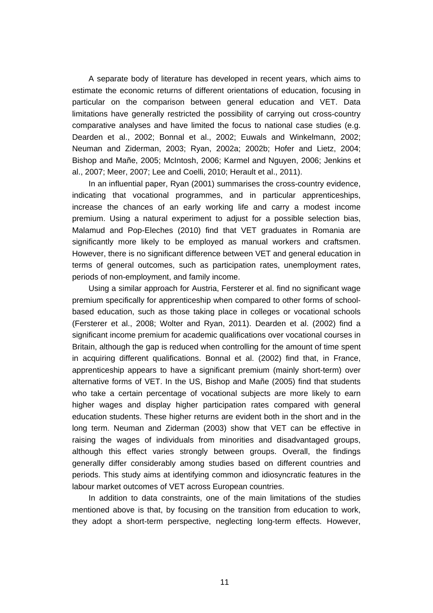A separate body of literature has developed in recent years, which aims to estimate the economic returns of different orientations of education, focusing in particular on the comparison between general education and VET. Data limitations have generally restricted the possibility of carrying out cross-country comparative analyses and have limited the focus to national case studies (e.g. Dearden et al., 2002; Bonnal et al., 2002; Euwals and Winkelmann, 2002; Neuman and Ziderman, 2003; Ryan, 2002a; 2002b; Hofer and Lietz, 2004; Bishop and Mañe, 2005; McIntosh, 2006; Karmel and Nguyen, 2006; Jenkins et al., 2007; Meer, 2007; Lee and Coelli, 2010; Herault et al., 2011).

In an influential paper, Ryan (2001) summarises the cross-country evidence, indicating that vocational programmes, and in particular apprenticeships, increase the chances of an early working life and carry a modest income premium. Using a natural experiment to adjust for a possible selection bias, Malamud and Pop-Eleches (2010) find that VET graduates in Romania are significantly more likely to be employed as manual workers and craftsmen. However, there is no significant difference between VET and general education in terms of general outcomes, such as participation rates, unemployment rates, periods of non-employment, and family income.

Using a similar approach for Austria, Fersterer et al. find no significant wage premium specifically for apprenticeship when compared to other forms of schoolbased education, such as those taking place in colleges or vocational schools (Fersterer et al., 2008; Wolter and Ryan, 2011). Dearden et al. (2002) find a significant income premium for academic qualifications over vocational courses in Britain, although the gap is reduced when controlling for the amount of time spent in acquiring different qualifications. Bonnal et al. (2002) find that, in France, apprenticeship appears to have a significant premium (mainly short-term) over alternative forms of VET. In the US, Bishop and Mañe (2005) find that students who take a certain percentage of vocational subjects are more likely to earn higher wages and display higher participation rates compared with general education students. These higher returns are evident both in the short and in the long term. Neuman and Ziderman (2003) show that VET can be effective in raising the wages of individuals from minorities and disadvantaged groups, although this effect varies strongly between groups. Overall, the findings generally differ considerably among studies based on different countries and periods. This study aims at identifying common and idiosyncratic features in the labour market outcomes of VET across European countries.

In addition to data constraints, one of the main limitations of the studies mentioned above is that, by focusing on the transition from education to work, they adopt a short-term perspective, neglecting long-term effects. However,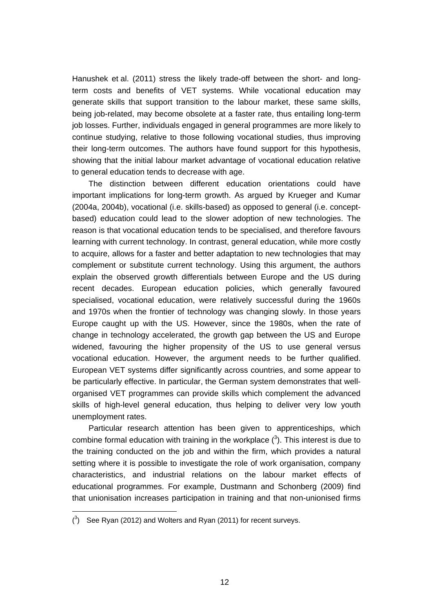Hanushek et al. (2011) stress the likely trade-off between the short- and longterm costs and benefits of VET systems. While vocational education may generate skills that support transition to the labour market, these same skills, being job-related, may become obsolete at a faster rate, thus entailing long-term job losses. Further, individuals engaged in general programmes are more likely to continue studying, relative to those following vocational studies, thus improving their long-term outcomes. The authors have found support for this hypothesis, showing that the initial labour market advantage of vocational education relative to general education tends to decrease with age.

The distinction between different education orientations could have important implications for long-term growth. As argued by Krueger and Kumar (2004a, 2004b), vocational (i.e. skills-based) as opposed to general (i.e. conceptbased) education could lead to the slower adoption of new technologies. The reason is that vocational education tends to be specialised, and therefore favours learning with current technology. In contrast, general education, while more costly to acquire, allows for a faster and better adaptation to new technologies that may complement or substitute current technology. Using this argument, the authors explain the observed growth differentials between Europe and the US during recent decades. European education policies, which generally favoured specialised, vocational education, were relatively successful during the 1960s and 1970s when the frontier of technology was changing slowly. In those years Europe caught up with the US. However, since the 1980s, when the rate of change in technology accelerated, the growth gap between the US and Europe widened, favouring the higher propensity of the US to use general versus vocational education. However, the argument needs to be further qualified. European VET systems differ significantly across countries, and some appear to be particularly effective. In particular, the German system demonstrates that wellorganised VET programmes can provide skills which complement the advanced skills of high-level general education, thus helping to deliver very low youth unemployment rates.

Particular research attention has been given to apprenticeships, which combine formal education with training in the workplace  $(3)$ . This interest is due to the training conducted on the job and within the firm, which provides a natural setting where it is possible to investigate the role of work organisation, company characteristics, and industrial relations on the labour market effects of educational programmes. For example, Dustmann and Schonberg (2009) find that unionisation increases participation in training and that non-unionised firms

 $(^3)$  See Ryan (2012) and Wolters and Ryan (2011) for recent surveys.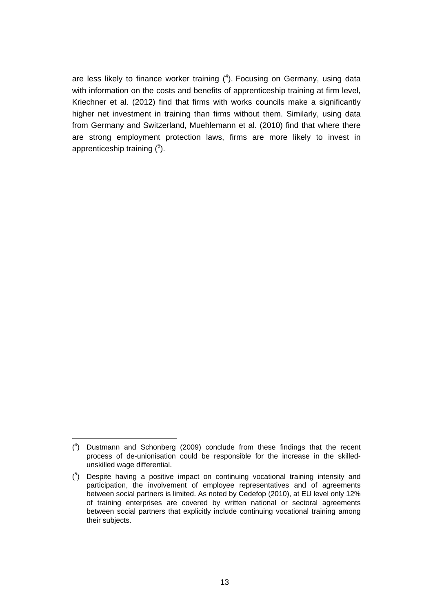are less likely to finance worker training  $(4)$ . Focusing on Germany, using data with information on the costs and benefits of apprenticeship training at firm level, Kriechner et al. (2012) find that firms with works councils make a significantly higher net investment in training than firms without them. Similarly, using data from Germany and Switzerland, Muehlemann et al. (2010) find that where there are strong employment protection laws, firms are more likely to invest in apprenticeship training  $(^{5})$ .

<sup>(</sup> 4 ) Dustmann and Schonberg (2009) conclude from these findings that the recent process of de-unionisation could be responsible for the increase in the skilledunskilled wage differential.

 $(5)$  Despite having a positive impact on continuing vocational training intensity and participation, the involvement of employee representatives and of agreements between social partners is limited. As noted by Cedefop (2010), at EU level only 12% of training enterprises are covered by written national or sectoral agreements between social partners that explicitly include continuing vocational training among their subjects.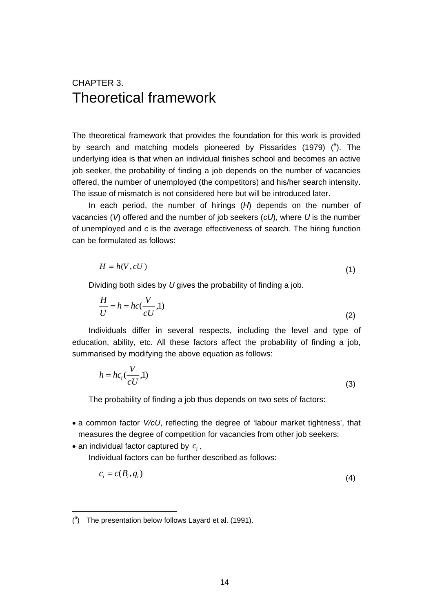### CHAPTER 3. Theoretical framework

The theoretical framework that provides the foundation for this work is provided by search and matching models pioneered by Pissarides (1979)  $(^6)$ . The underlying idea is that when an individual finishes school and becomes an active job seeker, the probability of finding a job depends on the number of vacancies offered, the number of unemployed (the competitors) and his/her search intensity. The issue of mismatch is not considered here but will be introduced later.

In each period, the number of hirings (*H*) depends on the number of vacancies (*V*) offered and the number of job seekers (*cU*), where *U* is the number of unemployed and *c* is the average effectiveness of search. The hiring function can be formulated as follows:

$$
H = h(V, cU) \tag{1}
$$

Dividing both sides by *U* gives the probability of finding a job.

$$
\frac{H}{U} = h = hc(\frac{V}{cU}, 1)
$$
\n(2)

Individuals differ in several respects, including the level and type of education, ability, etc. All these factors affect the probability of finding a job, summarised by modifying the above equation as follows:

$$
h = hc_i(\frac{V}{cU}, 1)
$$
 (3)

The probability of finding a job thus depends on two sets of factors:

- a common factor *V/cU*, reflecting the degree of 'labour market tightness', that measures the degree of competition for vacancies from other job seekers;
- an individual factor captured by  $c_i$ . Individual factors can be further described as follows:

$$
c_i = c(B_i, q_i) \tag{4}
$$

 $(6)$  The presentation below follows Layard et al. (1991).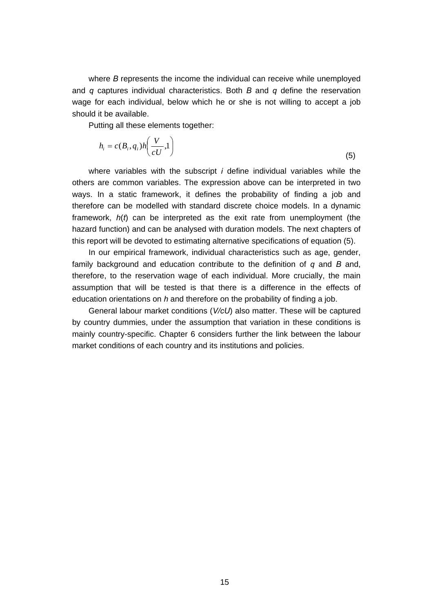where *B* represents the income the individual can receive while unemployed and *q* captures individual characteristics. Both *B* and *q* define the reservation wage for each individual, below which he or she is not willing to accept a job should it be available.

Putting all these elements together:

$$
h_i = c(B_i, q_i)h\left(\frac{V}{cU}, 1\right)
$$
\n<sup>(5)</sup>

where variables with the subscript *i* define individual variables while the others are common variables. The expression above can be interpreted in two ways. In a static framework, it defines the probability of finding a job and therefore can be modelled with standard discrete choice models. In a dynamic framework, *h*(*t*) can be interpreted as the exit rate from unemployment (the hazard function) and can be analysed with duration models. The next chapters of this report will be devoted to estimating alternative specifications of equation (5).

In our empirical framework, individual characteristics such as age, gender, family background and education contribute to the definition of *q* and *B* and, therefore, to the reservation wage of each individual. More crucially, the main assumption that will be tested is that there is a difference in the effects of education orientations on *h* and therefore on the probability of finding a job.

General labour market conditions (*V/cU*) also matter. These will be captured by country dummies, under the assumption that variation in these conditions is mainly country-specific. Chapter 6 considers further the link between the labour market conditions of each country and its institutions and policies.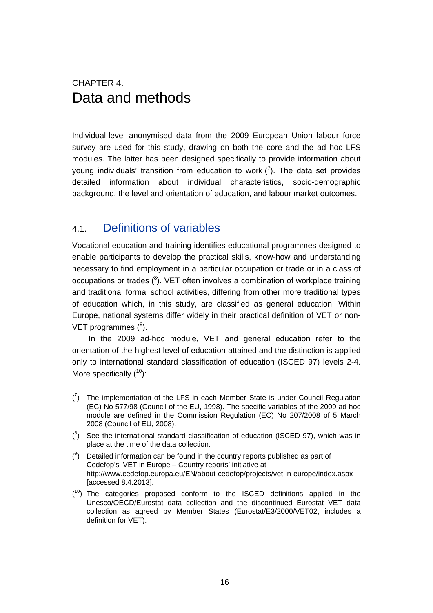### CHAPTER 4. Data and methods

Individual-level anonymised data from the 2009 European Union labour force survey are used for this study, drawing on both the core and the ad hoc LFS modules. The latter has been designed specifically to provide information about young individuals' transition from education to work  $\binom{7}{1}$ . The data set provides detailed information about individual characteristics, socio-demographic background, the level and orientation of education, and labour market outcomes.

#### 4.1. Definitions of variables

Vocational education and training identifies educational programmes designed to enable participants to develop the practical skills, know-how and understanding necessary to find employment in a particular occupation or trade or in a class of occupations or trades  $(^8)$ . VET often involves a combination of workplace training and traditional formal school activities, differing from other more traditional types of education which, in this study, are classified as general education. Within Europe, national systems differ widely in their practical definition of VET or non-VET programmes  $(9)$ .

In the 2009 ad-hoc module, VET and general education refer to the orientation of the highest level of education attained and the distinction is applied only to international standard classification of education (ISCED 97) levels 2-4. More specifically  $(^{10})$ :

 $(7)$  The implementation of the LFS in each Member State is under Council Regulation (EC) No 577/98 (Council of the EU, 1998). The specific variables of the 2009 ad hoc module are defined in the Commission Regulation (EC) No 207/2008 of 5 March 2008 (Council of EU, 2008).

 $(3)$  See the international standard classification of education (ISCED 97), which was in place at the time of the data collection.

 $(3)$  Detailed information can be found in the country reports published as part of Cedefop's 'VET in Europe – Country reports' initiative at http://www.cedefop.europa.eu/EN/about-cedefop/projects/vet-in-europe/index.aspx [accessed 8.4.2013].

 $(10)$  The categories proposed conform to the ISCED definitions applied in the Unesco/OECD/Eurostat data collection and the discontinued Eurostat VET data collection as agreed by Member States (Eurostat/E3/2000/VET02, includes a definition for VET).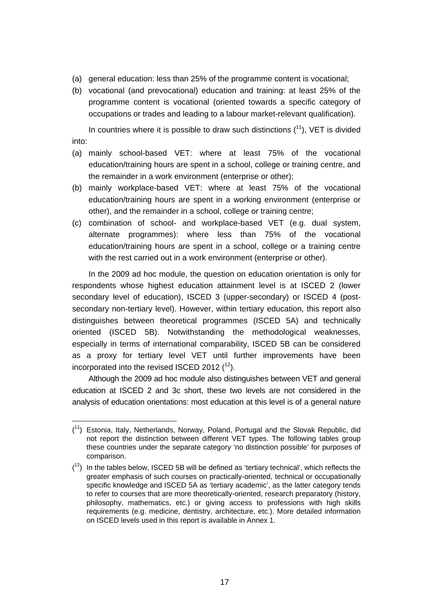- (a) general education: less than 25% of the programme content is vocational;
- (b) vocational (and prevocational) education and training: at least 25% of the programme content is vocational (oriented towards a specific category of occupations or trades and leading to a labour market-relevant qualification).

In countries where it is possible to draw such distinctions  $(^{11})$ , VET is divided into:

- (a) mainly school-based VET: where at least 75% of the vocational education/training hours are spent in a school, college or training centre, and the remainder in a work environment (enterprise or other);
- (b) mainly workplace-based VET: where at least 75% of the vocational education/training hours are spent in a working environment (enterprise or other), and the remainder in a school, college or training centre;
- (c) combination of school- and workplace-based VET (e.g. dual system, alternate programmes): where less than 75% of the vocational education/training hours are spent in a school, college or a training centre with the rest carried out in a work environment (enterprise or other).

In the 2009 ad hoc module, the question on education orientation is only for respondents whose highest education attainment level is at ISCED 2 (lower secondary level of education), ISCED 3 (upper-secondary) or ISCED 4 (postsecondary non-tertiary level). However, within tertiary education, this report also distinguishes between theoretical programmes (ISCED 5A) and technically oriented (ISCED 5B). Notwithstanding the methodological weaknesses, especially in terms of international comparability, ISCED 5B can be considered as a proxy for tertiary level VET until further improvements have been incorporated into the revised ISCED 2012  $(12)$ .

Although the 2009 ad hoc module also distinguishes between VET and general education at ISCED 2 and 3c short, these two levels are not considered in the analysis of education orientations: most education at this level is of a general nature

 $(1)$  Estonia, Italy, Netherlands, Norway, Poland, Portugal and the Slovak Republic, did not report the distinction between different VET types. The following tables group these countries under the separate category 'no distinction possible' for purposes of comparison.

 $(1<sup>2</sup>)$  In the tables below, ISCED 5B will be defined as 'tertiary technical', which reflects the greater emphasis of such courses on practically-oriented, technical or occupationally specific knowledge and ISCED 5A as 'tertiary academic', as the latter category tends to refer to courses that are more theoretically-oriented, research preparatory (history, philosophy, mathematics, etc.) or giving access to professions with high skills requirements (e.g. medicine, dentistry, architecture, etc.). More detailed information on ISCED levels used in this report is available in Annex 1.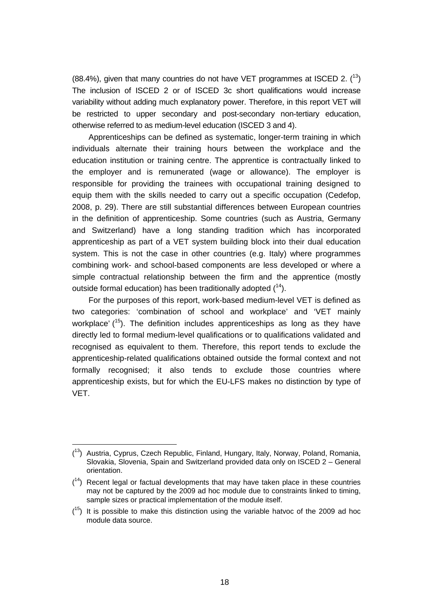(88.4%), given that many countries do not have VET programmes at ISCED 2.  $(^{13})$ The inclusion of ISCED 2 or of ISCED 3c short qualifications would increase variability without adding much explanatory power. Therefore, in this report VET will be restricted to upper secondary and post-secondary non-tertiary education, otherwise referred to as medium-level education (ISCED 3 and 4).

Apprenticeships can be defined as systematic, longer-term training in which individuals alternate their training hours between the workplace and the education institution or training centre. The apprentice is contractually linked to the employer and is remunerated (wage or allowance). The employer is responsible for providing the trainees with occupational training designed to equip them with the skills needed to carry out a specific occupation (Cedefop, 2008, p. 29). There are still substantial differences between European countries in the definition of apprenticeship. Some countries (such as Austria, Germany and Switzerland) have a long standing tradition which has incorporated apprenticeship as part of a VET system building block into their dual education system. This is not the case in other countries (e.g. Italy) where programmes combining work- and school-based components are less developed or where a simple contractual relationship between the firm and the apprentice (mostly outside formal education) has been traditionally adopted  $(14)$ .

For the purposes of this report, work-based medium-level VET is defined as two categories: 'combination of school and workplace' and 'VET mainly workplace'  $(^{15})$ . The definition includes apprenticeships as long as they have directly led to formal medium-level qualifications or to qualifications validated and recognised as equivalent to them. Therefore, this report tends to exclude the apprenticeship-related qualifications obtained outside the formal context and not formally recognised; it also tends to exclude those countries where apprenticeship exists, but for which the EU-LFS makes no distinction by type of VET.

 $\overline{a}$ 

<sup>(</sup> 13) Austria, Cyprus, Czech Republic, Finland, Hungary, Italy, Norway, Poland, Romania, Slovakia, Slovenia, Spain and Switzerland provided data only on ISCED 2 – General orientation.

 $(14)$  Recent legal or factual developments that may have taken place in these countries may not be captured by the 2009 ad hoc module due to constraints linked to timing, sample sizes or practical implementation of the module itself.

 $(15)$  It is possible to make this distinction using the variable hatvoc of the 2009 ad hoc module data source.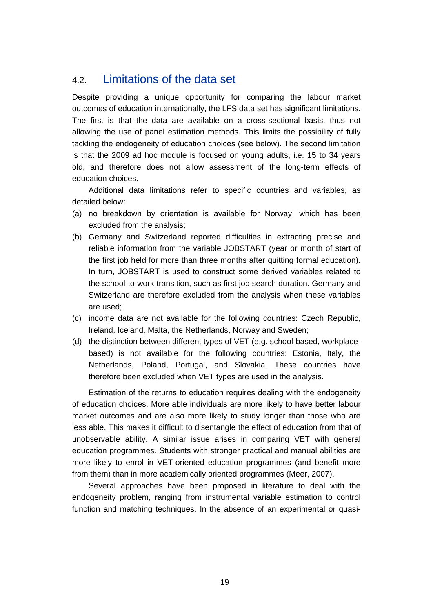#### 4.2. Limitations of the data set

Despite providing a unique opportunity for comparing the labour market outcomes of education internationally, the LFS data set has significant limitations. The first is that the data are available on a cross-sectional basis, thus not allowing the use of panel estimation methods. This limits the possibility of fully tackling the endogeneity of education choices (see below). The second limitation is that the 2009 ad hoc module is focused on young adults, i.e. 15 to 34 years old, and therefore does not allow assessment of the long-term effects of education choices.

Additional data limitations refer to specific countries and variables, as detailed below:

- (a) no breakdown by orientation is available for Norway, which has been excluded from the analysis;
- (b) Germany and Switzerland reported difficulties in extracting precise and reliable information from the variable JOBSTART (year or month of start of the first job held for more than three months after quitting formal education). In turn, JOBSTART is used to construct some derived variables related to the school-to-work transition, such as first job search duration. Germany and Switzerland are therefore excluded from the analysis when these variables are used;
- (c) income data are not available for the following countries: Czech Republic, Ireland, Iceland, Malta, the Netherlands, Norway and Sweden;
- (d) the distinction between different types of VET (e.g. school-based, workplacebased) is not available for the following countries: Estonia, Italy, the Netherlands, Poland, Portugal, and Slovakia. These countries have therefore been excluded when VET types are used in the analysis.

Estimation of the returns to education requires dealing with the endogeneity of education choices. More able individuals are more likely to have better labour market outcomes and are also more likely to study longer than those who are less able. This makes it difficult to disentangle the effect of education from that of unobservable ability. A similar issue arises in comparing VET with general education programmes. Students with stronger practical and manual abilities are more likely to enrol in VET-oriented education programmes (and benefit more from them) than in more academically oriented programmes (Meer, 2007).

Several approaches have been proposed in literature to deal with the endogeneity problem, ranging from instrumental variable estimation to control function and matching techniques. In the absence of an experimental or quasi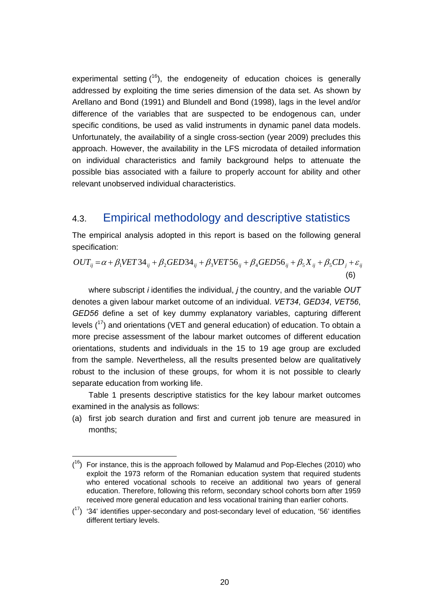experimental setting  $(16)$ , the endogeneity of education choices is generally addressed by exploiting the time series dimension of the data set. As shown by Arellano and Bond (1991) and Blundell and Bond (1998), lags in the level and/or difference of the variables that are suspected to be endogenous can, under specific conditions, be used as valid instruments in dynamic panel data models. Unfortunately, the availability of a single cross-section (year 2009) precludes this approach. However, the availability in the LFS microdata of detailed information on individual characteristics and family background helps to attenuate the possible bias associated with a failure to properly account for ability and other relevant unobserved individual characteristics.

#### 4.3. Empirical methodology and descriptive statistics

The empirical analysis adopted in this report is based on the following general specification:

$$
OUT_{ij} = \alpha + \beta_1 VET34_{ij} + \beta_2 GED34_{ij} + \beta_3 VET56_{ij} + \beta_4 GED56_{ij} + \beta_5 X_{ij} + \beta_5 CD_j + \varepsilon_{ij}
$$
\n(6)

where subscript *i* identifies the individual, *j* the country, and the variable *OUT* denotes a given labour market outcome of an individual. *VET34*, *GED34*, *VET56*, *GED56* define a set of key dummy explanatory variables, capturing different levels  $(17)$  and orientations (VET and general education) of education. To obtain a more precise assessment of the labour market outcomes of different education orientations, students and individuals in the 15 to 19 age group are excluded from the sample. Nevertheless, all the results presented below are qualitatively robust to the inclusion of these groups, for whom it is not possible to clearly separate education from working life.

Table 1 presents descriptive statistics for the key labour market outcomes examined in the analysis as follows:

(a) first job search duration and first and current job tenure are measured in months;

 $(16)$  For instance, this is the approach followed by Malamud and Pop-Eleches (2010) who exploit the 1973 reform of the Romanian education system that required students who entered vocational schools to receive an additional two years of general education. Therefore, following this reform, secondary school cohorts born after 1959 received more general education and less vocational training than earlier cohorts.

 $(17)$  '34' identifies upper-secondary and post-secondary level of education, '56' identifies different tertiary levels.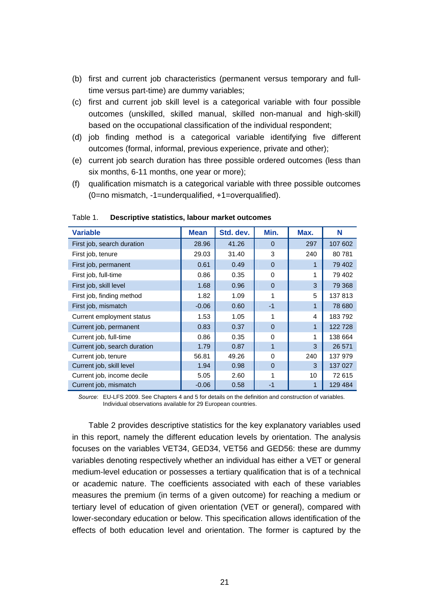- (b) first and current job characteristics (permanent versus temporary and fulltime versus part-time) are dummy variables;
- (c) first and current job skill level is a categorical variable with four possible outcomes (unskilled, skilled manual, skilled non-manual and high-skill) based on the occupational classification of the individual respondent;
- (d) job finding method is a categorical variable identifying five different outcomes (formal, informal, previous experience, private and other);
- (e) current job search duration has three possible ordered outcomes (less than six months, 6-11 months, one year or more);
- (f) qualification mismatch is a categorical variable with three possible outcomes (0=no mismatch, -1=underqualified, +1=overqualified).

| <b>Variable</b>              | <b>Mean</b> | Std. dev. | Min.         | Max.                    | N       |
|------------------------------|-------------|-----------|--------------|-------------------------|---------|
| First job, search duration   | 28.96       | 41.26     | $\Omega$     | 297                     | 107 602 |
| First job, tenure            | 29.03       | 31.40     | 3            | 240                     | 80781   |
| First job, permanent         | 0.61        | 0.49      | $\Omega$     |                         | 79 402  |
| First job, full-time         | 0.86        | 0.35      | $\Omega$     | 1                       | 79 402  |
| First job, skill level       | 1.68        | 0.96      | $\Omega$     | 3                       | 79 368  |
| First job, finding method    | 1.82        | 1.09      | 1            | 5                       | 137813  |
| First job, mismatch          | $-0.06$     | 0.60      | $-1$         | 1                       | 78 680  |
| Current employment status    | 1.53        | 1.05      | 1            | $\overline{\mathbf{4}}$ | 183792  |
| Current job, permanent       | 0.83        | 0.37      | $\Omega$     | 1                       | 122728  |
| Current job, full-time       | 0.86        | 0.35      | $\Omega$     | 1                       | 138 664 |
| Current job, search duration | 1.79        | 0.87      | $\mathbf{1}$ | 3                       | 26 571  |
| Current job, tenure          | 56.81       | 49.26     | 0            | 240                     | 137 979 |
| Current job, skill level     | 1.94        | 0.98      | $\Omega$     | 3                       | 137 027 |
| Current job, income decile   | 5.05        | 2.60      | 1            | 10                      | 72 615  |
| Current job, mismatch        | $-0.06$     | 0.58      | $-1$         | 1                       | 129 484 |

Table 1. **Descriptive statistics, labour market outcomes** 

*Source*: FU-LFS 2009. See Chapters 4 and 5 for details on the definition and construction of variables. Individual observations available for 29 European countries.

Table 2 provides descriptive statistics for the key explanatory variables used in this report, namely the different education levels by orientation. The analysis focuses on the variables VET34, GED34, VET56 and GED56: these are dummy variables denoting respectively whether an individual has either a VET or general medium-level education or possesses a tertiary qualification that is of a technical or academic nature. The coefficients associated with each of these variables measures the premium (in terms of a given outcome) for reaching a medium or tertiary level of education of given orientation (VET or general), compared with lower-secondary education or below. This specification allows identification of the effects of both education level and orientation. The former is captured by the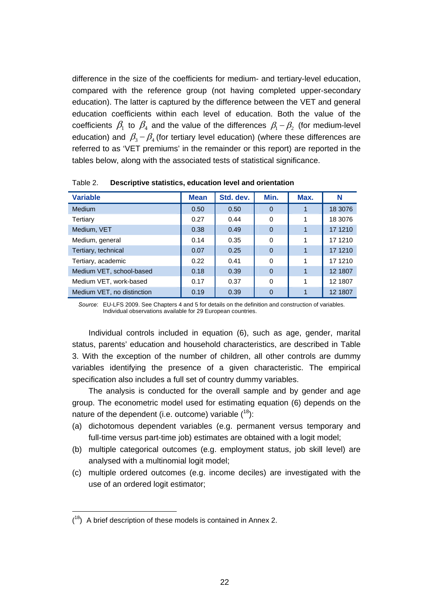difference in the size of the coefficients for medium- and tertiary-level education, compared with the reference group (not having completed upper-secondary education). The latter is captured by the difference between the VET and general education coefficients within each level of education. Both the value of the coefficients  $\beta_1$  to  $\beta_4$  and the value of the differences  $\beta_1 - \beta_2$  (for medium-level education) and  $\beta_3 - \beta_4$  (for tertiary level education) (where these differences are referred to as 'VET premiums' in the remainder or this report) are reported in the tables below, along with the associated tests of statistical significance.

| <b>Variable</b>            | <b>Mean</b> | Std. dev. | Min.     | Max. | N       |
|----------------------------|-------------|-----------|----------|------|---------|
| <b>Medium</b>              | 0.50        | 0.50      | $\Omega$ |      | 18 3076 |
| Tertiary                   | 0.27        | 0.44      | $\Omega$ | 1    | 18 3076 |
| Medium, VET                | 0.38        | 0.49      | $\Omega$ |      | 17 1210 |
| Medium, general            | 0.14        | 0.35      | $\Omega$ |      | 17 1210 |
| Tertiary, technical        | 0.07        | 0.25      | $\Omega$ |      | 17 1210 |
| Tertiary, academic         | 0.22        | 0.41      | $\Omega$ | 1    | 17 1210 |
| Medium VET, school-based   | 0.18        | 0.39      | $\Omega$ |      | 12 1807 |
| Medium VET, work-based     | 0.17        | 0.37      | $\Omega$ | 1    | 12 1807 |
| Medium VET, no distinction | 0.19        | 0.39      | $\Omega$ |      | 12 1807 |

Table 2. **Descriptive statistics, education level and orientation** 

*Source*: EU-LFS 2009. See Chapters 4 and 5 for details on the definition and construction of variables. Individual observations available for 29 European countries.

Individual controls included in equation (6), such as age, gender, marital status, parents' education and household characteristics, are described in Table 3. With the exception of the number of children, all other controls are dummy variables identifying the presence of a given characteristic. The empirical specification also includes a full set of country dummy variables.

The analysis is conducted for the overall sample and by gender and age group. The econometric model used for estimating equation (6) depends on the nature of the dependent (i.e. outcome) variable  $(^{18})$ :

- (a) dichotomous dependent variables (e.g. permanent versus temporary and full-time versus part-time job) estimates are obtained with a logit model;
- (b) multiple categorical outcomes (e.g. employment status, job skill level) are analysed with a multinomial logit model;
- (c) multiple ordered outcomes (e.g. income deciles) are investigated with the use of an ordered logit estimator;

 $(18)$  A brief description of these models is contained in Annex 2.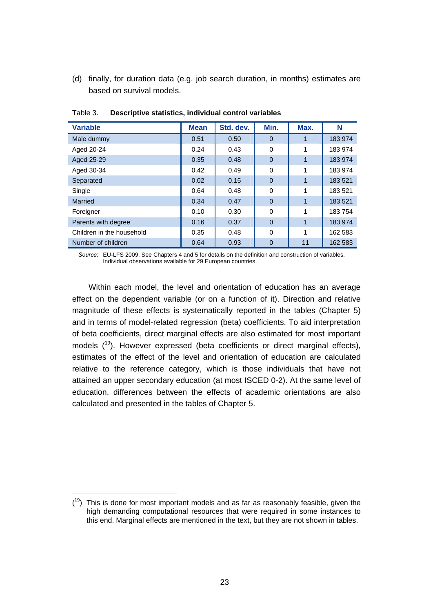(d) finally, for duration data (e.g. job search duration, in months) estimates are based on survival models.

| <b>Variable</b>           | <b>Mean</b> | Std. dev. | Min.           | Max.         | N       |
|---------------------------|-------------|-----------|----------------|--------------|---------|
| Male dummy                | 0.51        | 0.50      | $\Omega$       |              | 183 974 |
| Aged 20-24                | 0.24        | 0.43      | $\Omega$       | 1            | 183 974 |
| Aged 25-29                | 0.35        | 0.48      | $\Omega$       | 1            | 183 974 |
| Aged 30-34                | 0.42        | 0.49      | $\Omega$       | 1            | 183 974 |
| Separated                 | 0.02        | 0.15      | $\mathbf{0}$   | $\mathbf{1}$ | 183 521 |
| Single                    | 0.64        | 0.48      | 0              | 1            | 183 521 |
| Married                   | 0.34        | 0.47      | $\overline{0}$ | 1            | 183 521 |
| Foreigner                 | 0.10        | 0.30      | $\mathbf 0$    | 1            | 183754  |
| Parents with degree       | 0.16        | 0.37      | $\overline{0}$ | 1            | 183 974 |
| Children in the household | 0.35        | 0.48      | $\Omega$       | 1            | 162 583 |
| Number of children        | 0.64        | 0.93      | $\Omega$       | 11           | 162 583 |

Table 3. **Descriptive statistics, individual control variables** 

*Source*: EU-LFS 2009. See Chapters 4 and 5 for details on the definition and construction of variables. Individual observations available for 29 European countries.

Within each model, the level and orientation of education has an average effect on the dependent variable (or on a function of it). Direction and relative magnitude of these effects is systematically reported in the tables (Chapter 5) and in terms of model-related regression (beta) coefficients. To aid interpretation of beta coefficients, direct marginal effects are also estimated for most important models  $(19)$ . However expressed (beta coefficients or direct marginal effects), estimates of the effect of the level and orientation of education are calculated relative to the reference category, which is those individuals that have not attained an upper secondary education (at most ISCED 0-2). At the same level of education, differences between the effects of academic orientations are also calculated and presented in the tables of Chapter 5.

 $(19)$  This is done for most important models and as far as reasonably feasible, given the high demanding computational resources that were required in some instances to this end. Marginal effects are mentioned in the text, but they are not shown in tables.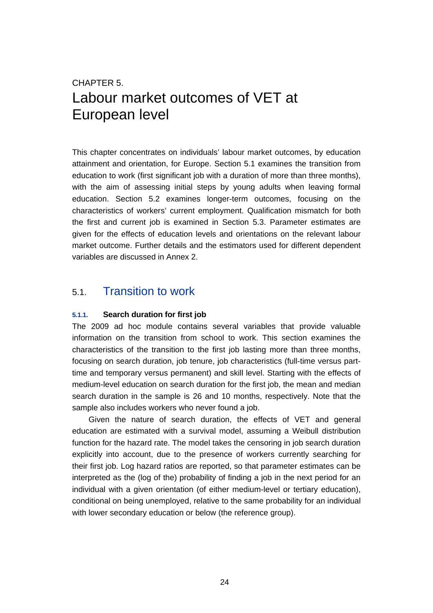### CHAPTER 5. Labour market outcomes of VET at European level

This chapter concentrates on individuals' labour market outcomes, by education attainment and orientation, for Europe. Section 5.1 examines the transition from education to work (first significant job with a duration of more than three months), with the aim of assessing initial steps by young adults when leaving formal education. Section 5.2 examines longer-term outcomes, focusing on the characteristics of workers' current employment. Qualification mismatch for both the first and current job is examined in Section 5.3. Parameter estimates are given for the effects of education levels and orientations on the relevant labour market outcome. Further details and the estimators used for different dependent variables are discussed in Annex 2.

#### 5.1. Transition to work

#### **5.1.1. Search duration for first job**

The 2009 ad hoc module contains several variables that provide valuable information on the transition from school to work. This section examines the characteristics of the transition to the first job lasting more than three months, focusing on search duration, job tenure, job characteristics (full-time versus parttime and temporary versus permanent) and skill level. Starting with the effects of medium-level education on search duration for the first job, the mean and median search duration in the sample is 26 and 10 months, respectively. Note that the sample also includes workers who never found a job.

Given the nature of search duration, the effects of VET and general education are estimated with a survival model, assuming a Weibull distribution function for the hazard rate. The model takes the censoring in job search duration explicitly into account, due to the presence of workers currently searching for their first job. Log hazard ratios are reported, so that parameter estimates can be interpreted as the (log of the) probability of finding a job in the next period for an individual with a given orientation (of either medium-level or tertiary education), conditional on being unemployed, relative to the same probability for an individual with lower secondary education or below (the reference group).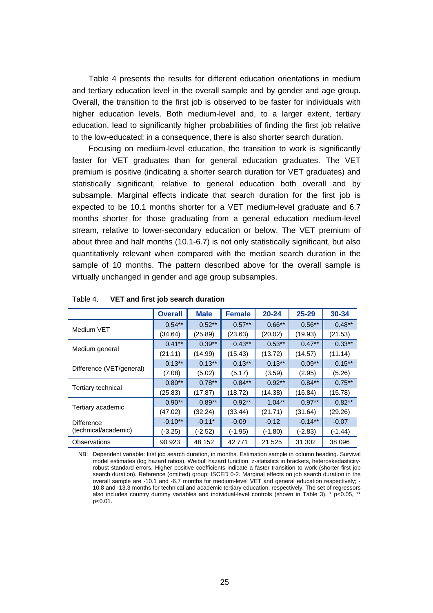Table 4 presents the results for different education orientations in medium and tertiary education level in the overall sample and by gender and age group. Overall, the transition to the first job is observed to be faster for individuals with higher education levels. Both medium-level and, to a larger extent, tertiary education, lead to significantly higher probabilities of finding the first job relative to the low-educated; in a consequence, there is also shorter search duration.

Focusing on medium-level education, the transition to work is significantly faster for VET graduates than for general education graduates. The VET premium is positive (indicating a shorter search duration for VET graduates) and statistically significant, relative to general education both overall and by subsample. Marginal effects indicate that search duration for the first job is expected to be 10.1 months shorter for a VET medium-level graduate and 6.7 months shorter for those graduating from a general education medium-level stream, relative to lower-secondary education or below. The VET premium of about three and half months (10.1-6.7) is not only statistically significant, but also quantitatively relevant when compared with the median search duration in the sample of 10 months. The pattern described above for the overall sample is virtually unchanged in gender and age group subsamples.

|                          | <b>Overall</b> | <b>Male</b> | <b>Female</b> | $20 - 24$ | $25 - 29$ | 30-34     |
|--------------------------|----------------|-------------|---------------|-----------|-----------|-----------|
| Medium VET               | $0.54***$      | $0.52***$   | $0.57***$     | $0.66**$  | $0.56**$  | $0.48**$  |
|                          | (34.64)        | (25.89)     | (23.63)       | (20.02)   | (19.93)   | (21.53)   |
|                          | $0.41***$      | $0.39***$   | $0.43***$     | $0.53**$  | $0.47**$  | $0.33***$ |
| Medium general           | (21.11)        | (14.99)     | (15.43)       | (13.72)   | (14.57)   | (11.14)   |
|                          | $0.13***$      | $0.13***$   | $0.13***$     | $0.13***$ | $0.09**$  | $0.15***$ |
| Difference (VET/general) | (7.08)         | (5.02)      | (5.17)        | (3.59)    | (2.95)    | (5.26)    |
|                          | $0.80**$       | $0.78***$   | $0.84***$     | $0.92**$  | $0.84**$  | $0.75***$ |
| Tertiary technical       | (25.83)        | (17.87)     | (18.72)       | (14.38)   | (16.84)   | (15.78)   |
|                          | $0.90**$       | $0.89**$    | $0.92**$      | $1.04***$ | $0.97**$  | $0.82***$ |
| Tertiary academic        | (47.02)        | (32.24)     | (33.44)       | (21.71)   | (31.64)   | (29.26)   |
| Difference               | $-0.10**$      | $-0.11*$    | $-0.09$       | $-0.12$   | $-0.14**$ | $-0.07$   |
| (technical/academic)     | $(-3.25)$      | $(-2.52)$   | $(-1.95)$     | (-1.80)   | $(-2.83)$ | $(-1.44)$ |
| Observations             | 90 923         | 48 152      | 42771         | 21 5 25   | 31 302    | 38 096    |

#### Table 4. **VET and first job search duration**

NB: Dependent variable: first job search duration, in months. Estimation sample in column heading. Survival model estimates (log hazard ratios), Weibull hazard function. z-statistics in brackets, heteroskedasticityrobust standard errors. Higher positive coefficients indicate a faster transition to work (shorter first job search duration). Reference (omitted) group: ISCED 0-2. Marginal effects on job search duration in the overall sample are -10.1 and -6.7 months for medium-level VET and general education respectively; - 10.8 and -13.3 months for technical and academic tertiary education, respectively. The set of regressors also includes country dummy variables and individual-level controls (shown in Table 3). \* p<0.05, \*\* p<0.01.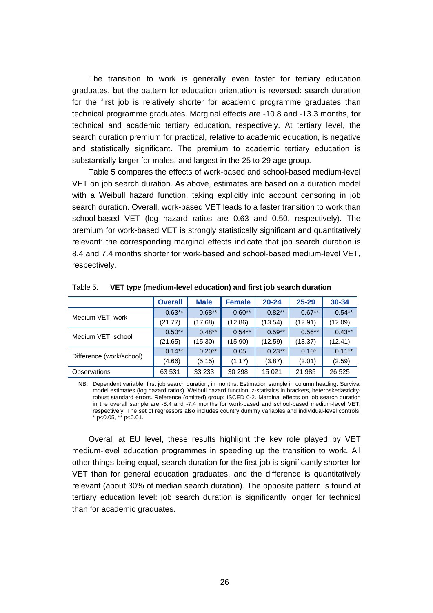The transition to work is generally even faster for tertiary education graduates, but the pattern for education orientation is reversed: search duration for the first job is relatively shorter for academic programme graduates than technical programme graduates. Marginal effects are -10.8 and -13.3 months, for technical and academic tertiary education, respectively. At tertiary level, the search duration premium for practical, relative to academic education, is negative and statistically significant. The premium to academic tertiary education is substantially larger for males, and largest in the 25 to 29 age group.

Table 5 compares the effects of work-based and school-based medium-level VET on job search duration. As above, estimates are based on a duration model with a Weibull hazard function, taking explicitly into account censoring in job search duration. Overall, work-based VET leads to a faster transition to work than school-based VET (log hazard ratios are 0.63 and 0.50, respectively). The premium for work-based VET is strongly statistically significant and quantitatively relevant: the corresponding marginal effects indicate that job search duration is 8.4 and 7.4 months shorter for work-based and school-based medium-level VET, respectively.

|                          | <b>Overall</b> | <b>Male</b> | <b>Female</b> | $20 - 24$ | $25 - 29$ | 30-34     |
|--------------------------|----------------|-------------|---------------|-----------|-----------|-----------|
|                          | $0.63***$      | $0.68***$   | $0.60**$      | $0.82**$  | $0.67***$ | $0.54***$ |
| Medium VET, work         | (21.77)        | (17.68)     | (12.86)       | (13.54)   | (12.91)   | (12.09)   |
|                          | $0.50**$       | $0.48***$   | $0.54***$     | $0.59**$  | $0.56***$ | $0.43***$ |
| Medium VET, school       | (21.65)        | (15.30)     | (15.90)       | (12.59)   | (13.37)   | (12.41)   |
|                          | $0.14***$      | $0.20**$    | 0.05          | $0.23**$  | $0.10*$   | $0.11***$ |
| Difference (work/school) | (4.66)         | (5.15)      | (1.17)        | (3.87)    | (2.01)    | (2.59)    |
| <b>Observations</b>      | 63 531         | 33 233      | 30 298        | 15 0 21   | 21 985    | 26 5 25   |

Table 5. **VET type (medium-level education) and first job search duration** 

NB: Dependent variable: first job search duration, in months. Estimation sample in column heading. Survival model estimates (log hazard ratios), Weibull hazard function. z-statistics in brackets, heteroskedasticityrobust standard errors. Reference (omitted) group: ISCED 0-2. Marginal effects on job search duration in the overall sample are -8.4 and -7.4 months for work-based and school-based medium-level VET, respectively. The set of regressors also includes country dummy variables and individual-level controls. \* p<0.05, \*\* p<0.01.

Overall at EU level, these results highlight the key role played by VET medium-level education programmes in speeding up the transition to work. All other things being equal, search duration for the first job is significantly shorter for VET than for general education graduates, and the difference is quantitatively relevant (about 30% of median search duration). The opposite pattern is found at tertiary education level: job search duration is significantly longer for technical than for academic graduates.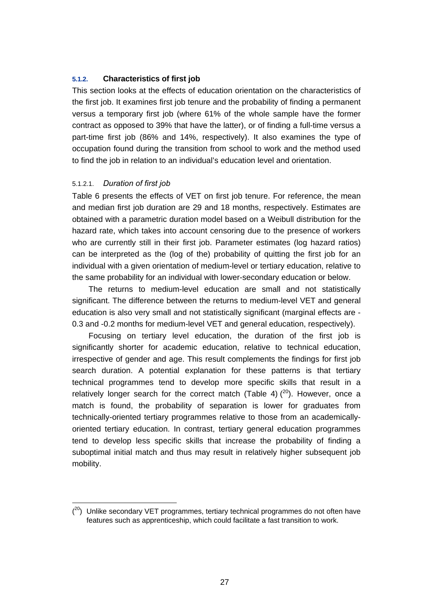#### **5.1.2. Characteristics of first job**

This section looks at the effects of education orientation on the characteristics of the first job. It examines first job tenure and the probability of finding a permanent versus a temporary first job (where 61% of the whole sample have the former contract as opposed to 39% that have the latter), or of finding a full-time versus a part-time first job (86% and 14%, respectively). It also examines the type of occupation found during the transition from school to work and the method used to find the job in relation to an individual's education level and orientation.

#### 5.1.2.1. *Duration of first job*

Table 6 presents the effects of VET on first job tenure. For reference, the mean and median first job duration are 29 and 18 months, respectively. Estimates are obtained with a parametric duration model based on a Weibull distribution for the hazard rate, which takes into account censoring due to the presence of workers who are currently still in their first job. Parameter estimates (log hazard ratios) can be interpreted as the (log of the) probability of quitting the first job for an individual with a given orientation of medium-level or tertiary education, relative to the same probability for an individual with lower-secondary education or below.

The returns to medium-level education are small and not statistically significant. The difference between the returns to medium-level VET and general education is also very small and not statistically significant (marginal effects are - 0.3 and -0.2 months for medium-level VET and general education, respectively).

Focusing on tertiary level education, the duration of the first job is significantly shorter for academic education, relative to technical education, irrespective of gender and age. This result complements the findings for first job search duration. A potential explanation for these patterns is that tertiary technical programmes tend to develop more specific skills that result in a relatively longer search for the correct match (Table 4)  $(20)$ . However, once a match is found, the probability of separation is lower for graduates from technically-oriented tertiary programmes relative to those from an academicallyoriented tertiary education. In contrast, tertiary general education programmes tend to develop less specific skills that increase the probability of finding a suboptimal initial match and thus may result in relatively higher subsequent job mobility.

 $(20)$  Unlike secondary VET programmes, tertiary technical programmes do not often have features such as apprenticeship, which could facilitate a fast transition to work.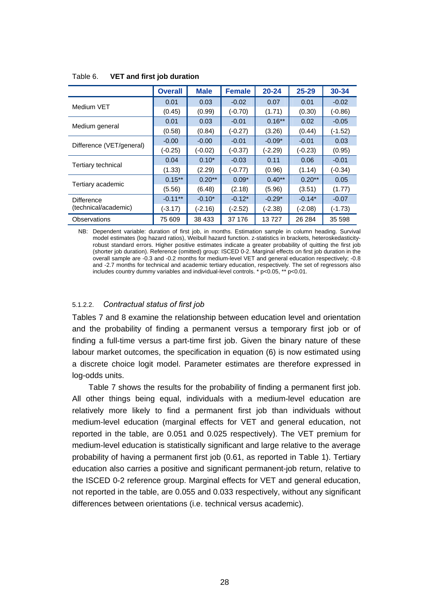|                          | <b>Overall</b> | <b>Male</b> | <b>Female</b> | $20 - 24$ | $25 - 29$ | 30-34     |
|--------------------------|----------------|-------------|---------------|-----------|-----------|-----------|
|                          | 0.01           | 0.03        | $-0.02$       | 0.07      | 0.01      | $-0.02$   |
| Medium VET               | (0.45)         | (0.99)      | $(-0.70)$     | (1.71)    | (0.30)    | $(-0.86)$ |
|                          | 0.01           | 0.03        | $-0.01$       | $0.16***$ | 0.02      | $-0.05$   |
| Medium general           | (0.58)         | (0.84)      | $(-0.27)$     | (3.26)    | (0.44)    | $(-1.52)$ |
|                          | $-0.00$        | $-0.00$     | $-0.01$       | $-0.09*$  | $-0.01$   | 0.03      |
| Difference (VET/general) | $(-0.25)$      | $(-0.02)$   | $(-0.37)$     | (-2.29)   | $(-0.23)$ | (0.95)    |
|                          | 0.04           | $0.10*$     | $-0.03$       | 0.11      | 0.06      | $-0.01$   |
| Tertiary technical       | (1.33)         | (2.29)      | $(-0.77)$     | (0.96)    | (1.14)    | $(-0.34)$ |
|                          | $0.15***$      | $0.20**$    | $0.09*$       | $0.40**$  | $0.20**$  | 0.05      |
| Tertiary academic        | (5.56)         | (6.48)      | (2.18)        | (5.96)    | (3.51)    | (1.77)    |
| Difference               | $-0.11**$      | $-0.10*$    | $-0.12*$      | $-0.29*$  | $-0.14*$  | $-0.07$   |
| (technical/academic)     | (-3.17)        | (-2.16)     | $(-2.52)$     | (-2.38)   | (-2.08)   | (-1.73)   |
| Observations             | 75 609         | 38 433      | 37 176        | 13727     | 26 284    | 35 598    |

Table 6. **VET and first job duration** 

NB: Dependent variable: duration of first job, in months. Estimation sample in column heading. Survival model estimates (log hazard ratios), Weibull hazard function. z-statistics in brackets, heteroskedasticityrobust standard errors. Higher positive estimates indicate a greater probability of quitting the first job (shorter job duration). Reference (omitted) group: ISCED 0-2. Marginal effects on first job duration in the overall sample are -0.3 and -0.2 months for medium-level VET and general education respectively; -0.8 and -2.7 months for technical and academic tertiary education, respectively. The set of regressors also includes country dummy variables and individual-level controls. \* p<0.05, \*\* p<0.01.

#### 5.1.2.2. *Contractual status of first job*

Tables 7 and 8 examine the relationship between education level and orientation and the probability of finding a permanent versus a temporary first job or of finding a full-time versus a part-time first job. Given the binary nature of these labour market outcomes, the specification in equation (6) is now estimated using a discrete choice logit model. Parameter estimates are therefore expressed in log-odds units.

Table 7 shows the results for the probability of finding a permanent first job. All other things being equal, individuals with a medium-level education are relatively more likely to find a permanent first job than individuals without medium-level education (marginal effects for VET and general education, not reported in the table, are 0.051 and 0.025 respectively). The VET premium for medium-level education is statistically significant and large relative to the average probability of having a permanent first job (0.61, as reported in Table 1). Tertiary education also carries a positive and significant permanent-job return, relative to the ISCED 0-2 reference group. Marginal effects for VET and general education, not reported in the table, are 0.055 and 0.033 respectively, without any significant differences between orientations (i.e. technical versus academic).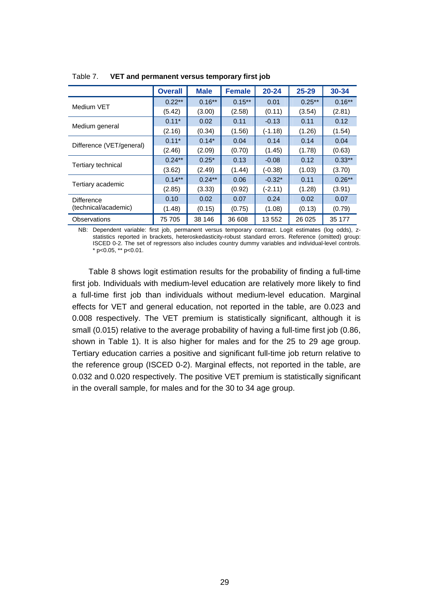|                          | <b>Overall</b> | <b>Male</b> | <b>Female</b> | $20 - 24$ | $25 - 29$ | 30-34     |
|--------------------------|----------------|-------------|---------------|-----------|-----------|-----------|
|                          | $0.22**$       | $0.16***$   | $0.15***$     | 0.01      | $0.25***$ | $0.16***$ |
| Medium VET               | (5.42)         | (3.00)      | (2.58)        | (0.11)    | (3.54)    | (2.81)    |
|                          | $0.11*$        | 0.02        | 0.11          | $-0.13$   | 0.11      | 0.12      |
| Medium general           | (2.16)         | (0.34)      | (1.56)        | $(-1.18)$ | (1.26)    | (1.54)    |
|                          | $0.11*$        | $0.14*$     | 0.04          | 0.14      | 0.14      | 0.04      |
| Difference (VET/general) | (2.46)         | (2.09)      | (0.70)        | (1.45)    | (1.78)    | (0.63)    |
|                          | $0.24**$       | $0.25*$     | 0.13          | $-0.08$   | 0.12      | $0.33**$  |
| Tertiary technical       | (3.62)         | (2.49)      | (1.44)        | $(-0.38)$ | (1.03)    | (3.70)    |
|                          | $0.14***$      | $0.24***$   | 0.06          | $-0.32*$  | 0.11      | $0.26***$ |
| Tertiary academic        | (2.85)         | (3.33)      | (0.92)        | $(-2.11)$ | (1.28)    | (3.91)    |
| Difference               | 0.10           | 0.02        | 0.07          | 0.24      | 0.02      | 0.07      |
| (technical/academic)     | (1.48)         | (0.15)      | (0.75)        | (1.08)    | (0.13)    | (0.79)    |
| Observations             | 75 705         | 38 146      | 36 608        | 13 552    | 26 0 25   | 35 177    |

Table 7. **VET and permanent versus temporary first job** 

NB: Dependent variable: first job, permanent versus temporary contract. Logit estimates (log odds), zstatistics reported in brackets, heteroskedasticity-robust standard errors. Reference (omitted) group: ISCED 0-2. The set of regressors also includes country dummy variables and individual-level controls. \* p<0.05, \*\* p<0.01.

Table 8 shows logit estimation results for the probability of finding a full-time first job. Individuals with medium-level education are relatively more likely to find a full-time first job than individuals without medium-level education. Marginal effects for VET and general education, not reported in the table, are 0.023 and 0.008 respectively. The VET premium is statistically significant, although it is small (0.015) relative to the average probability of having a full-time first job (0.86, shown in Table 1). It is also higher for males and for the 25 to 29 age group. Tertiary education carries a positive and significant full-time job return relative to the reference group (ISCED 0-2). Marginal effects, not reported in the table, are 0.032 and 0.020 respectively. The positive VET premium is statistically significant in the overall sample, for males and for the 30 to 34 age group.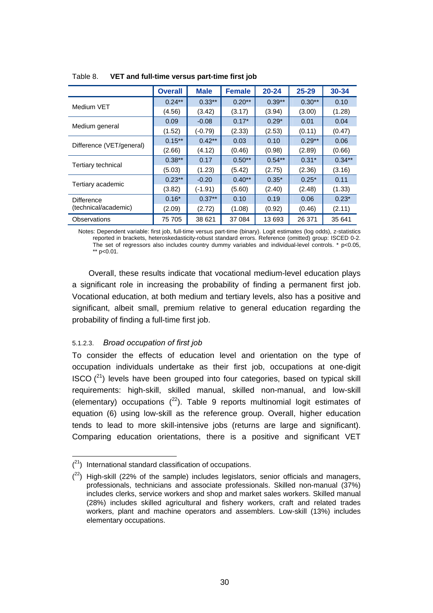|                          | <b>Overall</b> | <b>Male</b> | <b>Female</b> | $20 - 24$ | $25 - 29$ | 30-34     |
|--------------------------|----------------|-------------|---------------|-----------|-----------|-----------|
|                          | $0.24***$      | $0.33***$   | $0.20**$      | $0.39**$  | $0.30**$  | 0.10      |
| Medium VET               | (4.56)         | (3.42)      | (3.17)        | (3.94)    | (3.00)    | (1.28)    |
|                          | 0.09           | $-0.08$     | $0.17*$       | $0.29*$   | 0.01      | 0.04      |
| Medium general           | (1.52)         | $(-0.79)$   | (2.33)        | (2.53)    | (0.11)    | (0.47)    |
|                          | $0.15***$      | $0.42***$   | 0.03          | 0.10      | $0.29**$  | 0.06      |
| Difference (VET/general) | (2.66)         | (4.12)      | (0.46)        | (0.98)    | (2.89)    | (0.66)    |
|                          | $0.38**$       | 0.17        | $0.50**$      | $0.54***$ | $0.31*$   | $0.34***$ |
| Tertiary technical       | (5.03)         | (1.23)      | (5.42)        | (2.75)    | (2.36)    | (3.16)    |
|                          | $0.23**$       | $-0.20$     | $0.40**$      | $0.35*$   | $0.25*$   | 0.11      |
| Tertiary academic        | (3.82)         | $(-1.91)$   | (5.60)        | (2.40)    | (2.48)    | (1.33)    |
| <b>Difference</b>        | $0.16*$        | $0.37**$    | 0.10          | 0.19      | 0.06      | $0.23*$   |
| (technical/academic)     | (2.09)         | (2.72)      | (1.08)        | (0.92)    | (0.46)    | (2.11)    |
| Observations             | 75 705         | 38 621      | 37 084        | 13 693    | 26 371    | 35 641    |

Table 8. **VET and full-time versus part-time first job** 

Notes: Dependent variable: first job, full-time versus part-time (binary). Logit estimates (log odds), z-statistics reported in brackets, heteroskedasticity-robust standard errors. Reference (omitted) group: ISCED 0-2. The set of regressors also includes country dummy variables and individual-level controls.  $*$  p<0.05, \*\*  $p<0.01$ .

Overall, these results indicate that vocational medium-level education plays a significant role in increasing the probability of finding a permanent first job. Vocational education, at both medium and tertiary levels, also has a positive and significant, albeit small, premium relative to general education regarding the probability of finding a full-time first job.

#### 5.1.2.3. *Broad occupation of first job*

To consider the effects of education level and orientation on the type of occupation individuals undertake as their first job, occupations at one-digit ISCO  $(21)$  levels have been grouped into four categories, based on typical skill requirements: high-skill, skilled manual, skilled non-manual, and low-skill (elementary) occupations  $(^{22})$ . Table 9 reports multinomial logit estimates of equation (6) using low-skill as the reference group. Overall, higher education tends to lead to more skill-intensive jobs (returns are large and significant). Comparing education orientations, there is a positive and significant VET

 $(2<sup>1</sup>)$  International standard classification of occupations.

 $(2^2)$  High-skill (22% of the sample) includes legislators, senior officials and managers, professionals, technicians and associate professionals. Skilled non-manual (37%) includes clerks, service workers and shop and market sales workers. Skilled manual (28%) includes skilled agricultural and fishery workers, craft and related trades workers, plant and machine operators and assemblers. Low-skill (13%) includes elementary occupations.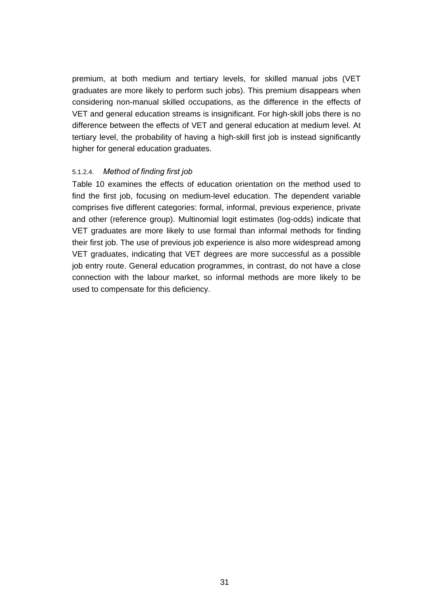premium, at both medium and tertiary levels, for skilled manual jobs (VET graduates are more likely to perform such jobs). This premium disappears when considering non-manual skilled occupations, as the difference in the effects of VET and general education streams is insignificant. For high-skill jobs there is no difference between the effects of VET and general education at medium level. At tertiary level, the probability of having a high-skill first job is instead significantly higher for general education graduates.

### 5.1.2.4. *Method of finding first job*

Table 10 examines the effects of education orientation on the method used to find the first job, focusing on medium-level education. The dependent variable comprises five different categories: formal, informal, previous experience, private and other (reference group). Multinomial logit estimates (log-odds) indicate that VET graduates are more likely to use formal than informal methods for finding their first job. The use of previous job experience is also more widespread among VET graduates, indicating that VET degrees are more successful as a possible job entry route. General education programmes, in contrast, do not have a close connection with the labour market, so informal methods are more likely to be used to compensate for this deficiency.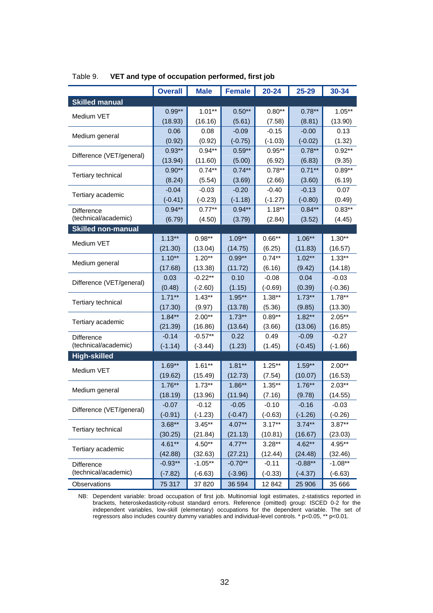|                           | <b>Overall</b> | <b>Male</b> | <b>Female</b> | $20 - 24$ | 25-29     | 30-34     |
|---------------------------|----------------|-------------|---------------|-----------|-----------|-----------|
| <b>Skilled manual</b>     |                |             |               |           |           |           |
|                           | $0.99**$       | $1.01**$    | $0.50**$      | $0.80**$  | $0.78***$ | $1.05***$ |
| Medium VET                | (18.93)        | (16.16)     | (5.61)        | (7.58)    | (8.81)    | (13.90)   |
|                           | 0.06           | 0.08        | $-0.09$       | $-0.15$   | $-0.00$   | 0.13      |
| Medium general            | (0.92)         | (0.92)      | $(-0.75)$     | $(-1.03)$ | $(-0.02)$ | (1.32)    |
|                           | $0.93**$       | $0.94***$   | $0.59**$      | $0.95***$ | $0.78***$ | $0.92**$  |
| Difference (VET/general)  | (13.94)        | (11.60)     | (5.00)        | (6.92)    | (6.83)    | (9.35)    |
| Tertiary technical        | $0.90**$       | $0.74**$    | $0.74***$     | $0.78***$ | $0.71***$ | $0.89**$  |
|                           | (8.24)         | (5.54)      | (3.69)        | (2.66)    | (3.60)    | (6.19)    |
| Tertiary academic         | $-0.04$        | $-0.03$     | $-0.20$       | $-0.40$   | $-0.13$   | 0.07      |
|                           | $(-0.41)$      | $(-0.23)$   | $(-1.18)$     | $(-1.27)$ | $(-0.80)$ | (0.49)    |
| <b>Difference</b>         | $0.94**$       | $0.77**$    | $0.94**$      | $1.18***$ | $0.84***$ | $0.83**$  |
| (technical/academic)      | (6.79)         | (4.50)      | (3.79)        | (2.84)    | (3.52)    | (4.45)    |
| <b>Skilled non-manual</b> |                |             |               |           |           |           |
| Medium VET                | $1.13***$      | $0.98**$    | $1.09**$      | $0.66**$  | $1.06***$ | $1.30**$  |
|                           | (21.30)        | (13.04)     | (14.75)       | (6.25)    | (11.83)   | (16.57)   |
| Medium general            | $1.10***$      | $1.20**$    | $0.99**$      | $0.74***$ | $1.02**$  | $1.33**$  |
|                           | (17.68)        | (13.38)     | (11.72)       | (6.16)    | (9.42)    | (14.18)   |
| Difference (VET/general)  | 0.03           | $-0.22**$   | 0.10          | $-0.08$   | 0.04      | $-0.03$   |
|                           | (0.48)         | $(-2.60)$   | (1.15)        | $(-0.69)$ | (0.39)    | $(-0.36)$ |
| Tertiary technical        | $1.71***$      | $1.43**$    | $1.95***$     | $1.38**$  | $1.73***$ | $1.78***$ |
|                           | (17.30)        | (9.97)      | (13.78)       | (5.36)    | (9.85)    | (13.30)   |
| Tertiary academic         | $1.84***$      | $2.00**$    | $1.73***$     | $0.89**$  | $1.82**$  | $2.05***$ |
|                           | (21.39)        | (16.86)     | (13.64)       | (3.66)    | (13.06)   | (16.85)   |
| Difference                | $-0.14$        | $-0.57**$   | 0.22          | 0.49      | $-0.09$   | $-0.27$   |
| (technical/academic)      | $(-1.14)$      | $(-3.44)$   | (1.23)        | (1.45)    | $(-0.45)$ | $(-1.66)$ |
| <b>High-skilled</b>       |                |             |               |           |           |           |
| Medium VET                | $1.69**$       | $1.61**$    | $1.81**$      | $1.25***$ | $1.59**$  | $2.00**$  |
|                           | (19.62)        | (15.49)     | (12.73)       | (7.54)    | (10.07)   | (16.53)   |
| Medium general            | $1.76***$      | $1.73***$   | $1.86**$      | $1.35**$  | $1.76***$ | $2.03***$ |
|                           | (18.19)        | (13.96)     | (11.94)       | (7.16)    | (9.78)    | (14.55)   |
| Difference (VET/general)  | $-0.07$        | $-0.12$     | $-0.05$       | $-0.10$   | $-0.16$   | $-0.03$   |
|                           | $(-0.91)$      | $(-1.23)$   | $(-0.47)$     | $(-0.63)$ | $(-1.26)$ | $(-0.26)$ |
| <b>Tertiary technical</b> | $3.68**$       | $3.45**$    | $4.07**$      | $3.17**$  | $3.74***$ | $3.87**$  |
|                           | (30.25)        | (21.84)     | (21.13)       | (10.81)   | (16.67)   | (23.03)   |
| Tertiary academic         | $4.61**$       | $4.50**$    | $4.77***$     | $3.28***$ | $4.62**$  | 4.95**    |
|                           | (42.88)        | (32.63)     | (27.21)       | (12.44)   | (24.48)   | (32.46)   |
| Difference                | $-0.93**$      | $-1.05**$   | $-0.70**$     | $-0.11$   | $-0.88**$ | $-1.08**$ |
| (technical/academic)      | $(-7.82)$      | $(-6.63)$   | $(-3.96)$     | $(-0.33)$ | $(-4.37)$ | $(-6.63)$ |
| Observations              | 75 317         | 37 820      | 36 594        | 12 842    | 25 906    | 35 666    |

### Table 9. **VET and type of occupation performed, first job**

NB: Dependent variable: broad occupation of first job. Multinomial logit estimates, z-statistics reported in brackets, heteroskedasticity-robust standard errors. Reference (omitted) group: ISCED 0-2 for the independent variables, low-skill (elementary) occupations for the dependent variable. The set of regressors also includes country dummy variables and individual-level controls. \* p<0.05, \*\* p<0.01.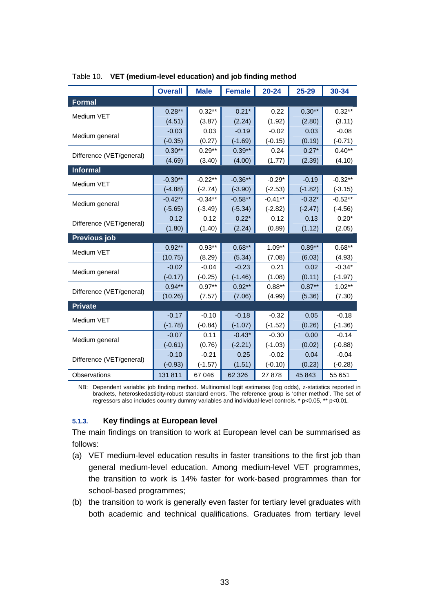|                          | <b>Overall</b> | <b>Male</b> | <b>Female</b> | $20 - 24$ | 25-29     | 30-34     |
|--------------------------|----------------|-------------|---------------|-----------|-----------|-----------|
| <b>Formal</b>            |                |             |               |           |           |           |
| Medium VET               | $0.28***$      | $0.32**$    | $0.21*$       | 0.22      | $0.30**$  | $0.32**$  |
|                          | (4.51)         | (3.87)      | (2.24)        | (1.92)    | (2.80)    | (3.11)    |
|                          | $-0.03$        | 0.03        | $-0.19$       | $-0.02$   | 0.03      | $-0.08$   |
| Medium general           | $(-0.35)$      | (0.27)      | $(-1.69)$     | $(-0.15)$ | (0.19)    | $(-0.71)$ |
| Difference (VET/general) | $0.30**$       | $0.29**$    | $0.39**$      | 0.24      | $0.27*$   | $0.40**$  |
|                          | (4.69)         | (3.40)      | (4.00)        | (1.77)    | (2.39)    | (4.10)    |
| <b>Informal</b>          |                |             |               |           |           |           |
| Medium VET               | $-0.30**$      | $-0.22**$   | $-0.36**$     | $-0.29*$  | $-0.19$   | $-0.32**$ |
|                          | $(-4.88)$      | $(-2.74)$   | $(-3.90)$     | $(-2.53)$ | $(-1.82)$ | $(-3.15)$ |
| Medium general           | $-0.42**$      | $-0.34**$   | $-0.58**$     | $-0.41**$ | $-0.32*$  | $-0.52**$ |
|                          | $(-5.65)$      | $(-3.49)$   | $(-5.34)$     | $(-2.82)$ | $(-2.47)$ | $(-4.56)$ |
| Difference (VET/general) | 0.12           | 0.12        | $0.22*$       | 0.12      | 0.13      | $0.20*$   |
|                          | (1.80)         | (1.40)      | (2.24)        | (0.89)    | (1.12)    | (2.05)    |
| <b>Previous job</b>      |                |             |               |           |           |           |
| Medium VET               | $0.92**$       | $0.93**$    | $0.68**$      | $1.09**$  | $0.89**$  | $0.68***$ |
|                          | (10.75)        | (8.29)      | (5.34)        | (7.08)    | (6.03)    | (4.93)    |
| Medium general           | $-0.02$        | $-0.04$     | $-0.23$       | 0.21      | 0.02      | $-0.34*$  |
|                          | $(-0.17)$      | $(-0.25)$   | $(-1.46)$     | (1.08)    | (0.11)    | $(-1.97)$ |
| Difference (VET/general) | $0.94***$      | $0.97**$    | $0.92**$      | $0.88**$  | $0.87***$ | $1.02**$  |
|                          | (10.26)        | (7.57)      | (7.06)        | (4.99)    | (5.36)    | (7.30)    |
| <b>Private</b>           |                |             |               |           |           |           |
| Medium VET               | $-0.17$        | $-0.10$     | $-0.18$       | $-0.32$   | 0.05      | $-0.18$   |
|                          | $(-1.78)$      | $(-0.84)$   | $(-1.07)$     | $(-1.52)$ | (0.26)    | $(-1.36)$ |
| Medium general           | $-0.07$        | 0.11        | $-0.43*$      | $-0.30$   | 0.00      | $-0.14$   |
|                          | $(-0.61)$      | (0.76)      | $(-2.21)$     | $(-1.03)$ | (0.02)    | $(-0.88)$ |
| Difference (VET/general) | $-0.10$        | $-0.21$     | 0.25          | $-0.02$   | 0.04      | $-0.04$   |
|                          | $(-0.93)$      | $(-1.57)$   | (1.51)        | $(-0.10)$ | (0.23)    | $(-0.28)$ |
| Observations             | 131 811        | 67 046      | 62 3 26       | 27 878    | 45 843    | 55 651    |

#### Table 10. **VET (medium-level education) and job finding method**

NB: Dependent variable: job finding method. Multinomial logit estimates (log odds), z-statistics reported in brackets, heteroskedasticity-robust standard errors. The reference group is 'other method'. The set of regressors also includes country dummy variables and individual-level controls. \* p<0.05, \*\* p<0.01.

### **5.1.3. Key findings at European level**

The main findings on transition to work at European level can be summarised as follows:

- (a) VET medium-level education results in faster transitions to the first job than general medium-level education. Among medium-level VET programmes, the transition to work is 14% faster for work-based programmes than for school-based programmes;
- (b) the transition to work is generally even faster for tertiary level graduates with both academic and technical qualifications. Graduates from tertiary level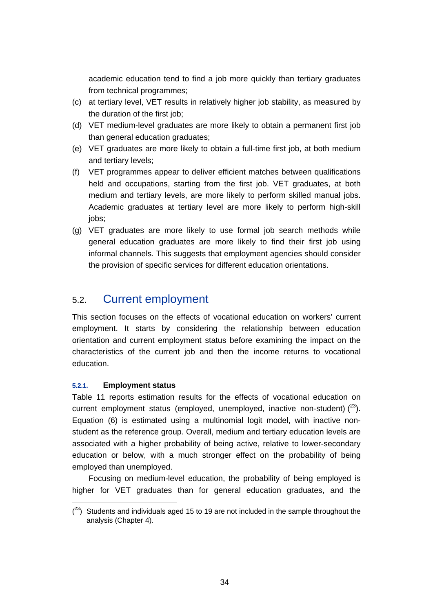academic education tend to find a job more quickly than tertiary graduates from technical programmes;

- (c) at tertiary level, VET results in relatively higher job stability, as measured by the duration of the first job;
- (d) VET medium-level graduates are more likely to obtain a permanent first job than general education graduates;
- (e) VET graduates are more likely to obtain a full-time first job, at both medium and tertiary levels;
- (f) VET programmes appear to deliver efficient matches between qualifications held and occupations, starting from the first job. VET graduates, at both medium and tertiary levels, are more likely to perform skilled manual jobs. Academic graduates at tertiary level are more likely to perform high-skill iobs:
- (g) VET graduates are more likely to use formal job search methods while general education graduates are more likely to find their first job using informal channels. This suggests that employment agencies should consider the provision of specific services for different education orientations.

### 5.2. Current employment

This section focuses on the effects of vocational education on workers' current employment. It starts by considering the relationship between education orientation and current employment status before examining the impact on the characteristics of the current job and then the income returns to vocational education.

### **5.2.1. Employment status**

Table 11 reports estimation results for the effects of vocational education on current employment status (employed, unemployed, inactive non-student)  $(^{23})$ . Equation (6) is estimated using a multinomial logit model, with inactive nonstudent as the reference group. Overall, medium and tertiary education levels are associated with a higher probability of being active, relative to lower-secondary education or below, with a much stronger effect on the probability of being employed than unemployed.

Focusing on medium-level education, the probability of being employed is higher for VET graduates than for general education graduates, and the

 $(2^3)$  Students and individuals aged 15 to 19 are not included in the sample throughout the analysis (Chapter 4).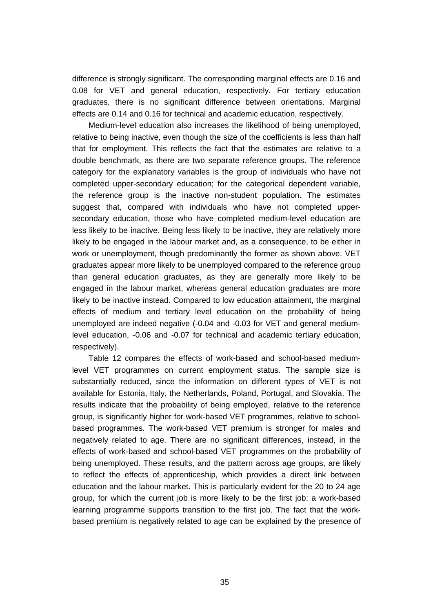difference is strongly significant. The corresponding marginal effects are 0.16 and 0.08 for VET and general education, respectively. For tertiary education graduates, there is no significant difference between orientations. Marginal effects are 0.14 and 0.16 for technical and academic education, respectively.

Medium-level education also increases the likelihood of being unemployed, relative to being inactive, even though the size of the coefficients is less than half that for employment. This reflects the fact that the estimates are relative to a double benchmark, as there are two separate reference groups. The reference category for the explanatory variables is the group of individuals who have not completed upper-secondary education; for the categorical dependent variable, the reference group is the inactive non-student population. The estimates suggest that, compared with individuals who have not completed uppersecondary education, those who have completed medium-level education are less likely to be inactive. Being less likely to be inactive, they are relatively more likely to be engaged in the labour market and, as a consequence, to be either in work or unemployment, though predominantly the former as shown above. VET graduates appear more likely to be unemployed compared to the reference group than general education graduates, as they are generally more likely to be engaged in the labour market, whereas general education graduates are more likely to be inactive instead. Compared to low education attainment, the marginal effects of medium and tertiary level education on the probability of being unemployed are indeed negative (-0.04 and -0.03 for VET and general mediumlevel education, -0.06 and -0.07 for technical and academic tertiary education, respectively).

Table 12 compares the effects of work-based and school-based mediumlevel VET programmes on current employment status. The sample size is substantially reduced, since the information on different types of VET is not available for Estonia, Italy, the Netherlands, Poland, Portugal, and Slovakia. The results indicate that the probability of being employed, relative to the reference group, is significantly higher for work-based VET programmes, relative to schoolbased programmes. The work-based VET premium is stronger for males and negatively related to age. There are no significant differences, instead, in the effects of work-based and school-based VET programmes on the probability of being unemployed. These results, and the pattern across age groups, are likely to reflect the effects of apprenticeship, which provides a direct link between education and the labour market. This is particularly evident for the 20 to 24 age group, for which the current job is more likely to be the first job; a work-based learning programme supports transition to the first job. The fact that the workbased premium is negatively related to age can be explained by the presence of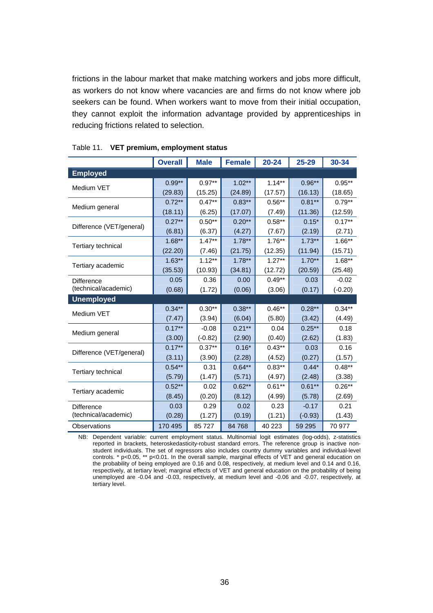frictions in the labour market that make matching workers and jobs more difficult, as workers do not know where vacancies are and firms do not know where job seekers can be found. When workers want to move from their initial occupation, they cannot exploit the information advantage provided by apprenticeships in reducing frictions related to selection.

|                           | <b>Overall</b> | <b>Male</b> | <b>Female</b> | $20 - 24$ | 25-29     | 30-34     |
|---------------------------|----------------|-------------|---------------|-----------|-----------|-----------|
| <b>Employed</b>           |                |             |               |           |           |           |
|                           | $0.99**$       | $0.97**$    | $1.02**$      | $1.14***$ | $0.96**$  | $0.95**$  |
| Medium VET                | (29.83)        | (15.25)     | (24.89)       | (17.57)   | (16.13)   | (18.65)   |
|                           | $0.72***$      | $0.47***$   | $0.83**$      | $0.56**$  | $0.81***$ | $0.79**$  |
| Medium general            | (18.11)        | (6.25)      | (17.07)       | (7.49)    | (11.36)   | (12.59)   |
|                           | $0.27***$      | $0.50**$    | $0.20**$      | $0.58**$  | $0.15*$   | $0.17**$  |
| Difference (VET/general)  | (6.81)         | (6.37)      | (4.27)        | (7.67)    | (2.19)    | (2.71)    |
|                           | $1.68**$       | $1.47**$    | $1.78**$      | $1.76**$  | $1.73**$  | $1.66**$  |
| Tertiary technical        | (22.20)        | (7.46)      | (21.75)       | (12.35)   | (11.94)   | (15.71)   |
|                           | $1.63**$       | $1.12***$   | $1.78***$     | $1.27***$ | $1.70**$  | $1.68***$ |
| Tertiary academic         | (35.53)        | (10.93)     | (34.81)       | (12.72)   | (20.59)   | (25.48)   |
| <b>Difference</b>         | 0.05           | 0.36        | 0.00          | $0.49**$  | 0.03      | $-0.02$   |
| (technical/academic)      | (0.68)         | (1.72)      | (0.06)        | (3.06)    | (0.17)    | $(-0.20)$ |
| <b>Unemployed</b>         |                |             |               |           |           |           |
| Medium VET                | $0.34**$       | $0.30**$    | $0.38**$      | $0.46**$  | $0.28**$  | $0.34**$  |
|                           | (7.47)         | (3.94)      | (6.04)        | (5.80)    | (3.42)    | (4.49)    |
| Medium general            | $0.17***$      | $-0.08$     | $0.21***$     | 0.04      | $0.25***$ | 0.18      |
|                           | (3.00)         | $(-0.82)$   | (2.90)        | (0.40)    | (2.62)    | (1.83)    |
| Difference (VET/general)  | $0.17***$      | $0.37***$   | $0.16*$       | $0.43**$  | 0.03      | 0.16      |
|                           | (3.11)         | (3.90)      | (2.28)        | (4.52)    | (0.27)    | (1.57)    |
| <b>Tertiary technical</b> | $0.54**$       | 0.31        | $0.64***$     | $0.83**$  | $0.44*$   | $0.48**$  |
|                           | (5.79)         | (1.47)      | (5.71)        | (4.97)    | (2.48)    | (3.38)    |
| Tertiary academic         | $0.52**$       | 0.02        | $0.62**$      | $0.61**$  | $0.61**$  | $0.26**$  |
|                           | (8.45)         | (0.20)      | (8.12)        | (4.99)    | (5.78)    | (2.69)    |
| Difference                | 0.03           | 0.29        | 0.02          | 0.23      | $-0.17$   | 0.21      |
| (technical/academic)      | (0.28)         | (1.27)      | (0.19)        | (1.21)    | $(-0.93)$ | (1.43)    |
| Observations              | 170 495        | 85727       | 84 768        | 40 223    | 59 29 5   | 70 977    |

#### Table 11. **VET premium, employment status**

NB: Dependent variable: current employment status. Multinomial logit estimates (log-odds), z-statistics reported in brackets, heteroskedasticity-robust standard errors. The reference group is inactive nonstudent individuals. The set of regressors also includes country dummy variables and individual-level controls. \* p<0.05, \*\* p<0.01. In the overall sample, marginal effects of VET and general education on the probability of being employed are 0.16 and 0.08, respectively, at medium level and 0.14 and 0.16, respectively, at tertiary level; marginal effects of VET and general education on the probability of being unemployed are -0.04 and -0.03, respectively, at medium level and -0.06 and -0.07, respectively, at tertiary level.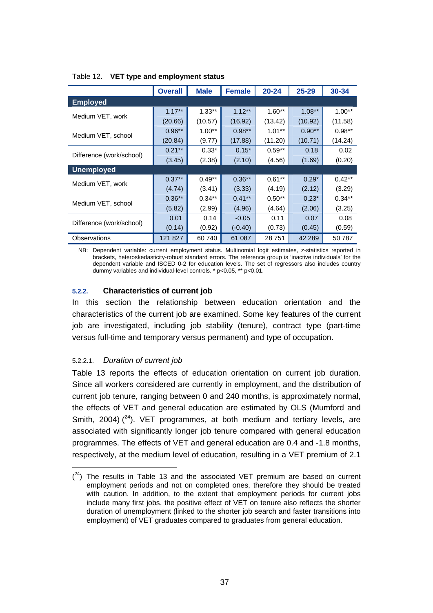|                          | <b>Overall</b> | <b>Male</b> | <b>Female</b> | $20 - 24$ | $25 - 29$ | $30 - 34$ |
|--------------------------|----------------|-------------|---------------|-----------|-----------|-----------|
| <b>Employed</b>          |                |             |               |           |           |           |
|                          | $1.17***$      | $1.33***$   | $1.12***$     | $1.60**$  | $1.08***$ | $1.00**$  |
| Medium VET, work         | (20.66)        | (10.57)     | (16.92)       | (13.42)   | (10.92)   | (11.58)   |
| Medium VET, school       | $0.96**$       | $1.00**$    | $0.98**$      | $1.01**$  | $0.90**$  | $0.98**$  |
|                          | (20.84)        | (9.77)      | (17.88)       | (11.20)   | (10.71)   | (14.24)   |
|                          | $0.21***$      | $0.33*$     | $0.15*$       | $0.59**$  | 0.18      | 0.02      |
| Difference (work/school) | (3.45)         | (2.38)      | (2.10)        | (4.56)    | (1.69)    | (0.20)    |
| <b>Unemployed</b>        |                |             |               |           |           |           |
| Medium VET, work         | $0.37***$      | $0.49**$    | $0.36***$     | $0.61**$  | $0.29*$   | $0.42**$  |
|                          | (4.74)         | (3.41)      | (3.33)        | (4.19)    | (2.12)    | (3.29)    |
| Medium VET, school       | $0.36**$       | $0.34**$    | $0.41**$      | $0.50**$  | $0.23*$   | $0.34**$  |
|                          | (5.82)         | (2.99)      | (4.96)        | (4.64)    | (2.06)    | (3.25)    |
|                          | 0.01           | 0.14        | $-0.05$       | 0.11      | 0.07      | 0.08      |
| Difference (work/school) | (0.14)         | (0.92)      | $(-0.40)$     | (0.73)    | (0.45)    | (0.59)    |
| Observations             | 121 827        | 60 740      | 61 087        | 28751     | 42 289    | 50 787    |

Table 12. **VET type and employment status** 

NB: Dependent variable: current employment status. Multinomial logit estimates, z-statistics reported in brackets, heteroskedasticity-robust standard errors. The reference group is 'inactive individuals' for the dependent variable and ISCED 0-2 for education levels. The set of regressors also includes country dummy variables and individual-level controls. \* p<0.05, \*\* p<0.01.

### **5.2.2. Characteristics of current job**

In this section the relationship between education orientation and the characteristics of the current job are examined. Some key features of the current job are investigated, including job stability (tenure), contract type (part-time versus full-time and temporary versus permanent) and type of occupation.

### 5.2.2.1. *Duration of current job*

Table 13 reports the effects of education orientation on current job duration. Since all workers considered are currently in employment, and the distribution of current job tenure, ranging between 0 and 240 months, is approximately normal, the effects of VET and general education are estimated by OLS (Mumford and Smith, 2004)  $(^{24})$ . VET programmes, at both medium and tertiary levels, are associated with significantly longer job tenure compared with general education programmes. The effects of VET and general education are 0.4 and -1.8 months, respectively, at the medium level of education, resulting in a VET premium of 2.1

 $(24)$  The results in Table 13 and the associated VET premium are based on current employment periods and not on completed ones, therefore they should be treated with caution. In addition, to the extent that employment periods for current jobs include many first jobs, the positive effect of VET on tenure also reflects the shorter duration of unemployment (linked to the shorter job search and faster transitions into employment) of VET graduates compared to graduates from general education.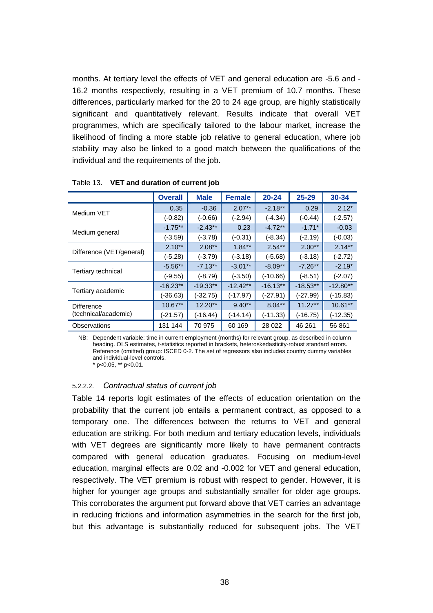months. At tertiary level the effects of VET and general education are -5.6 and - 16.2 months respectively, resulting in a VET premium of 10.7 months. These differences, particularly marked for the 20 to 24 age group, are highly statistically significant and quantitatively relevant. Results indicate that overall VET programmes, which are specifically tailored to the labour market, increase the likelihood of finding a more stable job relative to general education, where job stability may also be linked to a good match between the qualifications of the individual and the requirements of the job.

|                                           | <b>Overall</b> | <b>Male</b> | <b>Female</b> | $20 - 24$  | $25 - 29$  | 30-34      |
|-------------------------------------------|----------------|-------------|---------------|------------|------------|------------|
| Medium VET                                | 0.35           | $-0.36$     | $2.07**$      | $-2.18**$  | 0.29       | $2.12*$    |
|                                           | $(-0.82)$      | $(-0.66)$   | (-2.94)       | $(-4.34)$  | $(-0.44)$  | $(-2.57)$  |
|                                           | $-1.75**$      | $-2.43**$   | 0.23          | $-4.72**$  | $-1.71*$   | $-0.03$    |
| Medium general                            | $(-3.59)$      | $(-3.78)$   | $(-0.31)$     | $(-8.34)$  | $(-2.19)$  | $(-0.03)$  |
|                                           | $2.10**$       | $2.08***$   | $1.84***$     | $2.54***$  | $2.00**$   | $2.14***$  |
| Difference (VET/general)                  | (-5.28)        | $(-3.79)$   | (-3.18)       | $(-5.68)$  | $(-3.18)$  | $(-2.72)$  |
|                                           | $-5.56**$      | $-7.13**$   | $-3.01**$     | $-8.09**$  | $-7.26**$  | $-2.19*$   |
| Tertiary technical                        | $(-9.55)$      | $(-8.79)$   | $(-3.50)$     | $(-10.66)$ | $(-8.51)$  | $(-2.07)$  |
|                                           | $-16.23**$     | $-19.33**$  | $-12.42**$    | $-16.13**$ | $-18.53**$ | $-12.80**$ |
| Tertiary academic                         | $(-36.63)$     | $(-32.75)$  | $(-17.97)$    | $(-27.91)$ | $(-27.99)$ | $(-15.83)$ |
| <b>Difference</b><br>(technical/academic) | $10.67**$      | $12.20**$   | $9.40**$      | $8.04**$   | $11.27**$  | $10.61**$  |
|                                           | (-21.57)       | $(-16.44)$  | (-14.14)      | (-11.33)   | $(-16.75)$ | $(-12.35)$ |
| Observations                              | 131 144        | 70 975      | 60 169        | 28 0 22    | 46 261     | 56 861     |

Table 13. **VET and duration of current job** 

NB: Dependent variable: time in current employment (months) for relevant group, as described in column heading. OLS estimates, t-statistics reported in brackets, heteroskedasticity-robust standard errors. Reference (omitted) group: ISCED 0-2. The set of regressors also includes country dummy variables and individual-level controls.

\* p<0.05, \*\* p<0.01.

### 5.2.2.2. *Contractual status of current job*

Table 14 reports logit estimates of the effects of education orientation on the probability that the current job entails a permanent contract, as opposed to a temporary one. The differences between the returns to VET and general education are striking. For both medium and tertiary education levels, individuals with VET degrees are significantly more likely to have permanent contracts compared with general education graduates. Focusing on medium-level education, marginal effects are 0.02 and -0.002 for VET and general education, respectively. The VET premium is robust with respect to gender. However, it is higher for younger age groups and substantially smaller for older age groups. This corroborates the argument put forward above that VET carries an advantage in reducing frictions and information asymmetries in the search for the first job, but this advantage is substantially reduced for subsequent jobs. The VET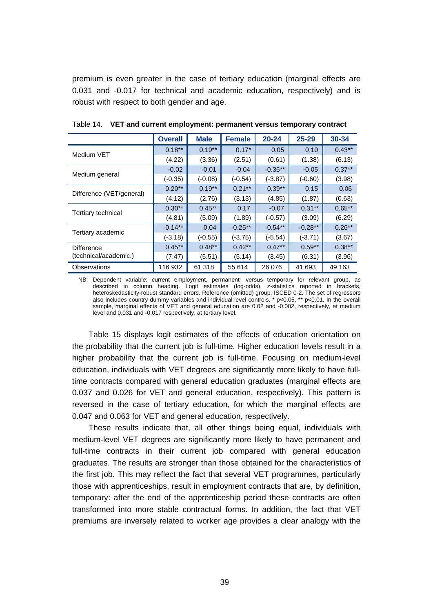premium is even greater in the case of tertiary education (marginal effects are 0.031 and -0.017 for technical and academic education, respectively) and is robust with respect to both gender and age.

|                                     | <b>Overall</b> | <b>Male</b> | <b>Female</b> | $20 - 24$ | $25 - 29$ | 30-34    |
|-------------------------------------|----------------|-------------|---------------|-----------|-----------|----------|
| Medium VET                          | $0.18***$      | $0.19**$    | $0.17*$       | 0.05      | 0.10      | $0.43**$ |
|                                     | (4.22)         | (3.36)      | (2.51)        | (0.61)    | (1.38)    | (6.13)   |
|                                     | $-0.02$        | $-0.01$     | $-0.04$       | $-0.35**$ | $-0.05$   | $0.37**$ |
| Medium general                      | $(-0.35)$      | $(-0.08)$   | $(-0.54)$     | $(-3.87)$ | $(-0.60)$ | (3.98)   |
|                                     | $0.20**$       | $0.19***$   | $0.21***$     | $0.39**$  | 0.15      | 0.06     |
| Difference (VET/general)            | (4.12)         | (2.76)      | (3.13)        | (4.85)    | (1.87)    | (0.63)   |
| Tertiary technical                  | $0.30**$       | $0.45***$   | 0.17          | $-0.07$   | $0.31**$  | $0.65**$ |
|                                     | (4.81)         | (5.09)      | (1.89)        | $(-0.57)$ | (3.09)    | (6.29)   |
|                                     | $-0.14**$      | $-0.04$     | $-0.25**$     | $-0.54**$ | $-0.28**$ | $0.26**$ |
| Tertiary academic                   | $(-3.18)$      | $(-0.55)$   | $(-3.75)$     | $(-5.54)$ | $(-3.71)$ | (3.67)   |
| Difference<br>(technical/academic.) | $0.45***$      | $0.48**$    | $0.42***$     | $0.47**$  | $0.59**$  | $0.38**$ |
|                                     | (7.47)         | (5.51)      | (5.14)        | (3.45)    | (6.31)    | (3.96)   |
| Observations                        | 116 932        | 61 318      | 55 614        | 26 076    | 41 693    | 49 163   |

Table 14. **VET and current employment: permanent versus temporary contract** 

NB: Dependent variable: current employment, permanent- versus temporary for relevant group, as described in column heading. Logit estimates (log-odds), z-statistics reported in brackets, heteroskedasticity-robust standard errors. Reference (omitted) group: ISCED 0-2. The set of regressors also includes country dummy variables and individual-level controls. \* p<0.05, \*\* p<0.01. In the overall sample, marginal effects of VET and general education are 0.02 and -0.002, respectively, at medium level and 0.031 and -0.017 respectively, at tertiary level.

Table 15 displays logit estimates of the effects of education orientation on the probability that the current job is full-time. Higher education levels result in a higher probability that the current job is full-time. Focusing on medium-level education, individuals with VET degrees are significantly more likely to have fulltime contracts compared with general education graduates (marginal effects are 0.037 and 0.026 for VET and general education, respectively). This pattern is reversed in the case of tertiary education, for which the marginal effects are 0.047 and 0.063 for VET and general education, respectively.

These results indicate that, all other things being equal, individuals with medium-level VET degrees are significantly more likely to have permanent and full-time contracts in their current job compared with general education graduates. The results are stronger than those obtained for the characteristics of the first job. This may reflect the fact that several VET programmes, particularly those with apprenticeships, result in employment contracts that are, by definition, temporary: after the end of the apprenticeship period these contracts are often transformed into more stable contractual forms. In addition, the fact that VET premiums are inversely related to worker age provides a clear analogy with the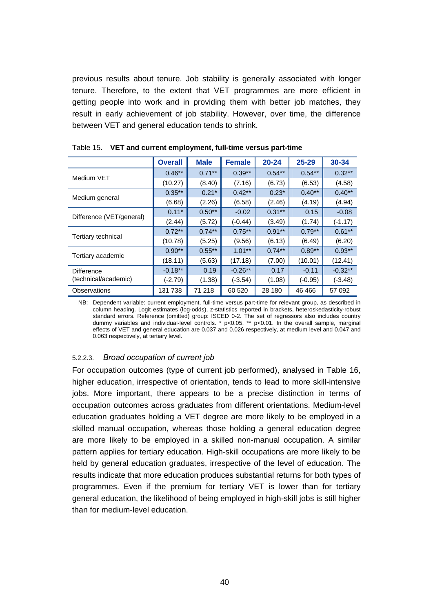previous results about tenure. Job stability is generally associated with longer tenure. Therefore, to the extent that VET programmes are more efficient in getting people into work and in providing them with better job matches, they result in early achievement of job stability. However, over time, the difference between VET and general education tends to shrink.

|                          | <b>Overall</b> | <b>Male</b> | <b>Female</b> | $20 - 24$ | $25 - 29$ | 30-34     |
|--------------------------|----------------|-------------|---------------|-----------|-----------|-----------|
| Medium VET               | $0.46**$       | $0.71***$   | $0.39**$      | $0.54***$ | $0.54***$ | $0.32**$  |
|                          | (10.27)        | (8.40)      | (7.16)        | (6.73)    | (6.53)    | (4.58)    |
|                          | $0.35***$      | $0.21*$     | $0.42***$     | $0.23*$   | $0.40**$  | $0.40**$  |
| Medium general           | (6.68)         | (2.26)      | (6.58)        | (2.46)    | (4.19)    | (4.94)    |
|                          | $0.11*$        | $0.50**$    | $-0.02$       | $0.31***$ | 0.15      | $-0.08$   |
| Difference (VET/general) | (2.44)         | (5.72)      | $(-0.44)$     | (3.49)    | (1.74)    | $(-1.17)$ |
|                          | $0.72***$      | $0.74***$   | $0.75***$     | $0.91***$ | $0.79**$  | $0.61***$ |
| Tertiary technical       | (10.78)        | (5.25)      | (9.56)        | (6.13)    | (6.49)    | (6.20)    |
|                          | $0.90**$       | $0.55***$   | $1.01***$     | $0.74***$ | $0.89**$  | $0.93**$  |
| Tertiary academic        | (18.11)        | (5.63)      | (17.18)       | (7.00)    | (10.01)   | (12.41)   |
| <b>Difference</b>        | $-0.18**$      | 0.19        | $-0.26**$     | 0.17      | $-0.11$   | $-0.32**$ |
| (technical/academic)     | (-2.79)        | (1.38)      | $(-3.54)$     | (1.08)    | $(-0.95)$ | $(-3.48)$ |
| Observations             | 131 738        | 71 218      | 60 520        | 28 180    | 46 466    | 57 092    |

Table 15. **VET and current employment, full-time versus part-time** 

NB: Dependent variable: current employment, full-time versus part-time for relevant group, as described in column heading. Logit estimates (log-odds), z-statistics reported in brackets, heteroskedasticity-robust standard errors. Reference (omitted) group: ISCED 0-2. The set of regressors also includes country dummy variables and individual-level controls. \* p<0.05, \*\* p<0.01. In the overall sample, marginal effects of VET and general education are 0.037 and 0.026 respectively, at medium level and 0.047 and 0.063 respectively, at tertiary level.

### 5.2.2.3. *Broad occupation of current job*

For occupation outcomes (type of current job performed), analysed in Table 16, higher education, irrespective of orientation, tends to lead to more skill-intensive jobs. More important, there appears to be a precise distinction in terms of occupation outcomes across graduates from different orientations. Medium-level education graduates holding a VET degree are more likely to be employed in a skilled manual occupation, whereas those holding a general education degree are more likely to be employed in a skilled non-manual occupation. A similar pattern applies for tertiary education. High-skill occupations are more likely to be held by general education graduates, irrespective of the level of education. The results indicate that more education produces substantial returns for both types of programmes. Even if the premium for tertiary VET is lower than for tertiary general education, the likelihood of being employed in high-skill jobs is still higher than for medium-level education.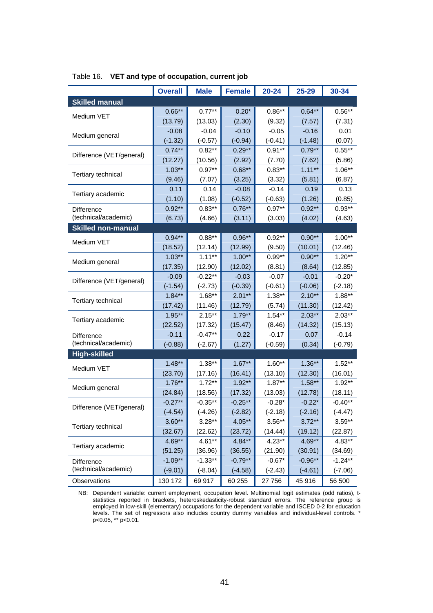|                           | <b>Overall</b> | <b>Male</b> | <b>Female</b> | $20 - 24$ | 25-29     | 30-34     |
|---------------------------|----------------|-------------|---------------|-----------|-----------|-----------|
| <b>Skilled manual</b>     |                |             |               |           |           |           |
|                           | $0.66**$       | $0.77***$   | $0.20*$       | $0.86**$  | $0.64***$ | $0.56***$ |
| Medium VET                | (13.79)        | (13.03)     | (2.30)        | (9.32)    | (7.57)    | (7.31)    |
|                           | $-0.08$        | $-0.04$     | $-0.10$       | $-0.05$   | $-0.16$   | 0.01      |
| Medium general            | $(-1.32)$      | $(-0.57)$   | $(-0.94)$     | $(-0.41)$ | $(-1.48)$ | (0.07)    |
| Difference (VET/general)  | $0.74**$       | $0.82**$    | $0.29**$      | $0.91**$  | $0.79**$  | $0.55***$ |
|                           | (12.27)        | (10.56)     | (2.92)        | (7.70)    | (7.62)    | (5.86)    |
| <b>Tertiary technical</b> | $1.03**$       | $0.97**$    | $0.68**$      | $0.83**$  | $1.11***$ | $1.06**$  |
|                           | (9.46)         | (7.07)      | (3.25)        | (3.32)    | (5.81)    | (6.87)    |
| Tertiary academic         | 0.11           | 0.14        | $-0.08$       | $-0.14$   | 0.19      | 0.13      |
|                           | (1.10)         | (1.08)      | $(-0.52)$     | $(-0.63)$ | (1.26)    | (0.85)    |
| <b>Difference</b>         | $0.92**$       | $0.83**$    | $0.76**$      | $0.97**$  | $0.92**$  | $0.93**$  |
| (technical/academic)      | (6.73)         | (4.66)      | (3.11)        | (3.03)    | (4.02)    | (4.63)    |
| <b>Skilled non-manual</b> |                |             |               |           |           |           |
| Medium VET                | $0.94**$       | $0.88**$    | $0.96**$      | $0.92**$  | $0.90**$  | $1.00**$  |
|                           | (18.52)        | (12.14)     | (12.99)       | (9.50)    | (10.01)   | (12.46)   |
| Medium general            | $1.03**$       | $1.11***$   | $1.00**$      | $0.99**$  | $0.90**$  | $1.20**$  |
|                           | (17.35)        | (12.90)     | (12.02)       | (8.81)    | (8.64)    | (12.85)   |
| Difference (VET/general)  | $-0.09$        | $-0.22**$   | $-0.03$       | $-0.07$   | $-0.01$   | $-0.20*$  |
|                           | $(-1.54)$      | $(-2.73)$   | $(-0.39)$     | $(-0.61)$ | $(-0.06)$ | $(-2.18)$ |
| Tertiary technical        | $1.84**$       | $1.68**$    | $2.01**$      | $1.38**$  | $2.10**$  | $1.88**$  |
|                           | (17.42)        | (11.46)     | (12.79)       | (5.74)    | (11.30)   | (12.42)   |
| Tertiary academic         | $1.95***$      | $2.15***$   | $1.79***$     | $1.54***$ | $2.03***$ | $2.03***$ |
|                           | (22.52)        | (17.32)     | (15.47)       | (8.46)    | (14.32)   | (15.13)   |
| Difference                | $-0.11$        | $-0.47**$   | 0.22          | $-0.17$   | 0.07      | $-0.14$   |
| (technical/academic)      | $(-0.88)$      | $(-2.67)$   | (1.27)        | $(-0.59)$ | (0.34)    | $(-0.79)$ |
| <b>High-skilled</b>       |                |             |               |           |           |           |
| Medium VET                | $1.48***$      | $1.38**$    | $1.67***$     | $1.60**$  | $1.36**$  | $1.52**$  |
|                           | (23.70)        | (17.16)     | (16.41)       | (13.10)   | (12.30)   | (16.01)   |
| Medium general            | $1.76**$       | $1.72**$    | $1.92**$      | $1.87**$  | $1.58***$ | $1.92**$  |
|                           | (24.84)        | (18.56)     | (17.32)       | (13.03)   | (12.78)   | (18.11)   |
| Difference (VET/general)  | $-0.27**$      | $-0.35**$   | $-0.25**$     | $-0.28*$  | $-0.22*$  | $-0.40**$ |
|                           | $(-4.54)$      | $(-4.26)$   | $(-2.82)$     | $(-2.18)$ | $(-2.16)$ | $(-4.47)$ |
| Tertiary technical        | $3.60**$       | $3.28***$   | $4.05**$      | $3.56***$ | $3.72***$ | $3.59**$  |
|                           | (32.67)        | (22.62)     | (23.72)       | (14.44)   | (19.12)   | (22.87)   |
| Tertiary academic         | $4.69**$       | $4.61**$    | $4.84**$      | $4.23**$  | 4.69**    | $4.83**$  |
|                           | (51.25)        | (36.96)     | (36.55)       | (21.90)   | (30.91)   | (34.69)   |
| Difference                | $-1.09**$      | $-1.33**$   | $-0.79**$     | $-0.67*$  | $-0.96**$ | $-1.24**$ |
| (technical/academic)      | $(-9.01)$      | $(-8.04)$   | $(-4.58)$     | $(-2.43)$ | $(-4.61)$ | $(-7.06)$ |
| Observations              | 130 172        | 69 917      | 60 255        | 27 756    | 45 916    | 56 500    |

### Table 16. **VET and type of occupation, current job**

NB: Dependent variable: current employment, occupation level. Multinomial logit estimates (odd ratios), tstatistics reported in brackets, heteroskedasticity-robust standard errors. The reference group is employed in low-skill (elementary) occupations for the dependent variable and ISCED 0-2 for education levels. The set of regressors also includes country dummy variables and individual-level controls. \* p<0.05, \*\* p<0.01.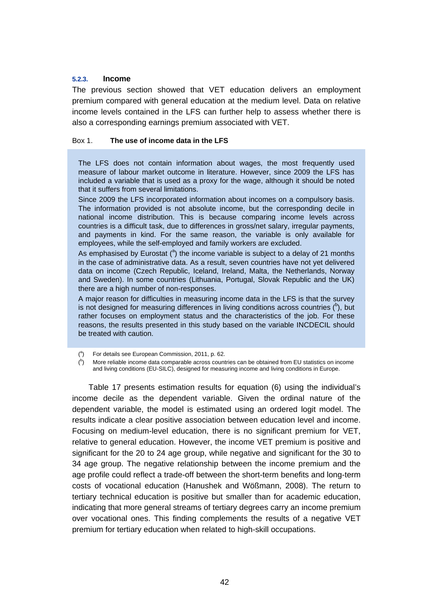### **5.2.3. Income**

The previous section showed that VET education delivers an employment premium compared with general education at the medium level. Data on relative income levels contained in the LFS can further help to assess whether there is also a corresponding earnings premium associated with VET.

### Box 1. **The use of income data in the LFS**

The LFS does not contain information about wages, the most frequently used measure of labour market outcome in literature. However, since 2009 the LFS has included a variable that is used as a proxy for the wage, although it should be noted that it suffers from several limitations.

Since 2009 the LFS incorporated information about incomes on a compulsory basis. The information provided is not absolute income, but the corresponding decile in national income distribution. This is because comparing income levels across countries is a difficult task, due to differences in gross/net salary, irregular payments, and payments in kind. For the same reason, the variable is only available for employees, while the self-employed and family workers are excluded.

As emphasised by Eurostat  $(3)$  the income variable is subject to a delay of 21 months in the case of administrative data. As a result, seven countries have not yet delivered data on income (Czech Republic, Iceland, Ireland, Malta, the Netherlands, Norway and Sweden). In some countries (Lithuania, Portugal, Slovak Republic and the UK) there are a high number of non-responses.

A major reason for difficulties in measuring income data in the LFS is that the survey is not designed for measuring differences in living conditions across countries  $(^b)$ , but rather focuses on employment status and the characteristics of the job. For these reasons, the results presented in this study based on the variable INCDECIL should be treated with caution.

Table 17 presents estimation results for equation (6) using the individual's income decile as the dependent variable. Given the ordinal nature of the dependent variable, the model is estimated using an ordered logit model. The results indicate a clear positive association between education level and income. Focusing on medium-level education, there is no significant premium for VET, relative to general education. However, the income VET premium is positive and significant for the 20 to 24 age group, while negative and significant for the 30 to 34 age group. The negative relationship between the income premium and the age profile could reflect a trade-off between the short-term benefits and long-term costs of vocational education (Hanushek and Wößmann, 2008). The return to tertiary technical education is positive but smaller than for academic education, indicating that more general streams of tertiary degrees carry an income premium over vocational ones. This finding complements the results of a negative VET premium for tertiary education when related to high-skill occupations.

 $(^a)$  For details see European Commission, 2011, p. 62.

<sup>(</sup> b ) More reliable income data comparable across countries can be obtained from EU statistics on income and living conditions (EU-SILC), designed for measuring income and living conditions in Europe.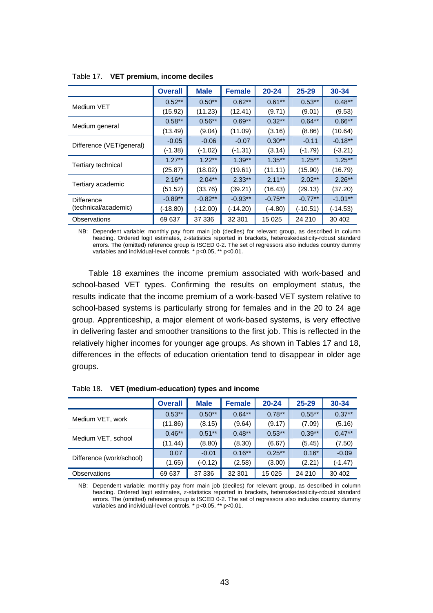|                                           | <b>Overall</b> | <b>Male</b> | <b>Female</b> | $20 - 24$ | $25 - 29$ | 30-34     |
|-------------------------------------------|----------------|-------------|---------------|-----------|-----------|-----------|
|                                           | $0.52**$       | $0.50**$    | $0.62***$     | $0.61***$ | $0.53**$  | $0.48**$  |
| Medium VET                                | (15.92)        | (11.23)     | (12.41)       | (9.71)    | (9.01)    | (9.53)    |
|                                           | $0.58**$       | $0.56**$    | $0.69**$      | $0.32***$ | $0.64***$ | $0.66**$  |
| Medium general                            | (13.49)        | (9.04)      | (11.09)       | (3.16)    | (8.86)    | (10.64)   |
|                                           | $-0.05$        | $-0.06$     | $-0.07$       | $0.30**$  | $-0.11$   | $-0.18**$ |
| Difference (VET/general)                  | $(-1.38)$      | $(-1.02)$   | (-1.31)       | (3.14)    | $(-1.79)$ | $(-3.21)$ |
|                                           | $1.27**$       | $1.22***$   | $1.39**$      | $1.35***$ | $1.25***$ | $1.25***$ |
| Tertiary technical                        | (25.87)        | (18.02)     | (19.61)       | (11.11)   | (15.90)   | (16.79)   |
|                                           | $2.16***$      | $2.04***$   | $2.33***$     | $2.11***$ | $2.02***$ | $2.26***$ |
| Tertiary academic                         | (51.52)        | (33.76)     | (39.21)       | (16.43)   | (29.13)   | (37.20)   |
| <b>Difference</b><br>(technical/academic) | $-0.89**$      | $-0.82**$   | $-0.93**$     | $-0.75**$ | $-0.77**$ | $-1.01**$ |
|                                           | (-18.80)       | $(-12.00)$  | (-14.20)      | (-4.80)   | (-10.51)  | (-14.53)  |
| Observations                              | 69 637         | 37 336      | 32 301        | 15 0 25   | 24 210    | 30 40 2   |

Table 17. **VET premium, income deciles** 

NB: Dependent variable: monthly pay from main job (deciles) for relevant group, as described in column heading. Ordered logit estimates, z-statistics reported in brackets, heteroskedasticity-robust standard errors. The (omitted) reference group is ISCED 0-2. The set of regressors also includes country dummy variables and individual-level controls. \* p<0.05, \*\* p<0.01.

Table 18 examines the income premium associated with work-based and school-based VET types. Confirming the results on employment status, the results indicate that the income premium of a work-based VET system relative to school-based systems is particularly strong for females and in the 20 to 24 age group. Apprenticeship, a major element of work-based systems, is very effective in delivering faster and smoother transitions to the first job. This is reflected in the relatively higher incomes for younger age groups. As shown in Tables 17 and 18, differences in the effects of education orientation tend to disappear in older age groups.

|                          | <b>Overall</b> | <b>Male</b> | <b>Female</b> | $20 - 24$ | $25 - 29$ | 30-34     |
|--------------------------|----------------|-------------|---------------|-----------|-----------|-----------|
|                          | $0.53***$      | $0.50**$    | $0.64***$     | $0.78**$  | $0.55***$ | $0.37***$ |
| Medium VET, work         | (11.86)        | (8.15)      | (9.64)        | (9.17)    | (7.09)    | (5.16)    |
|                          | $0.46***$      | $0.51***$   | $0.48***$     | $0.53**$  | $0.39**$  | $0.47**$  |
| Medium VET, school       | (11.44)        | (8.80)      | (8.30)        | (6.67)    | (5.45)    | (7.50)    |
|                          | 0.07           | $-0.01$     | $0.16***$     | $0.25***$ | $0.16*$   | $-0.09$   |
| Difference (work/school) | (1.65)         | $(-0.12)$   | (2.58)        | (3.00)    | (2.21)    | $(-1.47)$ |
| <b>Observations</b>      | 69 637         | 37 336      | 32 301        | 15 0 25   | 24 210    | 30 40 2   |

Table 18. **VET (medium-education) types and income** 

NB: Dependent variable: monthly pay from main job (deciles) for relevant group, as described in column heading. Ordered logit estimates, z-statistics reported in brackets, heteroskedasticity-robust standard errors. The (omitted) reference group is ISCED 0-2. The set of regressors also includes country dummy variables and individual-level controls. \* p<0.05, \*\* p<0.01.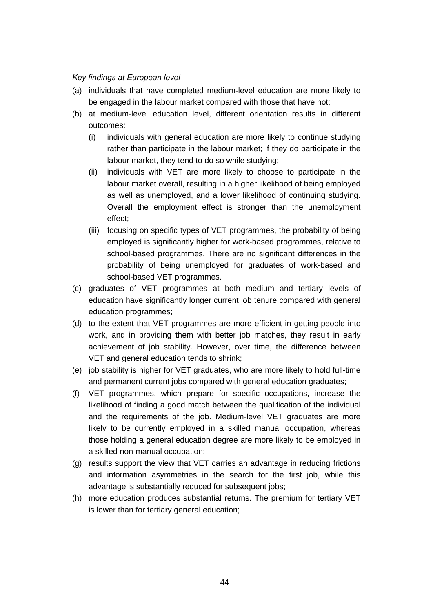### *Key findings at European level*

- (a) individuals that have completed medium-level education are more likely to be engaged in the labour market compared with those that have not;
- (b) at medium-level education level, different orientation results in different outcomes:
	- (i) individuals with general education are more likely to continue studying rather than participate in the labour market; if they do participate in the labour market, they tend to do so while studying;
	- (ii) individuals with VET are more likely to choose to participate in the labour market overall, resulting in a higher likelihood of being employed as well as unemployed, and a lower likelihood of continuing studying. Overall the employment effect is stronger than the unemployment effect;
	- (iii) focusing on specific types of VET programmes, the probability of being employed is significantly higher for work-based programmes, relative to school-based programmes. There are no significant differences in the probability of being unemployed for graduates of work-based and school-based VET programmes.
- (c) graduates of VET programmes at both medium and tertiary levels of education have significantly longer current job tenure compared with general education programmes;
- (d) to the extent that VET programmes are more efficient in getting people into work, and in providing them with better job matches, they result in early achievement of job stability. However, over time, the difference between VET and general education tends to shrink;
- (e) job stability is higher for VET graduates, who are more likely to hold full-time and permanent current jobs compared with general education graduates;
- (f) VET programmes, which prepare for specific occupations, increase the likelihood of finding a good match between the qualification of the individual and the requirements of the job. Medium-level VET graduates are more likely to be currently employed in a skilled manual occupation, whereas those holding a general education degree are more likely to be employed in a skilled non-manual occupation;
- (g) results support the view that VET carries an advantage in reducing frictions and information asymmetries in the search for the first job, while this advantage is substantially reduced for subsequent jobs;
- (h) more education produces substantial returns. The premium for tertiary VET is lower than for tertiary general education;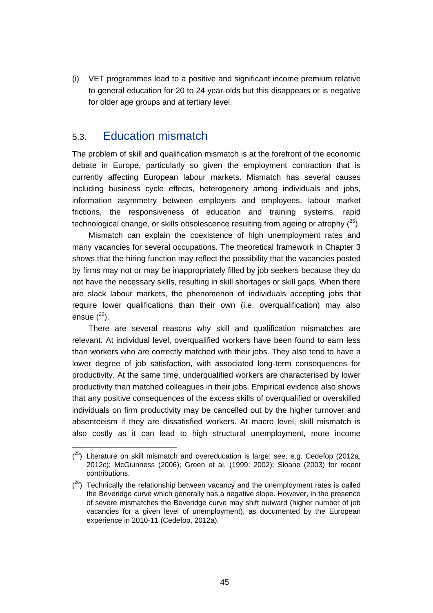(i) VET programmes lead to a positive and significant income premium relative to general education for 20 to 24 year-olds but this disappears or is negative for older age groups and at tertiary level.

### 5.3. Education mismatch

The problem of skill and qualification mismatch is at the forefront of the economic debate in Europe, particularly so given the employment contraction that is currently affecting European labour markets. Mismatch has several causes including business cycle effects, heterogeneity among individuals and jobs, information asymmetry between employers and employees, labour market frictions, the responsiveness of education and training systems, rapid technological change, or skills obsolescence resulting from ageing or atrophy  $(^{25})$ .

Mismatch can explain the coexistence of high unemployment rates and many vacancies for several occupations. The theoretical framework in Chapter 3 shows that the hiring function may reflect the possibility that the vacancies posted by firms may not or may be inappropriately filled by job seekers because they do not have the necessary skills, resulting in skill shortages or skill gaps. When there are slack labour markets, the phenomenon of individuals accepting jobs that require lower qualifications than their own (i.e. overqualification) may also ensue  $(^{26})$ .

There are several reasons why skill and qualification mismatches are relevant. At individual level, overqualified workers have been found to earn less than workers who are correctly matched with their jobs. They also tend to have a lower degree of job satisfaction, with associated long-term consequences for productivity. At the same time, underqualified workers are characterised by lower productivity than matched colleagues in their jobs. Empirical evidence also shows that any positive consequences of the excess skills of overqualified or overskilled individuals on firm productivity may be cancelled out by the higher turnover and absenteeism if they are dissatisfied workers. At macro level, skill mismatch is also costly as it can lead to high structural unemployment, more income

 $(25)$  Literature on skill mismatch and overeducation is large; see, e.g. Cedefop (2012a, 2012c); McGuinness (2006); Green et al. (1999; 2002); Sloane (2003) for recent contributions.

 $(26)$  Technically the relationship between vacancy and the unemployment rates is called the Beveridge curve which generally has a negative slope. However, in the presence of severe mismatches the Beveridge curve may shift outward (higher number of job vacancies for a given level of unemployment), as documented by the European experience in 2010-11 (Cedefop, 2012a).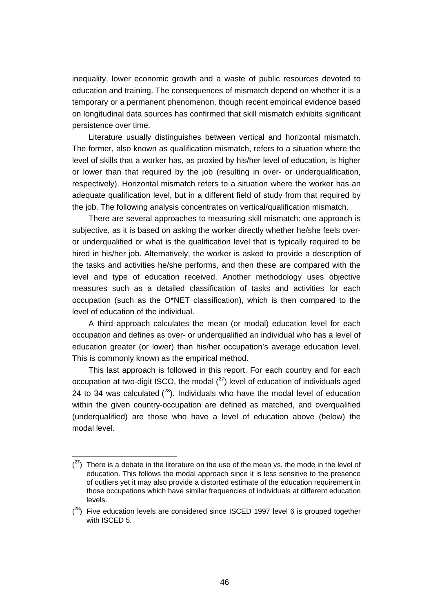inequality, lower economic growth and a waste of public resources devoted to education and training. The consequences of mismatch depend on whether it is a temporary or a permanent phenomenon, though recent empirical evidence based on longitudinal data sources has confirmed that skill mismatch exhibits significant persistence over time.

Literature usually distinguishes between vertical and horizontal mismatch. The former, also known as qualification mismatch, refers to a situation where the level of skills that a worker has, as proxied by his/her level of education, is higher or lower than that required by the job (resulting in over- or underqualification, respectively). Horizontal mismatch refers to a situation where the worker has an adequate qualification level, but in a different field of study from that required by the job. The following analysis concentrates on vertical/qualification mismatch.

There are several approaches to measuring skill mismatch: one approach is subjective, as it is based on asking the worker directly whether he/she feels overor underqualified or what is the qualification level that is typically required to be hired in his/her job. Alternatively, the worker is asked to provide a description of the tasks and activities he/she performs, and then these are compared with the level and type of education received. Another methodology uses objective measures such as a detailed classification of tasks and activities for each occupation (such as the O\*NET classification), which is then compared to the level of education of the individual.

A third approach calculates the mean (or modal) education level for each occupation and defines as over- or underqualified an individual who has a level of education greater (or lower) than his/her occupation's average education level. This is commonly known as the empirical method.

This last approach is followed in this report. For each country and for each occupation at two-digit ISCO, the modal  $(^{27})$  level of education of individuals aged 24 to 34 was calculated  $(28)$ . Individuals who have the modal level of education within the given country-occupation are defined as matched, and overqualified (underqualified) are those who have a level of education above (below) the modal level.

 $(27)$  There is a debate in the literature on the use of the mean vs. the mode in the level of education. This follows the modal approach since it is less sensitive to the presence of outliers yet it may also provide a distorted estimate of the education requirement in those occupations which have similar frequencies of individuals at different education levels.

 $(28)$  Five education levels are considered since ISCED 1997 level 6 is grouped together with ISCED 5.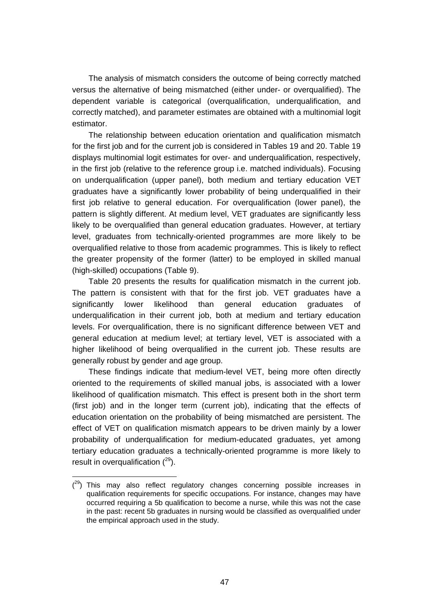The analysis of mismatch considers the outcome of being correctly matched versus the alternative of being mismatched (either under- or overqualified). The dependent variable is categorical (overqualification, underqualification, and correctly matched), and parameter estimates are obtained with a multinomial logit estimator.

The relationship between education orientation and qualification mismatch for the first job and for the current job is considered in Tables 19 and 20. Table 19 displays multinomial logit estimates for over- and underqualification, respectively, in the first job (relative to the reference group i.e. matched individuals). Focusing on underqualification (upper panel), both medium and tertiary education VET graduates have a significantly lower probability of being underqualified in their first job relative to general education. For overqualification (lower panel), the pattern is slightly different. At medium level, VET graduates are significantly less likely to be overqualified than general education graduates. However, at tertiary level, graduates from technically-oriented programmes are more likely to be overqualified relative to those from academic programmes. This is likely to reflect the greater propensity of the former (latter) to be employed in skilled manual (high-skilled) occupations (Table 9).

Table 20 presents the results for qualification mismatch in the current job. The pattern is consistent with that for the first job. VET graduates have a significantly lower likelihood than general education graduates of underqualification in their current job, both at medium and tertiary education levels. For overqualification, there is no significant difference between VET and general education at medium level; at tertiary level, VET is associated with a higher likelihood of being overqualified in the current job. These results are generally robust by gender and age group.

These findings indicate that medium-level VET, being more often directly oriented to the requirements of skilled manual jobs, is associated with a lower likelihood of qualification mismatch. This effect is present both in the short term (first job) and in the longer term (current job), indicating that the effects of education orientation on the probability of being mismatched are persistent. The effect of VET on qualification mismatch appears to be driven mainly by a lower probability of underqualification for medium-educated graduates, yet among tertiary education graduates a technically-oriented programme is more likely to result in overqualification  $(^{29})$ .

 $(29)$  This may also reflect regulatory changes concerning possible increases in qualification requirements for specific occupations. For instance, changes may have occurred requiring a 5b qualification to become a nurse, while this was not the case in the past: recent 5b graduates in nursing would be classified as overqualified under the empirical approach used in the study.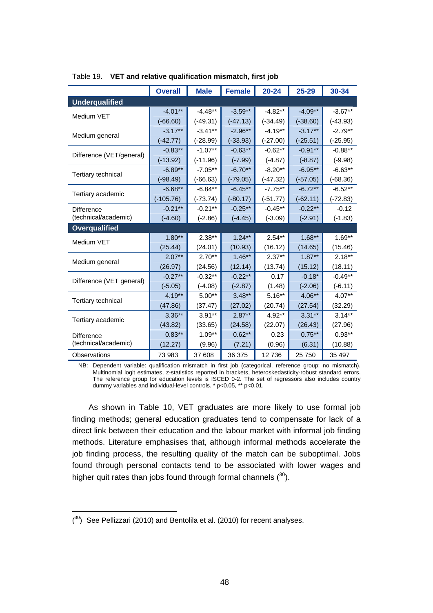|                           | <b>Overall</b> | <b>Male</b> | <b>Female</b> | $20 - 24$  | 25-29      | 30-34      |
|---------------------------|----------------|-------------|---------------|------------|------------|------------|
| <b>Underqualified</b>     |                |             |               |            |            |            |
|                           | $-4.01**$      | $-4.48**$   | $-3.59**$     | $-4.82**$  | $-4.09**$  | $-3.67**$  |
| Medium VET                | $(-66.60)$     | (-49.31)    | $(-47.13)$    | $(-34.49)$ | $(-38.60)$ | $(-43.93)$ |
|                           | $-3.17***$     | $-3.41**$   | $-2.96**$     | $-4.19**$  | $-3.17***$ | $-2.79**$  |
| Medium general            | $(-42.77)$     | $(-28.99)$  | $(-33.93)$    | $(-27.00)$ | $(-25.51)$ | $(-25.95)$ |
| Difference (VET/general)  | $-0.83**$      | $-1.07**$   | $-0.63**$     | $-0.62**$  | $-0.91**$  | $-0.88**$  |
|                           | $(-13.92)$     | $(-11.96)$  | $(-7.99)$     | $(-4.87)$  | $(-8.87)$  | $(-9.98)$  |
| Tertiary technical        | $-6.89**$      | $-7.05**$   | $-6.70**$     | $-8.20**$  | $-6.95**$  | $-6.63**$  |
|                           | $(-98.49)$     | $(-66.63)$  | $(-79.05)$    | $(-47.32)$ | $(-57.05)$ | $(-68.36)$ |
| Tertiary academic         | $-6.68**$      | $-6.84**$   | $-6.45**$     | $-7.75**$  | $-6.72**$  | $-6.52**$  |
|                           | $(-105.76)$    | $(-73.74)$  | $(-80.17)$    | $(-51.77)$ | $(-62.11)$ | $(-72.83)$ |
| <b>Difference</b>         | $-0.21**$      | $-0.21**$   | $-0.25**$     | $-0.45**$  | $-0.22**$  | $-0.12$    |
| (technical/academic)      | $(-4.60)$      | $(-2.86)$   | $(-4.45)$     | $(-3.09)$  | $(-2.91)$  | $(-1.83)$  |
| <b>Overqualified</b>      |                |             |               |            |            |            |
| Medium VET                | $1.80**$       | $2.38**$    | $1.24**$      | $2.54**$   | $1.68**$   | $1.69**$   |
|                           | (25.44)        | (24.01)     | (10.93)       | (16.12)    | (14.65)    | (15.46)    |
| Medium general            | $2.07***$      | $2.70**$    | $1.46***$     | $2.37**$   | $1.87***$  | $2.18***$  |
|                           | (26.97)        | (24.56)     | (12.14)       | (13.74)    | (15.12)    | (18.11)    |
| Difference (VET general)  | $-0.27**$      | $-0.32**$   | $-0.22**$     | 0.17       | $-0.18*$   | $-0.49**$  |
|                           | $(-5.05)$      | $(-4.08)$   | $(-2.87)$     | (1.48)     | $(-2.06)$  | $(-6.11)$  |
| <b>Tertiary technical</b> | $4.19**$       | $5.00**$    | $3.48**$      | $5.16***$  | 4.06**     | 4.07**     |
|                           | (47.86)        | (37.47)     | (27.02)       | (20.74)    | (27.54)    | (32.29)    |
| Tertiary academic         | $3.36**$       | $3.91**$    | $2.87**$      | $4.92**$   | $3.31***$  | $3.14***$  |
|                           | (43.82)        | (33.65)     | (24.58)       | (22.07)    | (26.43)    | (27.96)    |
| <b>Difference</b>         | $0.83***$      | $1.09**$    | $0.62***$     | 0.23       | $0.75***$  | $0.93**$   |
| (technical/academic)      | (12.27)        | (9.96)      | (7.21)        | (0.96)     | (6.31)     | (10.88)    |
| Observations              | 73 983         | 37 608      | 36 375        | 12736      | 25 750     | 35 497     |

Table 19. **VET and relative qualification mismatch, first job** 

NB: Dependent variable: qualification mismatch in first job (categorical, reference group: no mismatch). Multinomial logit estimates, z-statistics reported in brackets, heteroskedasticity-robust standard errors. The reference group for education levels is ISCED 0-2. The set of regressors also includes country dummy variables and individual-level controls. \* p<0.05, \*\* p<0.01.

As shown in Table 10, VET graduates are more likely to use formal job finding methods; general education graduates tend to compensate for lack of a direct link between their education and the labour market with informal job finding methods. Literature emphasises that, although informal methods accelerate the job finding process, the resulting quality of the match can be suboptimal. Jobs found through personal contacts tend to be associated with lower wages and higher quit rates than jobs found through formal channels  $(30)$ .

 $(30)$  See Pellizzari (2010) and Bentolila et al. (2010) for recent analyses.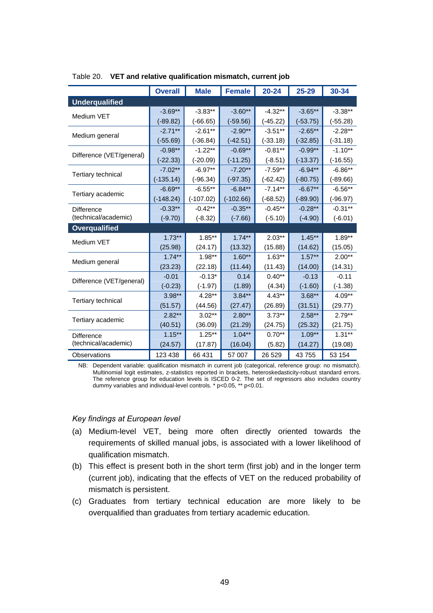|                          | <b>Overall</b> | <b>Male</b> | <b>Female</b> | $20 - 24$  | 25-29      | 30-34      |  |  |
|--------------------------|----------------|-------------|---------------|------------|------------|------------|--|--|
| <b>Underqualified</b>    |                |             |               |            |            |            |  |  |
|                          | $-3.69**$      | $-3.83**$   | $-3.60**$     | $-4.32**$  | $-3.65**$  | $-3.38**$  |  |  |
| Medium VET               | $(-89.82)$     | $(-66.65)$  | $(-59.56)$    | $(-45.22)$ | $(-53.75)$ | $(-55.28)$ |  |  |
|                          | $-2.71**$      | $-2.61**$   | $-2.90**$     | $-3.51***$ | $-2.65**$  | $-2.28**$  |  |  |
| Medium general           | $(-55.69)$     | $(-36.84)$  | $(-42.51)$    | $(-33.18)$ | $(-32.85)$ | $(-31.18)$ |  |  |
| Difference (VET/general) | $-0.98**$      | $-1.22**$   | $-0.69**$     | $-0.81**$  | $-0.99**$  | $-1.10**$  |  |  |
|                          | $(-22.33)$     | $(-20.09)$  | $(-11.25)$    | $(-8.51)$  | $(-13.37)$ | (-16.55)   |  |  |
|                          | $-7.02**$      | $-6.97**$   | $-7.20**$     | $-7.59**$  | $-6.94**$  | $-6.86**$  |  |  |
| Tertiary technical       | $(-135.14)$    | $(-96.34)$  | $(-97.35)$    | $(-62.42)$ | $(-80.75)$ | $(-89.66)$ |  |  |
| Tertiary academic        | $-6.69**$      | $-6.55**$   | $-6.84**$     | $-7.14**$  | $-6.67**$  | $-6.56**$  |  |  |
|                          | $(-148.24)$    | $(-107.02)$ | $(-102.66)$   | $(-68.52)$ | $(-89.90)$ | $(-96.97)$ |  |  |
| Difference               | $-0.33**$      | $-0.42**$   | $-0.35**$     | $-0.45**$  | $-0.28**$  | $-0.31**$  |  |  |
| (technical/academic)     | $(-9.70)$      | $(-8.32)$   | $(-7.66)$     | $(-5.10)$  | $(-4.90)$  | $(-6.01)$  |  |  |
| <b>Overqualified</b>     |                |             |               |            |            |            |  |  |
| Medium VET               | $1.73***$      | $1.85***$   | $1.74***$     | $2.03***$  | $1.45***$  | $1.89**$   |  |  |
|                          | (25.98)        | (24.17)     | (13.32)       | (15.88)    | (14.62)    | (15.05)    |  |  |
| Medium general           | $1.74***$      | $1.98**$    | $1.60**$      | $1.63**$   | $1.57**$   | $2.00**$   |  |  |
|                          | (23.23)        | (22.18)     | (11.44)       | (11.43)    | (14.00)    | (14.31)    |  |  |
| Difference (VET/general) | $-0.01$        | $-0.13*$    | 0.14          | $0.40**$   | $-0.13$    | $-0.11$    |  |  |
|                          | $(-0.23)$      | $(-1.97)$   | (1.89)        | (4.34)     | $(-1.60)$  | $(-1.38)$  |  |  |
| Tertiary technical       | $3.98**$       | $4.28**$    | $3.84**$      | $4.43**$   | $3.68**$   | $4.09**$   |  |  |
|                          | (51.57)        | (44.56)     | (27.47)       | (26.89)    | (31.51)    | (29.77)    |  |  |
| Tertiary academic        | $2.82**$       | $3.02**$    | $2.80**$      | $3.73**$   | $2.58**$   | $2.79**$   |  |  |
|                          | (40.51)        | (36.09)     | (21.29)       | (24.75)    | (25.32)    | (21.75)    |  |  |
| <b>Difference</b>        | $1.15***$      | $1.25***$   | $1.04**$      | $0.70**$   | $1.09**$   | $1.31**$   |  |  |
| (technical/academic)     | (24.57)        | (17.87)     | (16.04)       | (5.82)     | (14.27)    | (19.08)    |  |  |
| Observations             | 123 438        | 66 431      | 57 007        | 26 5 29    | 43 755     | 53 154     |  |  |

Table 20. **VET and relative qualification mismatch, current job** 

NB: Dependent variable: qualification mismatch in current job (categorical, reference group: no mismatch). Multinomial logit estimates, z-statistics reported in brackets, heteroskedasticity-robust standard errors. The reference group for education levels is ISCED 0-2. The set of regressors also includes country dummy variables and individual-level controls. \* p<0.05, \*\* p<0.01.

#### *Key findings at European level*

- (a) Medium-level VET, being more often directly oriented towards the requirements of skilled manual jobs, is associated with a lower likelihood of qualification mismatch.
- (b) This effect is present both in the short term (first job) and in the longer term (current job), indicating that the effects of VET on the reduced probability of mismatch is persistent.
- (c) Graduates from tertiary technical education are more likely to be overqualified than graduates from tertiary academic education.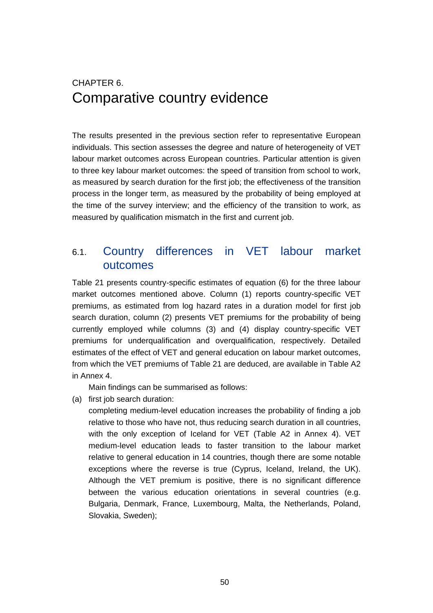# CHAPTER 6. Comparative country evidence

The results presented in the previous section refer to representative European individuals. This section assesses the degree and nature of heterogeneity of VET labour market outcomes across European countries. Particular attention is given to three key labour market outcomes: the speed of transition from school to work, as measured by search duration for the first job; the effectiveness of the transition process in the longer term, as measured by the probability of being employed at the time of the survey interview; and the efficiency of the transition to work, as measured by qualification mismatch in the first and current job.

### 6.1. Country differences in VET labour market outcomes

Table 21 presents country-specific estimates of equation (6) for the three labour market outcomes mentioned above. Column (1) reports country-specific VET premiums, as estimated from log hazard rates in a duration model for first job search duration, column (2) presents VET premiums for the probability of being currently employed while columns (3) and (4) display country-specific VET premiums for underqualification and overqualification, respectively. Detailed estimates of the effect of VET and general education on labour market outcomes, from which the VET premiums of Table 21 are deduced, are available in Table A2 in Annex 4.

Main findings can be summarised as follows:

(a) first job search duration:

completing medium-level education increases the probability of finding a job relative to those who have not, thus reducing search duration in all countries, with the only exception of Iceland for VET (Table A2 in Annex 4). VET medium-level education leads to faster transition to the labour market relative to general education in 14 countries, though there are some notable exceptions where the reverse is true (Cyprus, Iceland, Ireland, the UK). Although the VET premium is positive, there is no significant difference between the various education orientations in several countries (e.g. Bulgaria, Denmark, France, Luxembourg, Malta, the Netherlands, Poland, Slovakia, Sweden);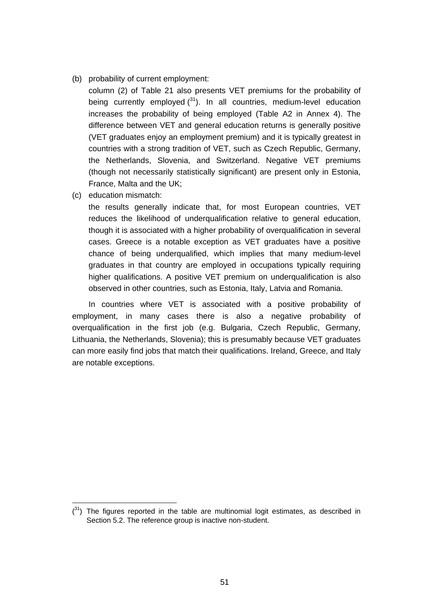- (b) probability of current employment:
	- column (2) of Table 21 also presents VET premiums for the probability of being currently employed  $(31)$ . In all countries, medium-level education increases the probability of being employed (Table A2 in Annex 4). The difference between VET and general education returns is generally positive (VET graduates enjoy an employment premium) and it is typically greatest in countries with a strong tradition of VET, such as Czech Republic, Germany, the Netherlands, Slovenia, and Switzerland. Negative VET premiums (though not necessarily statistically significant) are present only in Estonia, France, Malta and the UK;
- (c) education mismatch:

the results generally indicate that, for most European countries, VET reduces the likelihood of underqualification relative to general education, though it is associated with a higher probability of overqualification in several cases. Greece is a notable exception as VET graduates have a positive chance of being underqualified, which implies that many medium-level graduates in that country are employed in occupations typically requiring higher qualifications. A positive VET premium on underqualification is also observed in other countries, such as Estonia, Italy, Latvia and Romania.

In countries where VET is associated with a positive probability of employment, in many cases there is also a negative probability of overqualification in the first job (e.g. Bulgaria, Czech Republic, Germany, Lithuania, the Netherlands, Slovenia); this is presumably because VET graduates can more easily find jobs that match their qualifications. Ireland, Greece, and Italy are notable exceptions.

 $(3<sup>1</sup>)$  The figures reported in the table are multinomial logit estimates, as described in Section 5.2. The reference group is inactive non-student.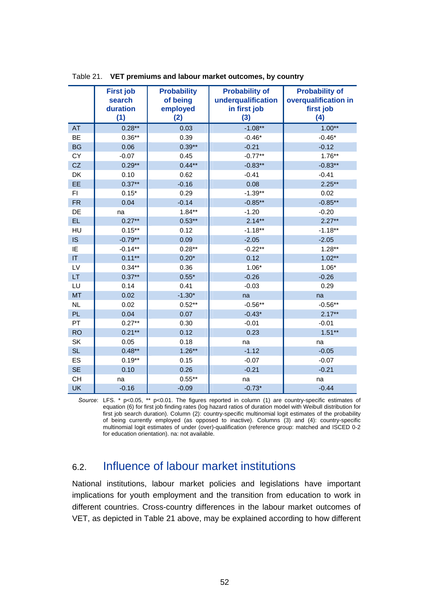|           | <b>First job</b><br>search<br>duration<br>(1) | <b>Probability</b><br>of being<br>employed<br>(2) | <b>Probability of</b><br>underqualification<br>in first job<br>(3) | <b>Probability of</b><br>overqualification in<br>first job<br>(4) |
|-----------|-----------------------------------------------|---------------------------------------------------|--------------------------------------------------------------------|-------------------------------------------------------------------|
| <b>AT</b> | $0.28**$                                      | 0.03                                              | $-1.08**$                                                          | $1.00**$                                                          |
| <b>BE</b> | $0.36**$                                      | 0.39                                              | $-0.46*$                                                           | $-0.46*$                                                          |
| <b>BG</b> | 0.06                                          | $0.39**$                                          | $-0.21$                                                            | $-0.12$                                                           |
| CY        | $-0.07$                                       | 0.45                                              | $-0.77**$                                                          | $1.76***$                                                         |
| CZ        | $0.29**$                                      | $0.44**$                                          | $-0.83**$                                                          | $-0.83**$                                                         |
| DK        | 0.10                                          | 0.62                                              | $-0.41$                                                            | $-0.41$                                                           |
| EE        | $0.37**$                                      | $-0.16$                                           | 0.08                                                               | $2.25**$                                                          |
| FI        | $0.15*$                                       | 0.29                                              | $-1.39**$                                                          | 0.02                                                              |
| <b>FR</b> | 0.04                                          | $-0.14$                                           | $-0.85**$                                                          | $-0.85**$                                                         |
| DE        | na                                            | $1.84**$                                          | $-1.20$                                                            | $-0.20$                                                           |
| <b>EL</b> | $0.27**$                                      | $0.53***$                                         | $2.14***$                                                          | $2.27**$                                                          |
| HU        | $0.15***$                                     | 0.12                                              | $-1.18**$                                                          | $-1.18**$                                                         |
| IS        | $-0.79**$                                     | 0.09                                              | $-2.05$                                                            | $-2.05$                                                           |
| IE        | $-0.14**$                                     | $0.28**$                                          | $-0.22**$                                                          | $1.28**$                                                          |
| IT        | $0.11**$                                      | $0.20*$                                           | 0.12                                                               | $1.02**$                                                          |
| LV        | $0.34***$                                     | 0.36                                              | $1.06*$                                                            | $1.06*$                                                           |
| LT        | $0.37**$                                      | $0.55*$                                           | $-0.26$                                                            | $-0.26$                                                           |
| LU        | 0.14                                          | 0.41                                              | $-0.03$                                                            | 0.29                                                              |
| <b>MT</b> | 0.02                                          | $-1.30*$                                          | na                                                                 | na                                                                |
| <b>NL</b> | 0.02                                          | $0.52***$                                         | $-0.56**$                                                          | $-0.56**$                                                         |
| <b>PL</b> | 0.04                                          | 0.07                                              | $-0.43*$                                                           | $2.17**$                                                          |
| PT        | $0.27**$                                      | 0.30                                              | $-0.01$                                                            | $-0.01$                                                           |
| <b>RO</b> | $0.21**$                                      | 0.12                                              | 0.23                                                               | $1.51**$                                                          |
| SK        | 0.05                                          | 0.18                                              | na                                                                 | na                                                                |
| <b>SL</b> | $0.48***$                                     | $1.26***$                                         | $-1.12$                                                            | $-0.05$                                                           |
| ES        | $0.19**$                                      | 0.15                                              | $-0.07$                                                            | $-0.07$                                                           |
| <b>SE</b> | 0.10                                          | 0.26                                              | $-0.21$                                                            | $-0.21$                                                           |
| <b>CH</b> | na                                            | $0.55***$                                         | na                                                                 | na                                                                |
| <b>UK</b> | $-0.16$                                       | $-0.09$                                           | $-0.73*$                                                           | $-0.44$                                                           |

Table 21. **VET premiums and labour market outcomes, by country** 

*Source*: LFS. \* p<0.05, \*\* p<0.01. The figures reported in column (1) are country-specific estimates of equation (6) for first job finding rates (log hazard ratios of duration model with Weibull distribution for first job search duration). Column (2): country-specific multinomial logit estimates of the probability of being currently employed (as opposed to inactive). Columns (3) and (4): country-specific multinomial logit estimates of under (over)-qualification (reference group: matched and ISCED 0-2 for education orientation). na: not available.

### 6.2. Influence of labour market institutions

National institutions, labour market policies and legislations have important implications for youth employment and the transition from education to work in different countries. Cross-country differences in the labour market outcomes of VET, as depicted in Table 21 above, may be explained according to how different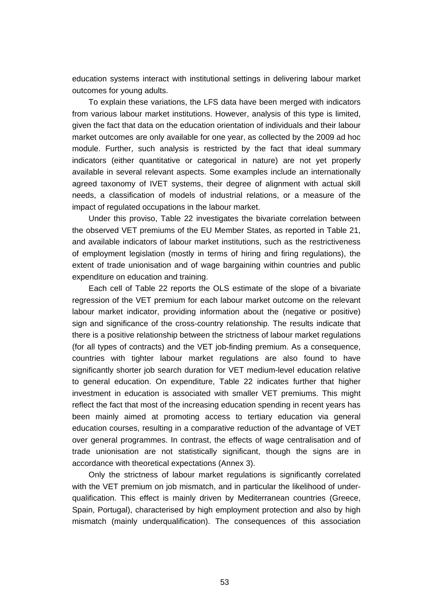education systems interact with institutional settings in delivering labour market outcomes for young adults.

To explain these variations, the LFS data have been merged with indicators from various labour market institutions. However, analysis of this type is limited, given the fact that data on the education orientation of individuals and their labour market outcomes are only available for one year, as collected by the 2009 ad hoc module. Further, such analysis is restricted by the fact that ideal summary indicators (either quantitative or categorical in nature) are not yet properly available in several relevant aspects. Some examples include an internationally agreed taxonomy of IVET systems, their degree of alignment with actual skill needs, a classification of models of industrial relations, or a measure of the impact of regulated occupations in the labour market.

Under this proviso, Table 22 investigates the bivariate correlation between the observed VET premiums of the EU Member States, as reported in Table 21, and available indicators of labour market institutions, such as the restrictiveness of employment legislation (mostly in terms of hiring and firing regulations), the extent of trade unionisation and of wage bargaining within countries and public expenditure on education and training.

Each cell of Table 22 reports the OLS estimate of the slope of a bivariate regression of the VET premium for each labour market outcome on the relevant labour market indicator, providing information about the (negative or positive) sign and significance of the cross-country relationship. The results indicate that there is a positive relationship between the strictness of labour market regulations (for all types of contracts) and the VET job-finding premium. As a consequence, countries with tighter labour market regulations are also found to have significantly shorter job search duration for VET medium-level education relative to general education. On expenditure, Table 22 indicates further that higher investment in education is associated with smaller VET premiums. This might reflect the fact that most of the increasing education spending in recent years has been mainly aimed at promoting access to tertiary education via general education courses, resulting in a comparative reduction of the advantage of VET over general programmes. In contrast, the effects of wage centralisation and of trade unionisation are not statistically significant, though the signs are in accordance with theoretical expectations (Annex 3).

Only the strictness of labour market regulations is significantly correlated with the VET premium on job mismatch, and in particular the likelihood of underqualification. This effect is mainly driven by Mediterranean countries (Greece, Spain, Portugal), characterised by high employment protection and also by high mismatch (mainly underqualification). The consequences of this association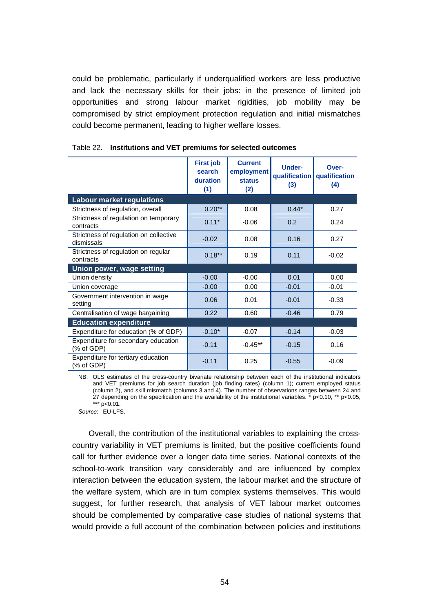could be problematic, particularly if underqualified workers are less productive and lack the necessary skills for their jobs: in the presence of limited job opportunities and strong labour market rigidities, job mobility may be compromised by strict employment protection regulation and initial mismatches could become permanent, leading to higher welfare losses.

|                                                      | <b>First job</b><br>search<br>duration<br>(1) | <b>Current</b><br>employment<br><b>status</b><br>(2) | <b>Under-</b><br>qualification<br>(3) | Over-<br>qualification<br>(4) |
|------------------------------------------------------|-----------------------------------------------|------------------------------------------------------|---------------------------------------|-------------------------------|
| <b>Labour market regulations</b>                     |                                               |                                                      |                                       |                               |
| Strictness of regulation, overall                    | $0.20**$                                      | 0.08                                                 | $0.44*$                               | 0.27                          |
| Strictness of regulation on temporary<br>contracts   | $0.11*$                                       | $-0.06$                                              | 0.2                                   | 0.24                          |
| Strictness of regulation on collective<br>dismissals | $-0.02$                                       | 0.08                                                 | 0.16                                  | 0.27                          |
| Strictness of regulation on regular<br>contracts     | $0.18***$                                     | 0.19                                                 | 0.11                                  | $-0.02$                       |
| Union power, wage setting                            |                                               |                                                      |                                       |                               |
| Union density                                        | $-0.00$                                       | $-0.00$                                              | 0.01                                  | 0.00                          |
| Union coverage                                       | $-0.00$                                       | 0.00                                                 | $-0.01$                               | $-0.01$                       |
| Government intervention in wage<br>settina           | 0.06                                          | 0.01                                                 | $-0.01$                               | $-0.33$                       |
| Centralisation of wage bargaining                    | 0.22                                          | 0.60                                                 | $-0.46$                               | 0.79                          |
| <b>Education expenditure</b>                         |                                               |                                                      |                                       |                               |
| Expenditure for education (% of GDP)                 | $-0.10*$                                      | $-0.07$                                              | $-0.14$                               | $-0.03$                       |
| Expenditure for secondary education<br>(% of GDP)    | $-0.11$                                       | $-0.45**$                                            | $-0.15$                               | 0.16                          |
| Expenditure for tertiary education<br>(% of GDP)     | $-0.11$                                       | 0.25                                                 | $-0.55$                               | $-0.09$                       |

NB: OLS estimates of the cross-country bivariate relationship between each of the institutional indicators and VET premiums for job search duration (job finding rates) (column 1); current employed status (column 2), and skill mismatch (columns 3 and 4). The number of observations ranges between 24 and 27 depending on the specification and the availability of the institutional variables.  $*$  p<0.10, \*\* p<0.05, \*\*\*  $p < 0.01$ .

*Source*: EU-LFS.

Overall, the contribution of the institutional variables to explaining the crosscountry variability in VET premiums is limited, but the positive coefficients found call for further evidence over a longer data time series. National contexts of the school-to-work transition vary considerably and are influenced by complex interaction between the education system, the labour market and the structure of the welfare system, which are in turn complex systems themselves. This would suggest, for further research, that analysis of VET labour market outcomes should be complemented by comparative case studies of national systems that would provide a full account of the combination between policies and institutions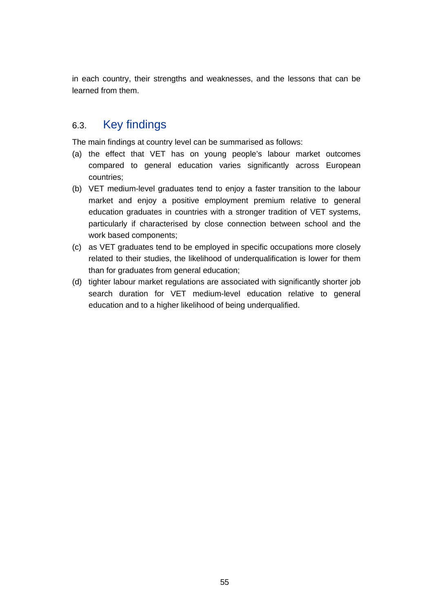in each country, their strengths and weaknesses, and the lessons that can be learned from them.

### 6.3. Key findings

The main findings at country level can be summarised as follows:

- (a) the effect that VET has on young people's labour market outcomes compared to general education varies significantly across European countries;
- (b) VET medium-level graduates tend to enjoy a faster transition to the labour market and enjoy a positive employment premium relative to general education graduates in countries with a stronger tradition of VET systems, particularly if characterised by close connection between school and the work based components;
- (c) as VET graduates tend to be employed in specific occupations more closely related to their studies, the likelihood of underqualification is lower for them than for graduates from general education;
- (d) tighter labour market regulations are associated with significantly shorter job search duration for VET medium-level education relative to general education and to a higher likelihood of being underqualified.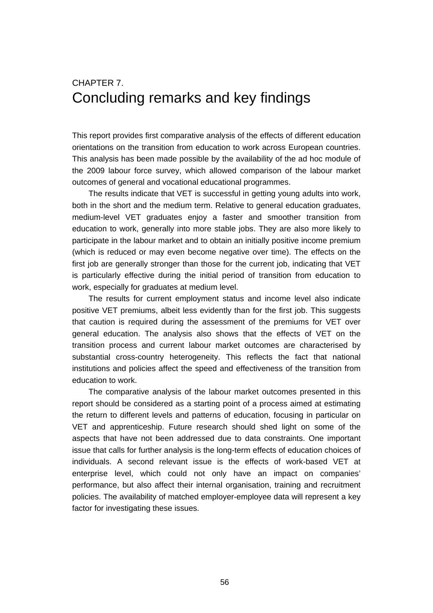# CHAPTER 7. Concluding remarks and key findings

This report provides first comparative analysis of the effects of different education orientations on the transition from education to work across European countries. This analysis has been made possible by the availability of the ad hoc module of the 2009 labour force survey, which allowed comparison of the labour market outcomes of general and vocational educational programmes.

The results indicate that VET is successful in getting young adults into work, both in the short and the medium term. Relative to general education graduates, medium-level VET graduates enjoy a faster and smoother transition from education to work, generally into more stable jobs. They are also more likely to participate in the labour market and to obtain an initially positive income premium (which is reduced or may even become negative over time). The effects on the first job are generally stronger than those for the current job, indicating that VET is particularly effective during the initial period of transition from education to work, especially for graduates at medium level.

The results for current employment status and income level also indicate positive VET premiums, albeit less evidently than for the first job. This suggests that caution is required during the assessment of the premiums for VET over general education. The analysis also shows that the effects of VET on the transition process and current labour market outcomes are characterised by substantial cross-country heterogeneity. This reflects the fact that national institutions and policies affect the speed and effectiveness of the transition from education to work.

The comparative analysis of the labour market outcomes presented in this report should be considered as a starting point of a process aimed at estimating the return to different levels and patterns of education, focusing in particular on VET and apprenticeship. Future research should shed light on some of the aspects that have not been addressed due to data constraints. One important issue that calls for further analysis is the long-term effects of education choices of individuals. A second relevant issue is the effects of work-based VET at enterprise level, which could not only have an impact on companies' performance, but also affect their internal organisation, training and recruitment policies. The availability of matched employer-employee data will represent a key factor for investigating these issues.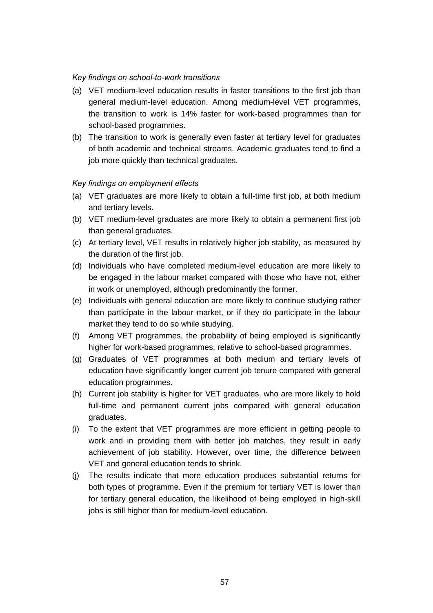### *Key findings on school-to-work transitions*

- (a) VET medium-level education results in faster transitions to the first job than general medium-level education. Among medium-level VET programmes, the transition to work is 14% faster for work-based programmes than for school-based programmes.
- (b) The transition to work is generally even faster at tertiary level for graduates of both academic and technical streams. Academic graduates tend to find a job more quickly than technical graduates.

### *Key findings on employment effects*

- (a) VET graduates are more likely to obtain a full-time first job, at both medium and tertiary levels.
- (b) VET medium-level graduates are more likely to obtain a permanent first job than general graduates.
- (c) At tertiary level, VET results in relatively higher job stability, as measured by the duration of the first job.
- (d) Individuals who have completed medium-level education are more likely to be engaged in the labour market compared with those who have not, either in work or unemployed, although predominantly the former.
- (e) Individuals with general education are more likely to continue studying rather than participate in the labour market, or if they do participate in the labour market they tend to do so while studying.
- (f) Among VET programmes, the probability of being employed is significantly higher for work-based programmes, relative to school-based programmes.
- (g) Graduates of VET programmes at both medium and tertiary levels of education have significantly longer current job tenure compared with general education programmes.
- (h) Current job stability is higher for VET graduates, who are more likely to hold full-time and permanent current jobs compared with general education graduates.
- (i) To the extent that VET programmes are more efficient in getting people to work and in providing them with better job matches, they result in early achievement of job stability. However, over time, the difference between VET and general education tends to shrink.
- (j) The results indicate that more education produces substantial returns for both types of programme. Even if the premium for tertiary VET is lower than for tertiary general education, the likelihood of being employed in high-skill jobs is still higher than for medium-level education.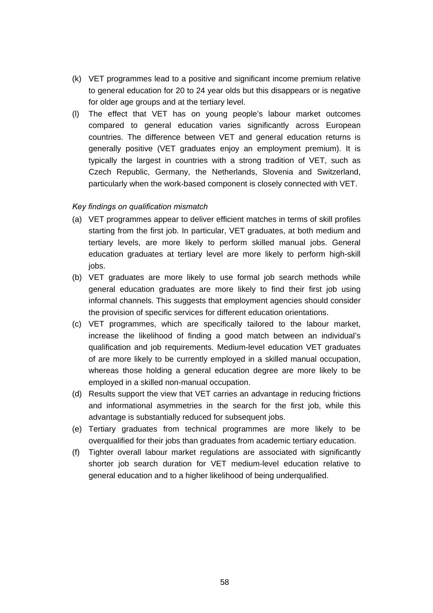- (k) VET programmes lead to a positive and significant income premium relative to general education for 20 to 24 year olds but this disappears or is negative for older age groups and at the tertiary level.
- (l) The effect that VET has on young people's labour market outcomes compared to general education varies significantly across European countries. The difference between VET and general education returns is generally positive (VET graduates enjoy an employment premium). It is typically the largest in countries with a strong tradition of VET, such as Czech Republic, Germany, the Netherlands, Slovenia and Switzerland, particularly when the work-based component is closely connected with VET.

### *Key findings on qualification mismatch*

- (a) VET programmes appear to deliver efficient matches in terms of skill profiles starting from the first job. In particular, VET graduates, at both medium and tertiary levels, are more likely to perform skilled manual jobs. General education graduates at tertiary level are more likely to perform high-skill jobs.
- (b) VET graduates are more likely to use formal job search methods while general education graduates are more likely to find their first job using informal channels. This suggests that employment agencies should consider the provision of specific services for different education orientations.
- (c) VET programmes, which are specifically tailored to the labour market, increase the likelihood of finding a good match between an individual's qualification and job requirements. Medium-level education VET graduates of are more likely to be currently employed in a skilled manual occupation, whereas those holding a general education degree are more likely to be employed in a skilled non-manual occupation.
- (d) Results support the view that VET carries an advantage in reducing frictions and informational asymmetries in the search for the first job, while this advantage is substantially reduced for subsequent jobs.
- (e) Tertiary graduates from technical programmes are more likely to be overqualified for their jobs than graduates from academic tertiary education.
- (f) Tighter overall labour market regulations are associated with significantly shorter job search duration for VET medium-level education relative to general education and to a higher likelihood of being underqualified.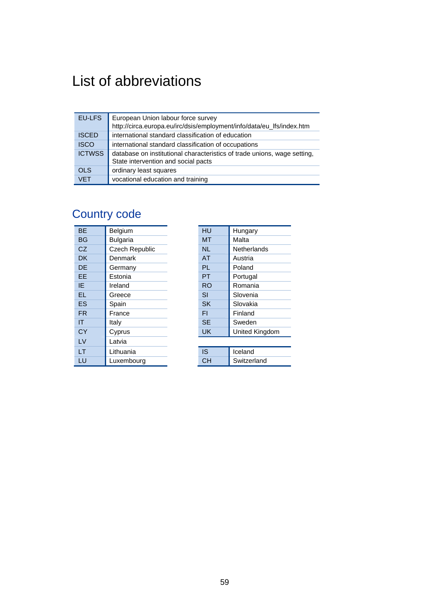# List of abbreviations

| EU-LFS        | European Union labour force survey                                                                              |
|---------------|-----------------------------------------------------------------------------------------------------------------|
|               | http://circa.europa.eu/irc/dsis/employment/info/data/eu_lfs/index.htm                                           |
| <b>ISCED</b>  | international standard classification of education                                                              |
| <b>ISCO</b>   | international standard classification of occupations                                                            |
| <b>ICTWSS</b> | database on institutional characteristics of trade unions, wage setting,<br>State intervention and social pacts |
| <b>OLS</b>    | ordinary least squares                                                                                          |
| <b>VET</b>    | vocational education and training                                                                               |

# Country code

| <b>BF</b> | Belgium               | HU        | Hungary            |
|-----------|-----------------------|-----------|--------------------|
| <b>BG</b> | <b>Bulgaria</b>       | <b>MT</b> | Malta              |
| CZ.       | <b>Czech Republic</b> | <b>NL</b> | <b>Netherlands</b> |
| <b>DK</b> | Denmark               | <b>AT</b> | Austria            |
| <b>DE</b> | Germany               | <b>PL</b> | Poland             |
| EE        | Estonia               | <b>PT</b> | Portugal           |
| IE        | Ireland               | <b>RO</b> | Romania            |
| <b>EL</b> | Greece                | SI        | Slovenia           |
| ES        | Spain                 | <b>SK</b> | Slovakia           |
| <b>FR</b> | France                | FI        | Finland            |
| ΙT        | Italy                 | <b>SE</b> | Sweden             |
| CY        | Cyprus                | <b>UK</b> | United Kingdom     |
| LV        | Latvia                |           |                    |
| <b>LT</b> | Lithuania             | <b>IS</b> | Iceland            |
| LU        | Luxembourg            | <b>CH</b> | Switzerland        |

| HU        | Hungary            |
|-----------|--------------------|
| мт        | Malta              |
| NL        | <b>Netherlands</b> |
| <b>AT</b> | Austria            |
| PL        | Poland             |
| PT        | Portugal           |
| RO        | Romania            |
| SI        | Slovenia           |
| <b>SK</b> | Slovakia           |
| FI        | Finland            |
| <b>SE</b> | Sweden             |
| UK        | United Kingdom     |
|           |                    |
|           |                    |

| Iceland            |
|--------------------|
| <b>Switzerland</b> |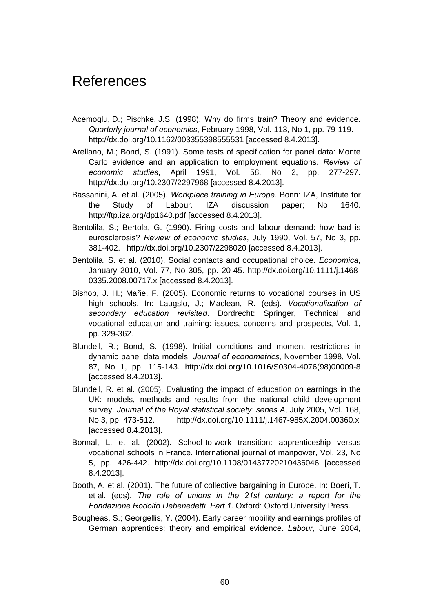# References

- Acemoglu, D.; Pischke, J.S. (1998). Why do firms train? Theory and evidence. *Quarterly journal of economics*, February 1998, Vol. 113, No 1, pp. 79-119. http://dx.doi.org/10.1162/003355398555531 [accessed 8.4.2013].
- Arellano, M.; Bond, S. (1991). Some tests of specification for panel data: Monte Carlo evidence and an application to employment equations. *Review of economic studies*, April 1991, Vol. 58, No 2, pp. 277-297. http://dx.doi.org/10.2307/2297968 [accessed 8.4.2013].
- Bassanini, A. et al. (2005). *Workplace training in Europe*. Bonn: IZA, Institute for the Study of Labour. IZA discussion paper; No 1640. http://ftp.iza.org/dp1640.pdf [accessed 8.4.2013].
- Bentolila, S.; Bertola, G. (1990). Firing costs and labour demand: how bad is eurosclerosis? *Review of economic studies*, July 1990, Vol. 57, No 3, pp. 381-402. http://dx.doi.org/10.2307/2298020 [accessed 8.4.2013].
- Bentolila, S. et al. (2010). Social contacts and occupational choice. *Economica*, January 2010, Vol. 77, No 305, pp. 20-45. http://dx.doi.org/10.1111/j.1468- 0335.2008.00717.x [accessed 8.4.2013].
- Bishop, J. H.; Mañe, F. (2005). Economic returns to vocational courses in US high schools. In: Laugslo, J.; Maclean, R. (eds). *Vocationalisation of secondary education revisited*. Dordrecht: Springer, Technical and vocational education and training: issues, concerns and prospects, Vol. 1, pp. 329-362.
- Blundell, R.; Bond, S. (1998). Initial conditions and moment restrictions in dynamic panel data models. *Journal of econometrics*, November 1998, Vol. 87, No 1, pp. 115-143. http://dx.doi.org/10.1016/S0304-4076(98)00009-8 [accessed 8.4.2013].
- Blundell, R. et al. (2005). Evaluating the impact of education on earnings in the UK: models, methods and results from the national child development survey. *Journal of the Royal statistical society: series A*, July 2005, Vol. 168, No 3, pp. 473-512. http://dx.doi.org/10.1111/j.1467-985X.2004.00360.x [accessed 8.4.2013].
- Bonnal, L. et al. (2002). School-to-work transition: apprenticeship versus vocational schools in France. International journal of manpower, Vol. 23, No 5, pp. 426-442. http://dx.doi.org/10.1108/01437720210436046 [accessed 8.4.2013].
- Booth, A. et al. (2001). The future of collective bargaining in Europe. In: Boeri, T. et al. (eds). *The role of unions in the 21st century: a report for the Fondazione Rodolfo Debenedetti. Part 1*. Oxford: Oxford University Press.
- Bougheas, S.; Georgellis, Y. (2004). Early career mobility and earnings profiles of German apprentices: theory and empirical evidence. *Labour*, June 2004,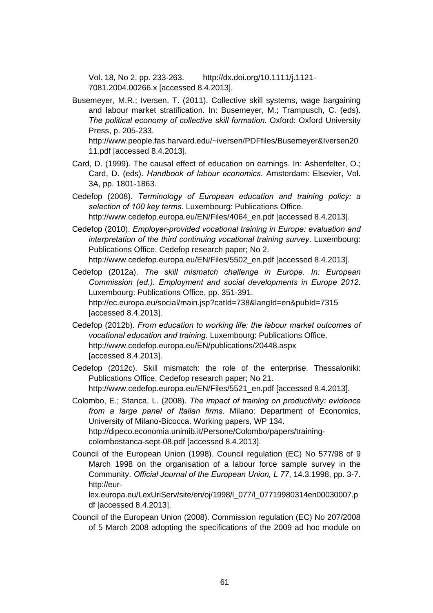Vol. 18, No 2, pp. 233-263. http://dx.doi.org/10.1111/j.1121- 7081.2004.00266.x [accessed 8.4.2013].

Busemeyer, M.R.; Iversen, T. (2011). Collective skill systems, wage bargaining and labour market stratification. In: Busemeyer, M.; Trampusch, C. (eds). *The political economy of collective skill formation*. Oxford: Oxford University Press, p. 205-233.

http://www.people.fas.harvard.edu/~iversen/PDFfiles/Busemeyer&Iversen20 11.pdf [accessed 8.4.2013].

- Card, D. (1999). The causal effect of education on earnings. In: Ashenfelter, O.; Card, D. (eds). *Handbook of labour economics*. Amsterdam: Elsevier, Vol. 3A, pp. 1801-1863.
- Cedefop (2008). *Terminology of European education and training policy: a selection of 100 key terms*. Luxembourg: Publications Office. http://www.cedefop.europa.eu/EN/Files/4064\_en.pdf [accessed 8.4.2013].
- Cedefop (2010). *Employer-provided vocational training in Europe: evaluation and interpretation of the third continuing vocational training survey*. Luxembourg: Publications Office. Cedefop research paper; No 2.

http://www.cedefop.europa.eu/EN/Files/5502\_en.pdf [accessed 8.4.2013].

- Cedefop (2012a). *The skill mismatch challenge in Europe. In: European Commission (ed.). Employment and social developments in Europe 2012*. Luxembourg: Publications Office, pp. 351-391. http://ec.europa.eu/social/main.jsp?catId=738&langId=en&pubId=7315 [accessed 8.4.2013].
- Cedefop (2012b). *From education to working life: the labour market outcomes of vocational education and training*. Luxembourg: Publications Office. http://www.cedefop.europa.eu/EN/publications/20448.aspx [accessed 8.4.2013].
- Cedefop (2012c). Skill mismatch: the role of the enterprise. Thessaloniki: Publications Office. Cedefop research paper; No 21. http://www.cedefop.europa.eu/EN/Files/5521\_en.pdf [accessed 8.4.2013].
- Colombo, E.; Stanca, L. (2008). *The impact of training on productivity: evidence from a large panel of Italian firms*. Milano: Department of Economics, University of Milano-Bicocca. Working papers, WP 134. http://dipeco.economia.unimib.it/Persone/Colombo/papers/trainingcolombostanca-sept-08.pdf [accessed 8.4.2013].
- Council of the European Union (1998). Council regulation (EC) No 577/98 of 9 March 1998 on the organisation of a labour force sample survey in the Community. *Official Journal of the European Union, L 77*, 14.3.1998, pp. 3-7. http://eur-

lex.europa.eu/LexUriServ/site/en/oj/1998/l\_077/l\_07719980314en00030007.p df [accessed 8.4.2013].

Council of the European Union (2008). Commission regulation (EC) No 207/2008 of 5 March 2008 adopting the specifications of the 2009 ad hoc module on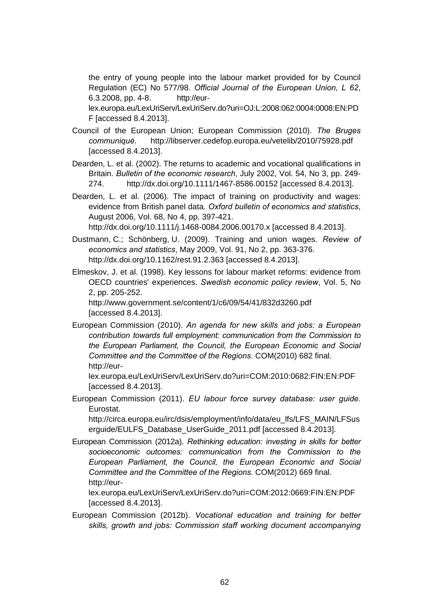the entry of young people into the labour market provided for by Council Regulation (EC) No 577/98. *Official Journal of the European Union, L 62*, 6.3.2008, pp. 4-8. http://eur-

lex.europa.eu/LexUriServ/LexUriServ.do?uri=OJ:L:2008:062:0004:0008:EN:PD F [accessed 8.4.2013].

- Council of the European Union; European Commission (2010). *The Bruges communiqué*. http://libserver.cedefop.europa.eu/vetelib/2010/75928.pdf [accessed 8.4.2013].
- Dearden, L. et al. (2002). The returns to academic and vocational qualifications in Britain. *Bulletin of the economic research*, July 2002, Vol. 54, No 3, pp. 249- 274. http://dx.doi.org/10.1111/1467-8586.00152 [accessed 8.4.2013].
- Dearden, L. et al. (2006). The impact of training on productivity and wages: evidence from British panel data*. Oxford bulletin of economics and statistics*, August 2006, Vol. 68, No 4, pp. 397-421.

http://dx.doi.org/10.1111/j.1468-0084.2006.00170.x [accessed 8.4.2013].

- Dustmann, C.; Schönberg, U. (2009). Training and union wages. *Review of economics and statistics*, May 2009, Vol. 91, No 2, pp. 363-376. http://dx.doi.org/10.1162/rest.91.2.363 [accessed 8.4.2013].
- Elmeskov, J. et al. (1998). Key lessons for labour market reforms: evidence from OECD countries' experiences. *Swedish economic policy review*, Vol. 5, No 2, pp. 205-252.

http://www.government.se/content/1/c6/09/54/41/832d3260.pdf [accessed 8.4.2013].

European Commission (2010). *An agenda for new skills and jobs: a European contribution towards full employment: communication from the Commission to the European Parliament, the Council, the European Economic and Social Committee and the Committee of the Regions*. COM(2010) 682 final. http://eur-

lex.europa.eu/LexUriServ/LexUriServ.do?uri=COM:2010:0682:FIN:EN:PDF [accessed 8.4.2013].

European Commission (2011). *EU labour force survey database: user guide.*  Eurostat.

http://circa.europa.eu/irc/dsis/employment/info/data/eu\_lfs/LFS\_MAIN/LFSus erguide/EULFS\_Database\_UserGuide\_2011.pdf [accessed 8.4.2013].

European Commission (2012a). *Rethinking education: investing in skills for better socioeconomic outcomes: communication from the Commission to the European Parliament, the Council, the European Economic and Social Committee and the Committee of the Regions.* COM(2012) 669 final. http://eur-

lex.europa.eu/LexUriServ/LexUriServ.do?uri=COM:2012:0669:FIN:EN:PDF [accessed 8.4.2013].

European Commission (2012b). *Vocational education and training for better skills, growth and jobs: Commission staff working document accompanying*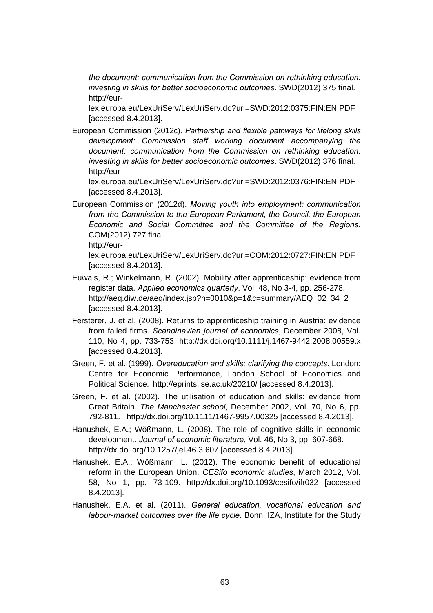*the document: communication from the Commission on rethinking education: investing in skills for better socioeconomic outcomes*. SWD(2012) 375 final. http://eur-

lex.europa.eu/LexUriServ/LexUriServ.do?uri=SWD:2012:0375:FIN:EN:PDF [accessed 8.4.2013].

European Commission (2012c). *Partnership and flexible pathways for lifelong skills development: Commission staff working document accompanying the document: communication from the Commission on rethinking education: investing in skills for better socioeconomic outcomes*. SWD(2012) 376 final. http://eur-

lex.europa.eu/LexUriServ/LexUriServ.do?uri=SWD:2012:0376:FIN:EN:PDF [accessed 8.4.2013].

European Commission (2012d). *Moving youth into employment: communication from the Commission to the European Parliament, the Council, the European Economic and Social Committee and the Committee of the Regions*. COM(2012) 727 final.

http://eur-

lex.europa.eu/LexUriServ/LexUriServ.do?uri=COM:2012:0727:FIN:EN:PDF [accessed 8.4.2013].

- Euwals, R.; Winkelmann, R. (2002). Mobility after apprenticeship: evidence from register data. *Applied economics quarterly*, Vol. 48, No 3-4, pp. 256-278. http://aeq.diw.de/aeq/index.jsp?n=0010&p=1&c=summary/AEQ\_02\_34\_2 [accessed 8.4.2013].
- Fersterer, J. et al. (2008). Returns to apprenticeship training in Austria: evidence from failed firms. *Scandinavian journal of economics*, December 2008, Vol. 110, No 4, pp. 733-753. http://dx.doi.org/10.1111/j.1467-9442.2008.00559.x [accessed 8.4.2013].
- Green, F. et al. (1999). *Overeducation and skills: clarifying the concepts*. London: Centre for Economic Performance, London School of Economics and Political Science. http://eprints.lse.ac.uk/20210/ [accessed 8.4.2013].
- Green, F. et al. (2002). The utilisation of education and skills: evidence from Great Britain. *The Manchester school*, December 2002, Vol. 70, No 6, pp. 792-811. http://dx.doi.org/10.1111/1467-9957.00325 [accessed 8.4.2013].
- Hanushek, E.A.; Wößmann, L. (2008). The role of cognitive skills in economic development. *Journal of economic literature*, Vol. 46, No 3, pp. 607-668. http://dx.doi.org/10.1257/jel.46.3.607 [accessed 8.4.2013].
- Hanushek, E.A.; Wößmann, L. (2012). The economic benefit of educational reform in the European Union. *CESifo economic studies*, March 2012, Vol. 58, No 1, pp. 73-109. http://dx.doi.org/10.1093/cesifo/ifr032 [accessed 8.4.2013].
- Hanushek, E.A. et al. (2011). *General education, vocational education and labour-market outcomes over the life cycle*. Bonn: IZA, Institute for the Study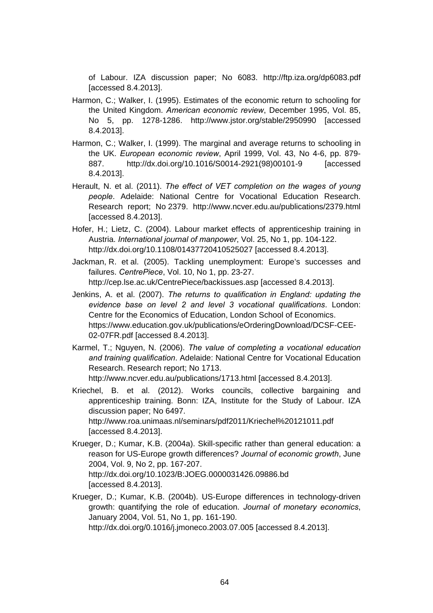of Labour. IZA discussion paper; No 6083. http://ftp.iza.org/dp6083.pdf [accessed 8.4.2013].

- Harmon, C.; Walker, I. (1995). Estimates of the economic return to schooling for the United Kingdom. *American economic review*, December 1995, Vol. 85, No 5, pp. 1278-1286. http://www.jstor.org/stable/2950990 [accessed 8.4.2013].
- Harmon, C.; Walker, I. (1999). The marginal and average returns to schooling in the UK. *European economic review*, April 1999, Vol. 43, No 4-6, pp. 879- 887. http://dx.doi.org/10.1016/S0014-2921(98)00101-9 [accessed 8.4.2013].
- Herault, N. et al. (2011). *The effect of VET completion on the wages of young people*. Adelaide: National Centre for Vocational Education Research. Research report; No 2379. http://www.ncver.edu.au/publications/2379.html [accessed 8.4.2013].
- Hofer, H.; Lietz, C. (2004). Labour market effects of apprenticeship training in Austria. *International journal of manpower*, Vol. 25, No 1, pp. 104-122. http://dx.doi.org/10.1108/01437720410525027 [accessed 8.4.2013].
- Jackman, R. et al. (2005). Tackling unemployment: Europe's successes and failures. *CentrePiece*, Vol. 10, No 1, pp. 23-27. http://cep.lse.ac.uk/CentrePiece/backissues.asp [accessed 8.4.2013].
- Jenkins, A. et al. (2007). *The returns to qualification in England: updating the evidence base on level 2 and level 3 vocational qualifications*. London: Centre for the Economics of Education, London School of Economics. https://www.education.gov.uk/publications/eOrderingDownload/DCSF-CEE-02-07FR.pdf [accessed 8.4.2013].
- Karmel, T.; Nguyen, N. (2006). *The value of completing a vocational education and training qualification*. Adelaide: National Centre for Vocational Education Research. Research report; No 1713.

http://www.ncver.edu.au/publications/1713.html [accessed 8.4.2013].

- Kriechel, B. et al. (2012). Works councils, collective bargaining and apprenticeship training. Bonn: IZA, Institute for the Study of Labour. IZA discussion paper; No 6497. http://www.roa.unimaas.nl/seminars/pdf2011/Kriechel%20121011.pdf [accessed 8.4.2013].
- Krueger, D.; Kumar, K.B. (2004a). Skill-specific rather than general education: a reason for US-Europe growth differences? *Journal of economic growth*, June 2004, Vol. 9, No 2, pp. 167-207. http://dx.doi.org/10.1023/B:JOEG.0000031426.09886.bd [accessed 8.4.2013].
- Krueger, D.; Kumar, K.B. (2004b). US-Europe differences in technology-driven growth: quantifying the role of education. *Journal of monetary economics*, January 2004, Vol. 51, No 1, pp. 161-190. http://dx.doi.org/0.1016/j.jmoneco.2003.07.005 [accessed 8.4.2013].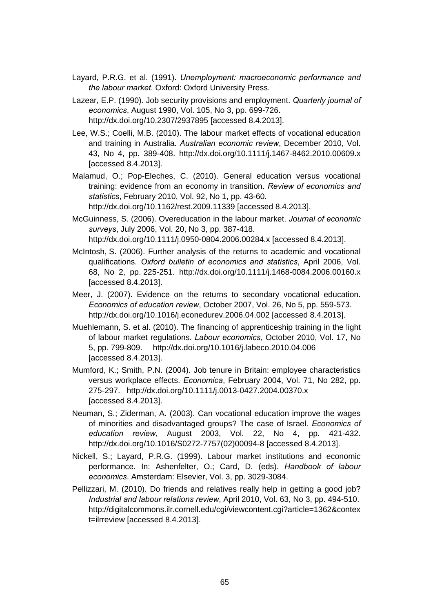- Layard, P.R.G. et al. (1991). *Unemployment: macroeconomic performance and the labour market*. Oxford: Oxford University Press.
- Lazear, E.P. (1990). Job security provisions and employment. *Quarterly journal of economics*, August 1990, Vol. 105, No 3, pp. 699-726. http://dx.doi.org/10.2307/2937895 [accessed 8.4.2013].
- Lee, W.S.; Coelli, M.B. (2010). The labour market effects of vocational education and training in Australia. *Australian economic review*, December 2010, Vol. 43, No 4, pp. 389-408. http://dx.doi.org/10.1111/j.1467-8462.2010.00609.x [accessed 8.4.2013].
- Malamud, O.; Pop-Eleches, C. (2010). General education versus vocational training: evidence from an economy in transition. *Review of economics and statistics*, February 2010, Vol. 92, No 1, pp. 43-60. http://dx.doi.org/10.1162/rest.2009.11339 [accessed 8.4.2013].
- McGuinness, S. (2006). Overeducation in the labour market. *Journal of economic surveys*, July 2006, Vol. 20, No 3, pp. 387-418. http://dx.doi.org/10.1111/j.0950-0804.2006.00284.x [accessed 8.4.2013].
- McIntosh, S. (2006). Further analysis of the returns to academic and vocational qualifications. *Oxford bulletin of economics and statistics*, April 2006, Vol. 68, No 2, pp. 225-251. http://dx.doi.org/10.1111/j.1468-0084.2006.00160.x [accessed 8.4.2013].
- Meer, J. (2007). Evidence on the returns to secondary vocational education. *Economics of education review*, October 2007, Vol. 26, No 5, pp. 559-573. http://dx.doi.org/10.1016/j.econedurev.2006.04.002 [accessed 8.4.2013].
- Muehlemann, S. et al. (2010). The financing of apprenticeship training in the light of labour market regulations. *Labour economics*, October 2010, Vol. 17, No 5, pp. 799-809. http://dx.doi.org/10.1016/j.labeco.2010.04.006 [accessed 8.4.2013].
- Mumford, K.; Smith, P.N. (2004). Job tenure in Britain: employee characteristics versus workplace effects. *Economica*, February 2004, Vol. 71, No 282, pp. 275-297. http://dx.doi.org/10.1111/j.0013-0427.2004.00370.x [accessed 8.4.2013].
- Neuman, S.; Ziderman, A. (2003). Can vocational education improve the wages of minorities and disadvantaged groups? The case of Israel. *Economics of education review*, August 2003, Vol. 22, No 4, pp. 421-432. http://dx.doi.org/10.1016/S0272-7757(02)00094-8 [accessed 8.4.2013].
- Nickell, S.; Layard, P.R.G. (1999). Labour market institutions and economic performance. In: Ashenfelter, O.; Card, D. (eds). *Handbook of labour economics*. Amsterdam: Elsevier, Vol. 3, pp. 3029-3084.
- Pellizzari, M. (2010). Do friends and relatives really help in getting a good job? *Industrial and labour relations review*, April 2010, Vol. 63, No 3, pp. 494-510. http://digitalcommons.ilr.cornell.edu/cgi/viewcontent.cgi?article=1362&contex t=ilrreview [accessed 8.4.2013].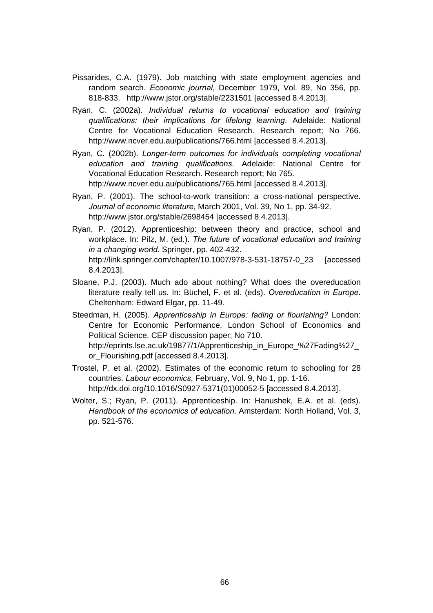- Pissarides, C.A. (1979). Job matching with state employment agencies and random search. *Economic journal*, December 1979, Vol. 89, No 356, pp. 818-833. http://www.jstor.org/stable/2231501 [accessed 8.4.2013].
- Ryan, C. (2002a). *Individual returns to vocational education and training qualifications: their implications for lifelong learning*. Adelaide: National Centre for Vocational Education Research. Research report; No 766. http://www.ncver.edu.au/publications/766.html [accessed 8.4.2013].
- Ryan, C. (2002b). *Longer-term outcomes for individuals completing vocational education and training qualifications*. Adelaide: National Centre for Vocational Education Research. Research report; No 765. http://www.ncver.edu.au/publications/765.html [accessed 8.4.2013].
- Ryan, P. (2001). The school-to-work transition: a cross-national perspective. *Journal of economic literature*, March 2001, Vol. 39, No 1, pp. 34-92. http://www.jstor.org/stable/2698454 [accessed 8.4.2013].
- Ryan, P. (2012). Apprenticeship: between theory and practice, school and workplace. In: Pilz, M. (ed.). *The future of vocational education and training in a changing world*. Springer, pp. 402-432. http://link.springer.com/chapter/10.1007/978-3-531-18757-0\_23 [accessed 8.4.2013].
- Sloane, P.J. (2003). Much ado about nothing? What does the overeducation literature really tell us. In: Büchel, F. et al. (eds). *Overeducation in Europe*. Cheltenham: Edward Elgar, pp. 11-49.
- Steedman, H. (2005). *Apprenticeship in Europe: fading or flourishing?* London: Centre for Economic Performance, London School of Economics and Political Science. CEP discussion paper; No 710. http://eprints.lse.ac.uk/19877/1/Apprenticeship\_in\_Europe\_%27Fading%27\_ or\_Flourishing.pdf [accessed 8.4.2013].
- Trostel, P. et al. (2002). Estimates of the economic return to schooling for 28 countries. *Labour economics*, February, Vol. 9, No 1, pp. 1-16. http://dx.doi.org/10.1016/S0927-5371(01)00052-5 [accessed 8.4.2013].
- Wolter, S.; Ryan, P. (2011). Apprenticeship. In: Hanushek, E.A. et al. (eds). *Handbook of the economics of education*. Amsterdam: North Holland, Vol. 3, pp. 521-576.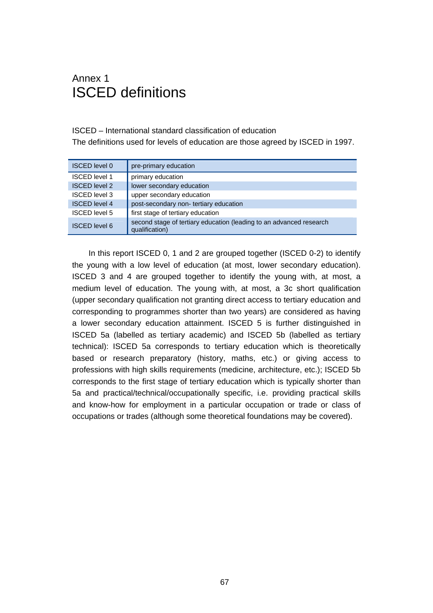### Annex 1 ISCED definitions

#### ISCED – International standard classification of education

The definitions used for levels of education are those agreed by ISCED in 1997.

| <b>ISCED level 0</b> | pre-primary education                                                                 |
|----------------------|---------------------------------------------------------------------------------------|
| <b>ISCED level 1</b> | primary education                                                                     |
| <b>ISCED level 2</b> | lower secondary education                                                             |
| <b>ISCED level 3</b> | upper secondary education                                                             |
| <b>ISCED</b> level 4 | post-secondary non- tertiary education                                                |
| <b>ISCED level 5</b> | first stage of tertiary education                                                     |
| <b>ISCED</b> level 6 | second stage of tertiary education (leading to an advanced research<br>qualification) |

In this report ISCED 0, 1 and 2 are grouped together (ISCED 0-2) to identify the young with a low level of education (at most, lower secondary education). ISCED 3 and 4 are grouped together to identify the young with, at most, a medium level of education. The young with, at most, a 3c short qualification (upper secondary qualification not granting direct access to tertiary education and corresponding to programmes shorter than two years) are considered as having a lower secondary education attainment. ISCED 5 is further distinguished in ISCED 5a (labelled as tertiary academic) and ISCED 5b (labelled as tertiary technical): ISCED 5a corresponds to tertiary education which is theoretically based or research preparatory (history, maths, etc.) or giving access to professions with high skills requirements (medicine, architecture, etc.); ISCED 5b corresponds to the first stage of tertiary education which is typically shorter than 5a and practical/technical/occupationally specific, i.e. providing practical skills and know-how for employment in a particular occupation or trade or class of occupations or trades (although some theoretical foundations may be covered).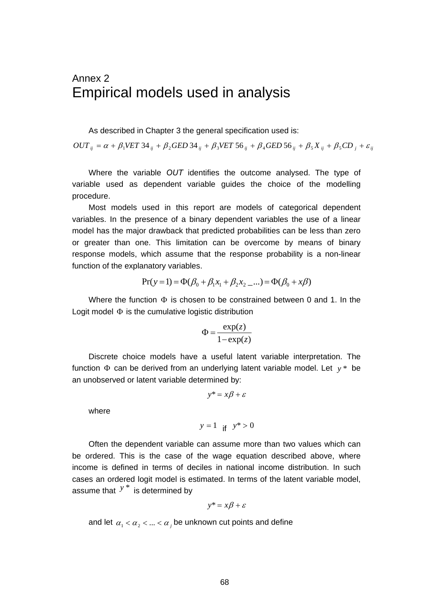### Annex 2 Empirical models used in analysis

As described in Chapter 3 the general specification used is:

 $OUT_{ij} = \alpha + \beta_1 VET \, 34_{ij} + \beta_2 GED \, 34_{ij} + \beta_3 VET \, 56_{ij} + \beta_4 GED \, 56_{ij} + \beta_5 X_{ij} + \beta_5 CD_{i} + \varepsilon_{ij}$ 

Where the variable *OUT* identifies the outcome analysed. The type of variable used as dependent variable guides the choice of the modelling procedure.

Most models used in this report are models of categorical dependent variables. In the presence of a binary dependent variables the use of a linear model has the major drawback that predicted probabilities can be less than zero or greater than one. This limitation can be overcome by means of binary response models, which assume that the response probability is a non-linear function of the explanatory variables.

$$
Pr(y=1) = \Phi(\beta_0 + \beta_1 x_1 + \beta_2 x_2 \dots) = \Phi(\beta_0 + x\beta)
$$

Where the function  $\Phi$  is chosen to be constrained between 0 and 1. In the Logit model  $\Phi$  is the cumulative logistic distribution

$$
\Phi = \frac{\exp(z)}{1 - \exp(z)}
$$

Discrete choice models have a useful latent variable interpretation. The function  $\Phi$  can be derived from an underlying latent variable model. Let  $y^*$  be an unobserved or latent variable determined by:

$$
y^* = x\beta + \varepsilon
$$

where

$$
y = 1 \quad \text{if} \quad y^* > 0
$$

Often the dependent variable can assume more than two values which can be ordered. This is the case of the wage equation described above, where income is defined in terms of deciles in national income distribution. In such cases an ordered logit model is estimated. In terms of the latent variable model, assume that  $y^*$  is determined by

$$
y^* = x\beta + \varepsilon
$$

and let  $\alpha_1 < \alpha_2 < ... < \alpha_i$  be unknown cut points and define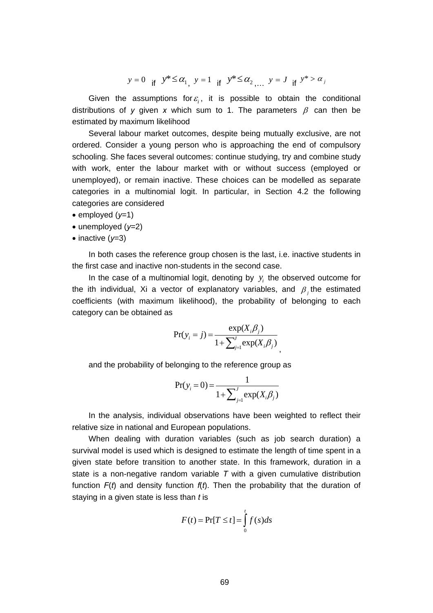$y = 0$  if  $y^* \le \alpha_1$ ,  $y = 1$  if  $y^* \le \alpha_2$ ,  $y = J$  if  $y^* > \alpha_J$ 

Given the assumptions for  $\varepsilon$ , it is possible to obtain the conditional distributions of y given x which sum to 1. The parameters  $\beta$  can then be estimated by maximum likelihood

Several labour market outcomes, despite being mutually exclusive, are not ordered. Consider a young person who is approaching the end of compulsory schooling. She faces several outcomes: continue studying, try and combine study with work, enter the labour market with or without success (employed or unemployed), or remain inactive. These choices can be modelled as separate categories in a multinomial logit. In particular, in Section 4.2 the following categories are considered

- $\bullet$  employed ( $v=1$ )
- unemployed (*y*=2)
- $\bullet$  inactive ( $y=3$ )

In both cases the reference group chosen is the last, i.e. inactive students in the first case and inactive non-students in the second case.

In the case of a multinomial logit, denoting by  $y_i$  the observed outcome for the ith individual, Xi a vector of explanatory variables, and  $\beta$ , the estimated coefficients (with maximum likelihood), the probability of belonging to each category can be obtained as

$$
Pr(y_i = j) = \frac{\exp(X_i \beta_j)}{1 + \sum_{j=1}^{j} \exp(X_i \beta_j)}
$$

,

and the probability of belonging to the reference group as

$$
Pr(y_i = 0) = \frac{1}{1 + \sum_{j=1}^{J} exp(X_i \beta_j)}
$$

In the analysis, individual observations have been weighted to reflect their relative size in national and European populations.

When dealing with duration variables (such as job search duration) a survival model is used which is designed to estimate the length of time spent in a given state before transition to another state. In this framework, duration in a state is a non-negative random variable *T* with a given cumulative distribution function *F*(*t*) and density function *f*(*t*). Then the probability that the duration of staying in a given state is less than *t* is

$$
F(t) = \Pr[T \le t] = \int_{0}^{t} f(s)ds
$$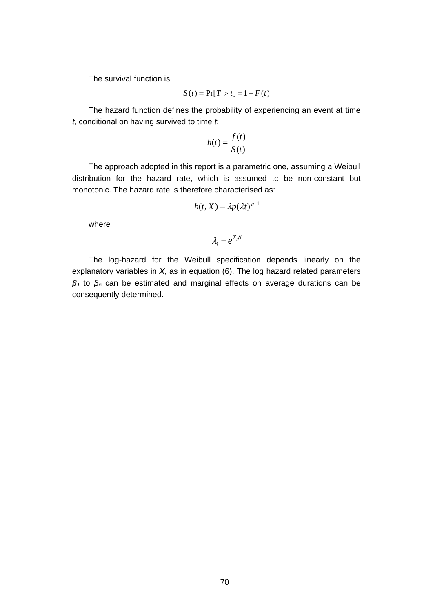The survival function is

$$
S(t) = \Pr[T > t] = 1 - F(t)
$$

The hazard function defines the probability of experiencing an event at time *t*, conditional on having survived to time *t*:

$$
h(t) = \frac{f(t)}{S(t)}
$$

The approach adopted in this report is a parametric one, assuming a Weibull distribution for the hazard rate, which is assumed to be non-constant but monotonic. The hazard rate is therefore characterised as:

$$
h(t, X) = \lambda p(\lambda t)^{p-1}
$$

where

$$
\lambda_i = e^{X_i \beta}
$$

The log-hazard for the Weibull specification depends linearly on the explanatory variables in *X*, as in equation (6). The log hazard related parameters *β1* to *β5* can be estimated and marginal effects on average durations can be consequently determined.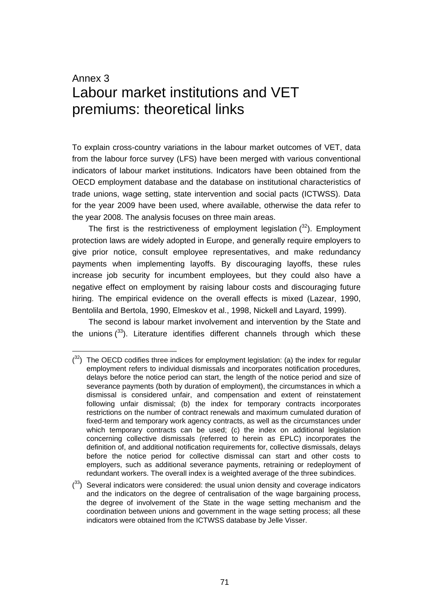## Annex 3 Labour market institutions and VET premiums: theoretical links

To explain cross-country variations in the labour market outcomes of VET, data from the labour force survey (LFS) have been merged with various conventional indicators of labour market institutions. Indicators have been obtained from the OECD employment database and the database on institutional characteristics of trade unions, wage setting, state intervention and social pacts (ICTWSS). Data for the year 2009 have been used, where available, otherwise the data refer to the year 2008. The analysis focuses on three main areas.

The first is the restrictiveness of employment legislation  $(^{32})$ . Employment protection laws are widely adopted in Europe, and generally require employers to give prior notice, consult employee representatives, and make redundancy payments when implementing layoffs. By discouraging layoffs, these rules increase job security for incumbent employees, but they could also have a negative effect on employment by raising labour costs and discouraging future hiring. The empirical evidence on the overall effects is mixed (Lazear, 1990, Bentolila and Bertola, 1990, Elmeskov et al., 1998, Nickell and Layard, 1999).

The second is labour market involvement and intervention by the State and the unions  $(33)$ . Literature identifies different channels through which these

 $(33)$  Several indicators were considered: the usual union density and coverage indicators and the indicators on the degree of centralisation of the wage bargaining process, the degree of involvement of the State in the wage setting mechanism and the coordination between unions and government in the wage setting process; all these indicators were obtained from the ICTWSS database by Jelle Visser.

 $(32)$  The OECD codifies three indices for employment legislation: (a) the index for regular employment refers to individual dismissals and incorporates notification procedures, delays before the notice period can start, the length of the notice period and size of severance payments (both by duration of employment), the circumstances in which a dismissal is considered unfair, and compensation and extent of reinstatement following unfair dismissal; (b) the index for temporary contracts incorporates restrictions on the number of contract renewals and maximum cumulated duration of fixed-term and temporary work agency contracts, as well as the circumstances under which temporary contracts can be used; (c) the index on additional legislation concerning collective dismissals (referred to herein as EPLC) incorporates the definition of, and additional notification requirements for, collective dismissals, delays before the notice period for collective dismissal can start and other costs to employers, such as additional severance payments, retraining or redeployment of redundant workers. The overall index is a weighted average of the three subindices.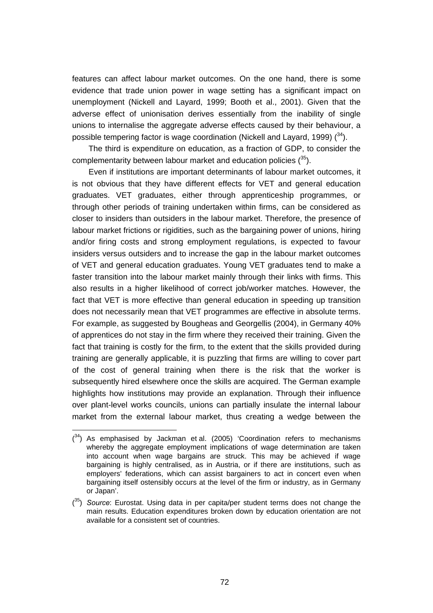features can affect labour market outcomes. On the one hand, there is some evidence that trade union power in wage setting has a significant impact on unemployment (Nickell and Layard, 1999; Booth et al., 2001). Given that the adverse effect of unionisation derives essentially from the inability of single unions to internalise the aggregate adverse effects caused by their behaviour, a possible tempering factor is wage coordination (Nickell and Layard, 1999)  $(34)$ .

The third is expenditure on education, as a fraction of GDP, to consider the complementarity between labour market and education policies  $(^{35})$ .

Even if institutions are important determinants of labour market outcomes, it is not obvious that they have different effects for VET and general education graduates. VET graduates, either through apprenticeship programmes, or through other periods of training undertaken within firms, can be considered as closer to insiders than outsiders in the labour market. Therefore, the presence of labour market frictions or rigidities, such as the bargaining power of unions, hiring and/or firing costs and strong employment regulations, is expected to favour insiders versus outsiders and to increase the gap in the labour market outcomes of VET and general education graduates. Young VET graduates tend to make a faster transition into the labour market mainly through their links with firms. This also results in a higher likelihood of correct job/worker matches. However, the fact that VET is more effective than general education in speeding up transition does not necessarily mean that VET programmes are effective in absolute terms. For example, as suggested by Bougheas and Georgellis (2004), in Germany 40% of apprentices do not stay in the firm where they received their training. Given the fact that training is costly for the firm, to the extent that the skills provided during training are generally applicable, it is puzzling that firms are willing to cover part of the cost of general training when there is the risk that the worker is subsequently hired elsewhere once the skills are acquired. The German example highlights how institutions may provide an explanation. Through their influence over plant-level works councils, unions can partially insulate the internal labour market from the external labour market, thus creating a wedge between the

 $(34)$  As emphasised by Jackman et al. (2005) 'Coordination refers to mechanisms whereby the aggregate employment implications of wage determination are taken into account when wage bargains are struck. This may be achieved if wage bargaining is highly centralised, as in Austria, or if there are institutions, such as employers' federations, which can assist bargainers to act in concert even when bargaining itself ostensibly occurs at the level of the firm or industry, as in Germany or Japan'.

<sup>(</sup> 35) *Source*: Eurostat. Using data in per capita/per student terms does not change the main results. Education expenditures broken down by education orientation are not available for a consistent set of countries.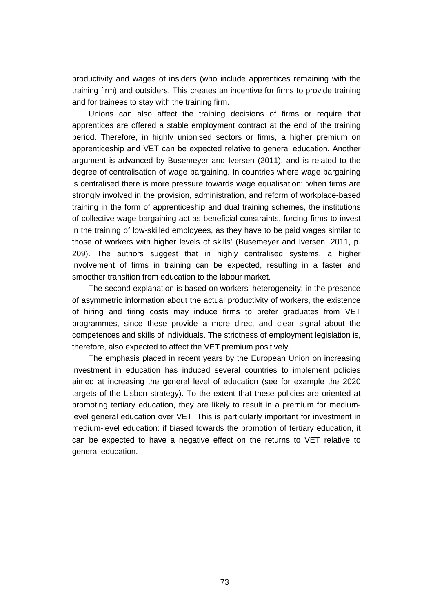productivity and wages of insiders (who include apprentices remaining with the training firm) and outsiders. This creates an incentive for firms to provide training and for trainees to stay with the training firm.

Unions can also affect the training decisions of firms or require that apprentices are offered a stable employment contract at the end of the training period. Therefore, in highly unionised sectors or firms, a higher premium on apprenticeship and VET can be expected relative to general education. Another argument is advanced by Busemeyer and Iversen (2011), and is related to the degree of centralisation of wage bargaining. In countries where wage bargaining is centralised there is more pressure towards wage equalisation: 'when firms are strongly involved in the provision, administration, and reform of workplace-based training in the form of apprenticeship and dual training schemes, the institutions of collective wage bargaining act as beneficial constraints, forcing firms to invest in the training of low-skilled employees, as they have to be paid wages similar to those of workers with higher levels of skills' (Busemeyer and Iversen, 2011, p. 209). The authors suggest that in highly centralised systems, a higher involvement of firms in training can be expected, resulting in a faster and smoother transition from education to the labour market.

The second explanation is based on workers' heterogeneity: in the presence of asymmetric information about the actual productivity of workers, the existence of hiring and firing costs may induce firms to prefer graduates from VET programmes, since these provide a more direct and clear signal about the competences and skills of individuals. The strictness of employment legislation is, therefore, also expected to affect the VET premium positively.

The emphasis placed in recent years by the European Union on increasing investment in education has induced several countries to implement policies aimed at increasing the general level of education (see for example the 2020 targets of the Lisbon strategy). To the extent that these policies are oriented at promoting tertiary education, they are likely to result in a premium for mediumlevel general education over VET. This is particularly important for investment in medium-level education: if biased towards the promotion of tertiary education, it can be expected to have a negative effect on the returns to VET relative to general education.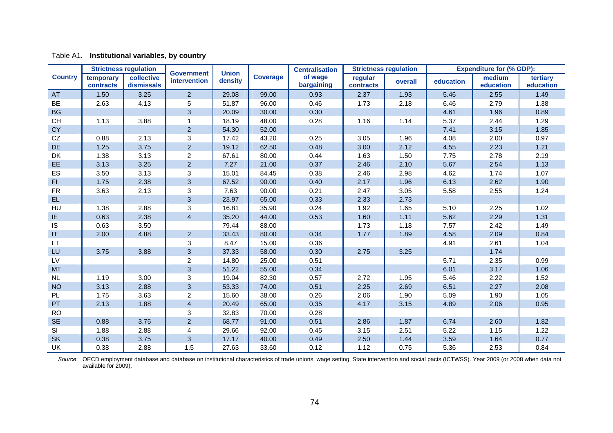|                | <b>Strictness regulation</b> |                          |                                   | <b>Union</b> |                 | <b>Centralisation</b> | <b>Strictness regulation</b> |         | <b>Expenditure for (% GDP):</b> |                     |                       |
|----------------|------------------------------|--------------------------|-----------------------------------|--------------|-----------------|-----------------------|------------------------------|---------|---------------------------------|---------------------|-----------------------|
| <b>Country</b> | temporary<br>contracts       | collective<br>dismissals | <b>Government</b><br>intervention | density      | <b>Coverage</b> | of wage<br>bargaining | regular<br>contracts         | overall | education                       | medium<br>education | tertiary<br>education |
| AT             | 1.50                         | 3.25                     | $\overline{2}$                    | 29.08        | 99.00           | 0.93                  | 2.37                         | 1.93    | 5.46                            | 2.55                | 1.49                  |
| BE             | 2.63                         | 4.13                     | 5                                 | 51.87        | 96.00           | 0.46                  | 1.73                         | 2.18    | 6.46                            | 2.79                | 1.38                  |
| <b>BG</b>      |                              |                          | $\mathbf{3}$                      | 20.09        | 30.00           | 0.30                  |                              |         | 4.61                            | 1.96                | 0.89                  |
| <b>CH</b>      | 1.13                         | 3.88                     | $\mathbf 1$                       | 18.19        | 48.00           | 0.28                  | 1.16                         | 1.14    | 5.37                            | 2.44                | 1.29                  |
| <b>CY</b>      |                              |                          | $\overline{2}$                    | 54.30        | 52.00           |                       |                              |         | 7.41                            | 3.15                | 1.85                  |
| CZ             | 0.88                         | 2.13                     | $\mathbf{3}$                      | 17.42        | 43.20           | 0.25                  | 3.05                         | 1.96    | 4.08                            | 2.00                | 0.97                  |
| DE             | 1.25                         | 3.75                     | $\overline{2}$                    | 19.12        | 62.50           | 0.48                  | 3.00                         | 2.12    | 4.55                            | 2.23                | 1.21                  |
| DK             | 1.38                         | 3.13                     | $\overline{a}$                    | 67.61        | 80.00           | 0.44                  | 1.63                         | 1.50    | 7.75                            | 2.78                | 2.19                  |
| EE             | 3.13                         | 3.25                     | $\overline{2}$                    | 7.27         | 21.00           | 0.37                  | 2.46                         | 2.10    | 5.67                            | 2.54                | 1.13                  |
| ES             | 3.50                         | 3.13                     | $\mathbf{3}$                      | 15.01        | 84.45           | 0.38                  | 2.46                         | 2.98    | 4.62                            | 1.74                | 1.07                  |
| FI             | 1.75                         | 2.38                     | $\mathbf{3}$                      | 67.52        | 90.00           | 0.40                  | 2.17                         | 1.96    | 6.13                            | 2.62                | 1.90                  |
| <b>FR</b>      | 3.63                         | 2.13                     | $\mathbf{3}$                      | 7.63         | 90.00           | 0.21                  | 2.47                         | 3.05    | 5.58                            | 2.55                | 1.24                  |
| EL.            |                              |                          | $\mathbf{3}$                      | 23.97        | 65.00           | 0.33                  | 2.33                         | 2.73    |                                 |                     |                       |
| HU             | 1.38                         | 2.88                     | 3                                 | 16.81        | 35.90           | 0.24                  | 1.92                         | 1.65    | 5.10                            | 2.25                | 1.02                  |
| IE.            | 0.63                         | 2.38                     | $\overline{4}$                    | 35.20        | 44.00           | 0.53                  | 1.60                         | 1.11    | 5.62                            | 2.29                | 1.31                  |
| <b>IS</b>      | 0.63                         | 3.50                     |                                   | 79.44        | 88.00           |                       | 1.73                         | 1.18    | 7.57                            | 2.42                | 1.49                  |
| IT             | 2.00                         | 4.88                     | $\overline{2}$                    | 33.43        | 80.00           | 0.34                  | 1.77                         | 1.89    | 4.58                            | 2.09                | 0.84                  |
| LT             |                              |                          | $\sqrt{3}$                        | 8.47         | 15.00           | 0.36                  |                              |         | 4.91                            | 2.61                | 1.04                  |
| LU             | 3.75                         | 3.88                     | $\mathbf{3}$                      | 37.33        | 58.00           | 0.30                  | 2.75                         | 3.25    |                                 | 1.74                |                       |
| LV             |                              |                          | $\overline{c}$                    | 14.80        | 25.00           | 0.51                  |                              |         | 5.71                            | 2.35                | 0.99                  |
| <b>MT</b>      |                              |                          | $\mathbf{3}$                      | 51.22        | 55.00           | 0.34                  |                              |         | 6.01                            | 3.17                | 1.06                  |
| NL             | 1.19                         | 3.00                     | 3                                 | 19.04        | 82.30           | 0.57                  | 2.72                         | 1.95    | 5.46                            | 2.22                | 1.52                  |
| <b>NO</b>      | 3.13                         | 2.88                     | $\mathbf{3}$                      | 53.33        | 74.00           | 0.51                  | 2.25                         | 2.69    | 6.51                            | 2.27                | 2.08                  |
| <b>PL</b>      | 1.75                         | 3.63                     | $\overline{c}$                    | 15.60        | 38.00           | 0.26                  | 2.06                         | 1.90    | 5.09                            | 1.90                | 1.05                  |
| PT             | 2.13                         | 1.88                     | $\overline{4}$                    | 20.49        | 65.00           | 0.35                  | 4.17                         | 3.15    | 4.89                            | 2.06                | 0.95                  |
| <b>RO</b>      |                              |                          | $\sqrt{3}$                        | 32.83        | 70.00           | 0.28                  |                              |         |                                 |                     |                       |
| <b>SE</b>      | 0.88                         | 3.75                     | $\overline{2}$                    | 68.77        | 91.00           | 0.51                  | 2.86                         | 1.87    | 6.74                            | 2.60                | 1.82                  |
| SI             | 1.88                         | 2.88                     | 4                                 | 29.66        | 92.00           | 0.45                  | 3.15                         | 2.51    | 5.22                            | 1.15                | 1.22                  |
| SK             | 0.38                         | 3.75                     | $\mathfrak{S}$                    | 17.17        | 40.00           | 0.49                  | 2.50                         | 1.44    | 3.59                            | 1.64                | 0.77                  |
| UK             | 0.38                         | 2.88                     | 1.5                               | 27.63        | 33.60           | 0.12                  | 1.12                         | 0.75    | 5.36                            | 2.53                | 0.84                  |

#### Table A1. **Institutional variables, by country**

Source: OECD employment database and database on institutional characteristics of trade unions, wage setting, State intervention and social pacts (ICTWSS). Year 2009 (or 2008 when data not available for 2009).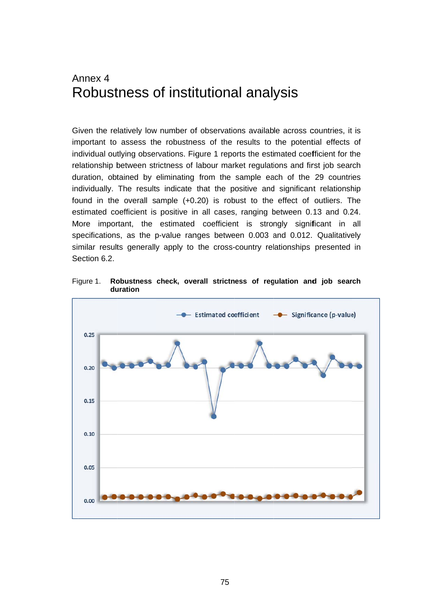## A Annex 4 Robustness of institutional analysis

Given the relatively low number of observations available across countries, it is important to assess the robustness of the results to the potential effects of individual outlying observations. Figure 1 reports the estimated coefficient for the relationship between strictness of labour market regulations and first job search duration, obtained by eliminating from the sample each of the 29 countries individually. The results indicate that the positive and significant relationship found in the overall sample (+0.20) is robust to the effect of outliers. The estimated coefficient is positive in all cases, ranging between 0.13 and 0.24. More important, the estimated coefficient is strongly significant in all specifications, as the p-value ranges between 0.003 and 0.012. Qualitatively similar results generally apply to the cross-country relationships presented in Section 6.2.

Fi gure 1. **Ro du uration obustness check, overall strictness of regulation and job search** 

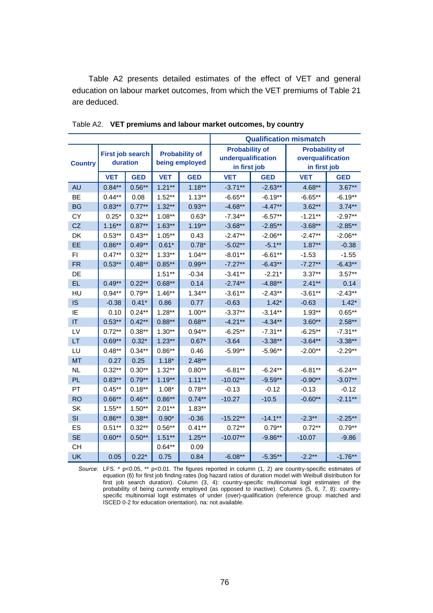Table A2 presents detailed estimates of the effect of VET and general education on labour market outcomes, from which the VET premiums of Table 21 are deduced.

|                |                  |            |                |                       | <b>Qualification mismatch</b> |            |                       |            |  |
|----------------|------------------|------------|----------------|-----------------------|-------------------------------|------------|-----------------------|------------|--|
|                | First job search |            |                | <b>Probability of</b> | <b>Probability of</b>         |            | <b>Probability of</b> |            |  |
| <b>Country</b> | duration         |            | being employed |                       | underqualification            |            | overqualification     |            |  |
|                |                  |            |                |                       | in first job                  |            | in first job          |            |  |
|                | <b>VET</b>       | <b>GED</b> | <b>VET</b>     | <b>GED</b>            | <b>VET</b>                    | <b>GED</b> | <b>VET</b>            | <b>GED</b> |  |
| <b>AU</b>      | $0.84***$        | $0.56***$  | $1.21***$      | $1.18***$             | $-3.71***$                    | $-2.63**$  | 4.68**                | $3.67**$   |  |
| <b>BE</b>      | $0.44**$         | 0.08       | $1.52**$       | $1.13***$             | $-6.65**$                     | $-6.19**$  | $-6.65**$             | $-6.19**$  |  |
| <b>BG</b>      | $0.83**$         | $0.77**$   | $1.32**$       | $0.93**$              | $-4.68**$                     | $-4.47**$  | $3.62**$              | $3.74**$   |  |
| CY             | $0.25*$          | $0.32**$   | $1.08***$      | $0.63*$               | $-7.34**$                     | $-6.57**$  | $-1.21**$             | $-2.97**$  |  |
| <b>CZ</b>      | $1.16***$        | $0.87**$   | $1.63**$       | $1.19***$             | $-3.68**$                     | $-2.85**$  | $-3.68**$             | $-2.85**$  |  |
| DK             | $0.53***$        | $0.43***$  | $1.05***$      | 0.43                  | $-2.47**$                     | $-2.06**$  | $-2.47**$             | $-2.06**$  |  |
| <b>EE</b>      | $0.86**$         | $0.49**$   | $0.61*$        | $0.78*$               | $-5.02**$                     | $-5.1**$   | $1.87***$             | $-0.38$    |  |
| FI.            | $0.47***$        | $0.32***$  | $1.33***$      | $1.04**$              | $-8.01**$                     | $-6.61**$  | $-1.53$               | $-1.55$    |  |
| <b>FR</b>      | $0.53**$         | $0.48**$   | $0.85**$       | $0.99**$              | $-7.27**$                     | $-6.43**$  | $-7.27**$             | $-6.43**$  |  |
| DE             |                  |            | $1.51**$       | $-0.34$               | $-3.41**$                     | $-2.21*$   | $3.37***$             | $3.57**$   |  |
| EL.            | $0.49**$         | $0.22***$  | $0.68**$       | 0.14                  | $-2.74**$                     | $-4.88**$  | $2.41**$              | 0.14       |  |
| HU             | $0.94***$        | $0.79**$   | $1.46***$      | $1.34***$             | $-3.61**$                     | $-2.43**$  | $-3.61***$            | $-2.43**$  |  |
| <b>IS</b>      | $-0.38$          | $0.41*$    | 0.86           | 0.77                  | $-0.63$                       | $1.42*$    | $-0.63$               | $1.42*$    |  |
| IE             | 0.10             | $0.24***$  | $1.28**$       | $1.00**$              | $-3.37**$                     | $-3.14***$ | $1.93***$             | $0.65**$   |  |
| IT             | $0.53***$        | $0.42**$   | $0.88**$       | $0.68***$             | $-4.21**$                     | $-4.34**$  | $3.60**$              | $2.58**$   |  |
| LV             | $0.72***$        | $0.38***$  | $1.30**$       | $0.94**$              | $-6.25**$                     | $-7.31**$  | $-6.25**$             | $-7.31**$  |  |
| LT             | $0.69**$         | $0.32*$    | $1.23**$       | $0.67*$               | $-3.64$                       | $-3.38**$  | $-3.64**$             | $-3.38**$  |  |
| LU             | $0.48***$        | $0.34**$   | $0.86**$       | 0.46                  | $-5.99**$                     | $-5.96**$  | $-2.00**$             | $-2.29**$  |  |
| <b>MT</b>      | 0.27             | 0.25       | $1.18*$        | $2.48**$              |                               |            |                       |            |  |
| <b>NL</b>      | $0.32**$         | $0.30**$   | $1.32**$       | $0.80**$              | $-6.81**$                     | $-6.24**$  | $-6.81**$             | $-6.24**$  |  |
| PL             | $0.83**$         | $0.79**$   | $1.19***$      | $1.11***$             | $-10.02**$                    | $-9.59**$  | $-0.90**$             | $-3.07**$  |  |
| PT             | $0.45***$        | $0.18**$   | $1.08*$        | $0.78***$             | $-0.13$                       | $-0.12$    | $-0.13$               | $-0.12$    |  |
| <b>RO</b>      | $0.66**$         | $0.46**$   | $0.86**$       | $0.74***$             | $-10.27$                      | $-10.5$    | $-0.60**$             | $-2.11***$ |  |
| <b>SK</b>      | $1.55***$        | $1.50**$   | $2.01**$       | $1.83**$              |                               |            |                       |            |  |
| SI             | $0.86**$         | $0.38***$  | $0.90*$        | $-0.36$               | $-15.22**$                    | $-14.1***$ | $-2.3***$             | $-2.25**$  |  |
| ES             | $0.51**$         | $0.32**$   | $0.56**$       | $0.41**$              | $0.72***$                     | $0.79**$   | $0.72***$             | $0.79**$   |  |
| <b>SE</b>      | $0.60**$         | $0.50**$   | $1.51**$       | $1.25***$             | $-10.07**$                    | $-9.86**$  | $-10.07$              | $-9.86$    |  |
| <b>CH</b>      |                  |            | $0.64***$      | 0.09                  |                               |            |                       |            |  |
| <b>UK</b>      | 0.05             | $0.22*$    | 0.75           | 0.84                  | $-6.08**$                     | $-5.35**$  | $-2.2**$              | $-1.76**$  |  |

Table A2. **VET premiums and labour market outcomes, by country** 

*Source*: LFS. \* p<0.05, \*\* p<0.01. The figures reported in column (1, 2) are country-specific estimates of equation (6) for first job finding rates (log hazard ratios of duration model with Weibull distribution for first job search duration). Column (3, 4): country-specific multinomial logit estimates of the probability of being currently employed (as opposed to inactive). Columns (5, 6, 7, 8): countryspecific multinomial logit estimates of under (over)-qualification (reference group: matched and ISCED 0-2 for education orientation). na: not available.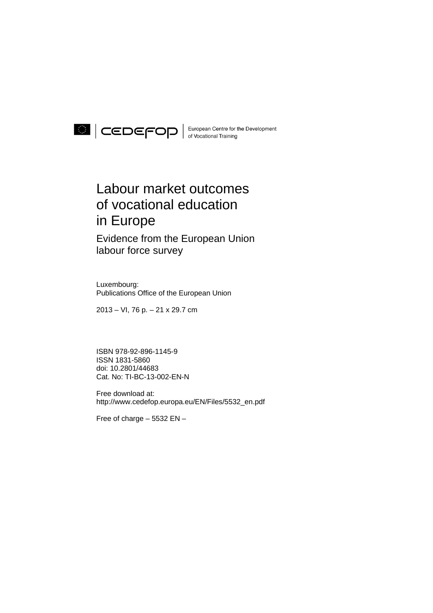

## Labour market outcomes of vocational education in Europe

Evidence from the European Union labour force survey

Luxembourg: Publications Office of the European Union

2013 – VI, 76 p. – 21 x 29.7 cm

ISBN 978-92-896-1145-9 ISSN 1831-5860 doi: 10.2801/44683 Cat. No: TI-BC-13-002-EN-N

Free download at: http://www.cedefop.europa.eu/EN/Files/5532\_en.pdf

Free of charge – 5532 EN –